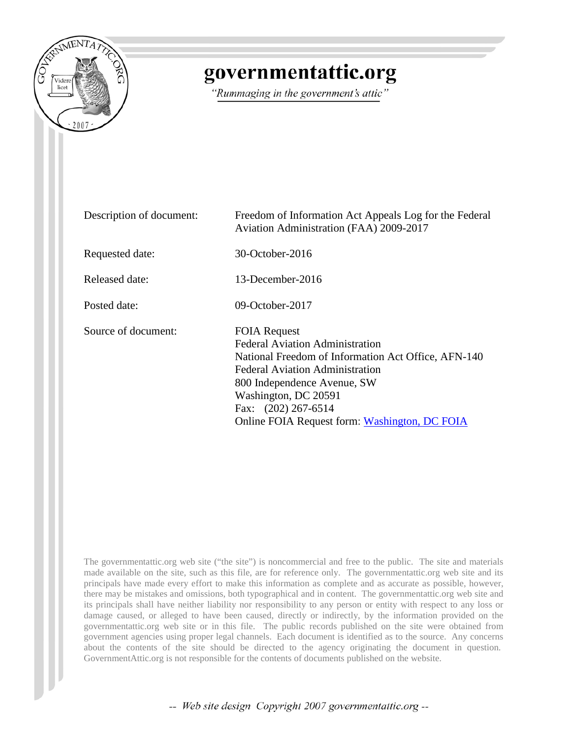

# governmentattic.org

"Rummaging in the government's attic"

| Description of document: | Freedom of Information Act Appeals Log for the Federal<br>Aviation Administration (FAA) 2009-2017                                                                                                                                                                                             |
|--------------------------|-----------------------------------------------------------------------------------------------------------------------------------------------------------------------------------------------------------------------------------------------------------------------------------------------|
| Requested date:          | 30-October-2016                                                                                                                                                                                                                                                                               |
| Released date:           | $13$ -December-2016                                                                                                                                                                                                                                                                           |
| Posted date:             | 09-October-2017                                                                                                                                                                                                                                                                               |
| Source of document:      | <b>FOIA Request</b><br><b>Federal Aviation Administration</b><br>National Freedom of Information Act Office, AFN-140<br><b>Federal Aviation Administration</b><br>800 Independence Avenue, SW<br>Washington, DC 20591<br>Fax: (202) 267-6514<br>Online FOIA Request form: Washington, DC FOIA |

The governmentattic.org web site ("the site") is noncommercial and free to the public. The site and materials made available on the site, such as this file, are for reference only. The governmentattic.org web site and its principals have made every effort to make this information as complete and as accurate as possible, however, there may be mistakes and omissions, both typographical and in content. The governmentattic.org web site and its principals shall have neither liability nor responsibility to any person or entity with respect to any loss or damage caused, or alleged to have been caused, directly or indirectly, by the information provided on the governmentattic.org web site or in this file. The public records published on the site were obtained from government agencies using proper legal channels. Each document is identified as to the source. Any concerns about the contents of the site should be directed to the agency originating the document in question. GovernmentAttic.org is not responsible for the contents of documents published on the website.

-- Web site design Copyright 2007 governmentattic.org --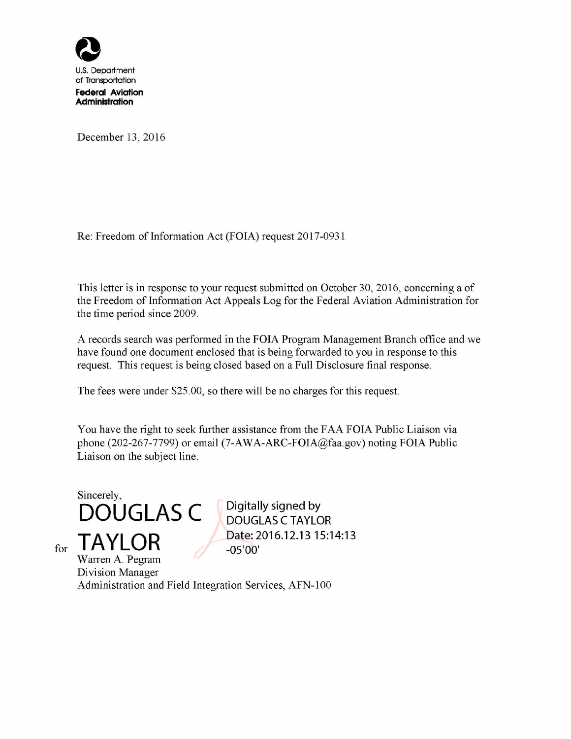

**Administration** 

December 13, 2016

Re: Freedom of Information Act (FOIA) request 2017-0931

This letter is in response to your request submitted on October 30, 2016, concerning a of the Freedom of Information Act Appeals Log for the Federal Aviation Administration for the time period since 2009.

A records search was performed in the FOIA Program Management Branch office and we have found one document enclosed that is being forwarded to you in response to this request. This request is being closed based on a Full Disclosure final response.

The fees were under \$25.00, so there will be no charges for this request.

You have the right to seek further assistance from the FAA FOIA Public Liaison via phone (202-267-7799) or email (7-AW A-ARC-FOIA@faa.gov) noting FOIA Public Liaison on the subject line.

Sincerely, **DOUGLAS C TAYLOR** 

for

**Digitally signed by DOUGLAS C TAYLOR Date: 2016.12.13 15:14:13 -05'00'** 

Warren A. Pegram Division Manager Administration and Field Integration Services, AFN-100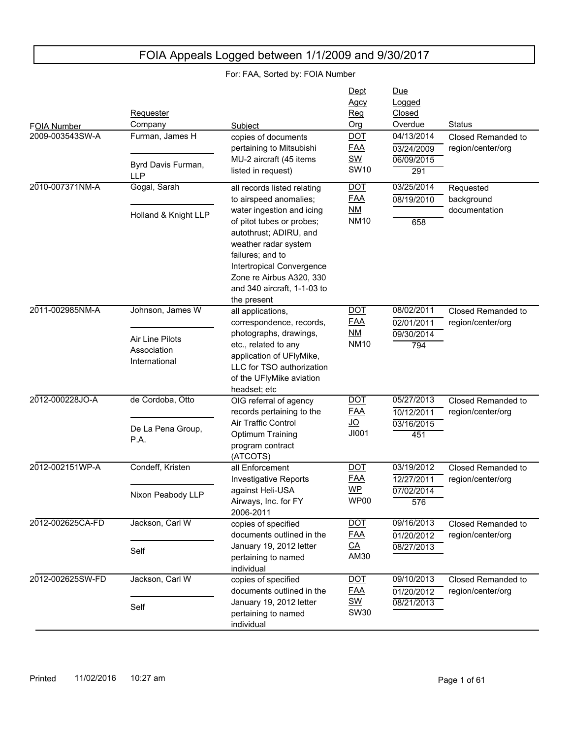|                    | Requester                                       |                                                                                                                                                                                                                                     | Dept<br><b>Agcy</b><br>Reg            | Due<br>Logged<br>Closed                |                                         |
|--------------------|-------------------------------------------------|-------------------------------------------------------------------------------------------------------------------------------------------------------------------------------------------------------------------------------------|---------------------------------------|----------------------------------------|-----------------------------------------|
| <b>FOIA Number</b> | Company                                         | Subject                                                                                                                                                                                                                             | Org                                   | Overdue                                | <b>Status</b>                           |
| 2009-003543SW-A    | Furman, James H                                 | copies of documents<br>pertaining to Mitsubishi<br>MU-2 aircraft (45 items                                                                                                                                                          | <b>DOT</b><br><b>FAA</b><br><b>SW</b> | 04/13/2014<br>03/24/2009<br>06/09/2015 | Closed Remanded to<br>region/center/org |
|                    | Byrd Davis Furman,<br><b>LLP</b>                | listed in request)                                                                                                                                                                                                                  | <b>SW10</b>                           | 291                                    |                                         |
| 2010-007371NM-A    | Gogal, Sarah                                    | all records listed relating<br>to airspeed anomalies;                                                                                                                                                                               | <b>DOT</b><br><b>FAA</b>              | 03/25/2014<br>08/19/2010               | Requested<br>background                 |
|                    | Holland & Knight LLP                            | water ingestion and icing<br>of pitot tubes or probes;<br>autothrust; ADIRU, and<br>weather radar system<br>failures; and to<br>Intertropical Convergence<br>Zone re Airbus A320, 330<br>and 340 aircraft, 1-1-03 to<br>the present | ΝM<br><b>NM10</b>                     | 658                                    | documentation                           |
| 2011-002985NM-A    | Johnson, James W                                | all applications,                                                                                                                                                                                                                   | <b>DOT</b>                            | 08/02/2011                             | Closed Remanded to                      |
|                    |                                                 | correspondence, records,                                                                                                                                                                                                            | <b>FAA</b>                            | 02/01/2011                             | region/center/org                       |
|                    | Air Line Pilots<br>Association<br>International | photographs, drawings,<br>etc., related to any<br>application of UFlyMike,<br>LLC for TSO authorization<br>of the UFlyMike aviation<br>headset; etc                                                                                 | NM<br><b>NM10</b>                     | 09/30/2014<br>794                      |                                         |
| 2012-000228JO-A    | de Cordoba, Otto                                | OIG referral of agency<br>records pertaining to the                                                                                                                                                                                 | <b>DOT</b><br><b>FAA</b>              | 05/27/2013<br>10/12/2011               | Closed Remanded to<br>region/center/org |
|                    | De La Pena Group,<br>P.A.                       | Air Traffic Control<br>Optimum Training<br>program contract<br>(ATCOTS)                                                                                                                                                             | $\overline{70}$<br>JI001              | 03/16/2015<br>451                      |                                         |
| 2012-002151WP-A    | Condeff, Kristen                                | all Enforcement<br><b>Investigative Reports</b>                                                                                                                                                                                     | <b>DOT</b><br><b>FAA</b>              | 03/19/2012<br>12/27/2011               | Closed Remanded to<br>region/center/org |
|                    | Nixon Peabody LLP                               | against Heli-USA<br>Airways, Inc. for FY<br>2006-2011                                                                                                                                                                               | WP<br>WP00                            | 07/02/2014<br>576                      |                                         |
| 2012-002625CA-FD   | Jackson, Carl W                                 | copies of specified<br>documents outlined in the                                                                                                                                                                                    | <b>DOT</b><br><b>FAA</b>              | 09/16/2013<br>01/20/2012               | Closed Remanded to<br>region/center/org |
|                    | Self                                            | January 19, 2012 letter<br>pertaining to named<br>individual                                                                                                                                                                        | $\underline{CA}$<br>AM30              | 08/27/2013                             |                                         |
| 2012-002625SW-FD   | Jackson, Carl W                                 | copies of specified<br>documents outlined in the                                                                                                                                                                                    | <b>DOT</b><br><b>FAA</b>              | 09/10/2013<br>01/20/2012               | Closed Remanded to<br>region/center/org |
|                    | Self                                            | January 19, 2012 letter<br>pertaining to named<br>individual                                                                                                                                                                        | <b>SW</b><br><b>SW30</b>              | 08/21/2013                             |                                         |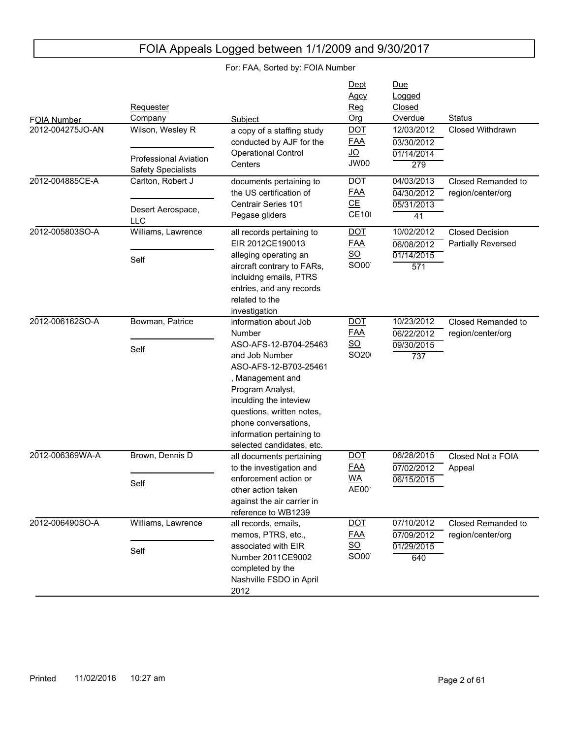| <b>FOIA Number</b> | Requester<br>Company                                                          | Subject                                                                                                                                                                                                                                                                              | Dept<br>Agcy<br>Reg<br>Org                                                 | Due<br>Logged<br>Closed<br>Overdue                        | <b>Status</b>                                |
|--------------------|-------------------------------------------------------------------------------|--------------------------------------------------------------------------------------------------------------------------------------------------------------------------------------------------------------------------------------------------------------------------------------|----------------------------------------------------------------------------|-----------------------------------------------------------|----------------------------------------------|
| 2012-004275JO-AN   | Wilson, Wesley R<br><b>Professional Aviation</b><br><b>Safety Specialists</b> | a copy of a staffing study<br>conducted by AJF for the<br><b>Operational Control</b><br>Centers                                                                                                                                                                                      | <b>DOT</b><br><b>FAA</b><br><u>JO</u><br>JW00                              | 12/03/2012<br>03/30/2012<br>01/14/2014<br>279             | Closed Withdrawn                             |
| 2012-004885CE-A    | Carlton, Robert J<br>Desert Aerospace,<br><b>LLC</b>                          | documents pertaining to<br>the US certification of<br>Centrair Series 101<br>Pegase gliders                                                                                                                                                                                          | <b>DOT</b><br><u>FAA</u><br>CE<br><b>CE10</b>                              | 04/03/2013<br>04/30/2012<br>05/31/2013<br>$\overline{41}$ | Closed Remanded to<br>region/center/org      |
| 2012-005803SO-A    | Williams, Lawrence<br>Self                                                    | all records pertaining to<br>EIR 2012CE190013<br>alleging operating an<br>aircraft contrary to FARs,<br>incluidng emails, PTRS<br>entries, and any records<br>related to the<br>investigation                                                                                        | <u>DOT</u><br><u>FAA</u><br>$\underline{SO}$<br>SO00                       | 10/02/2012<br>06/08/2012<br>01/14/2015<br>571             | <b>Closed Decision</b><br>Partially Reversed |
| 2012-006162SO-A    | Bowman, Patrice<br>Self                                                       | information about Job<br>Number<br>ASO-AFS-12-B704-25463<br>and Job Number<br>ASO-AFS-12-B703-25461<br>, Management and<br>Program Analyst,<br>inculding the inteview<br>questions, written notes,<br>phone conversations,<br>information pertaining to<br>selected candidates, etc. | <u>DOT</u><br><b>FAA</b><br>SO<br>SO <sub>20</sub>                         | 10/23/2012<br>06/22/2012<br>09/30/2015<br>737             | Closed Remanded to<br>region/center/org      |
| 2012-006369WA-A    | Brown, Dennis D<br>Self                                                       | all documents pertaining<br>to the investigation and<br>enforcement action or<br>other action taken<br>against the air carrier in<br>reference to WB1239                                                                                                                             | <u>DOT</u><br><u>FAA</u><br><b>WA</b><br>AE00 <sup>.</sup>                 | 06/28/2015<br>07/02/2012<br>06/15/2015                    | Closed Not a FOIA<br>Appeal                  |
| 2012-006490SO-A    | Williams, Lawrence<br>Self                                                    | all records, emails,<br>memos, PTRS, etc.,<br>associated with EIR<br>Number 2011CE9002<br>completed by the<br>Nashville FSDO in April<br>2012                                                                                                                                        | <b>DOT</b><br><u>FAA</u><br>$\underline{\mathsf{SO}}$<br>SO00 <sup>®</sup> | 07/10/2012<br>07/09/2012<br>01/29/2015<br>640             | Closed Remanded to<br>region/center/org      |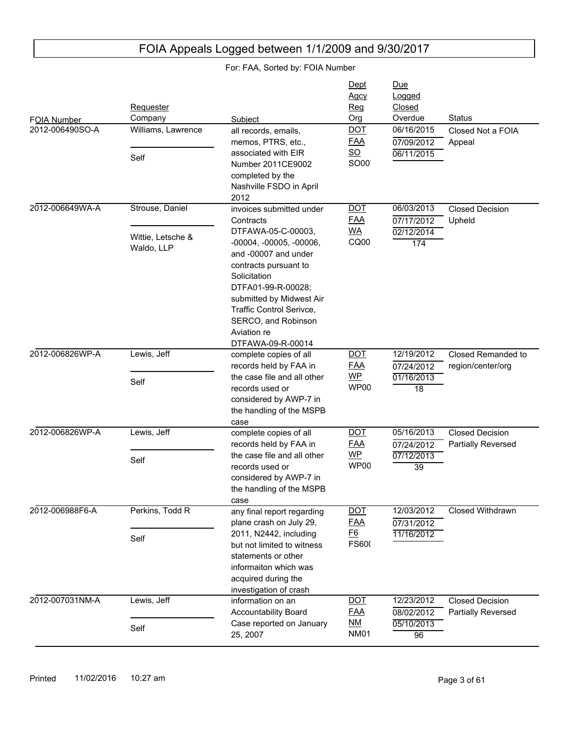| For: FAA, Sorted by: FOIA Number |                                 |                                                                                                                                                                                                                                                           |                                                |                                              |                                              |
|----------------------------------|---------------------------------|-----------------------------------------------------------------------------------------------------------------------------------------------------------------------------------------------------------------------------------------------------------|------------------------------------------------|----------------------------------------------|----------------------------------------------|
| FOIA Number                      | Requester<br>Company            | Subject                                                                                                                                                                                                                                                   | Dept<br><b>Agcy</b><br>Req<br>Org              | <u>Due</u><br>Logged<br>Closed<br>Overdue    | <b>Status</b>                                |
| 2012-006490SO-A                  | Williams, Lawrence              | all records, emails,<br>memos, PTRS, etc.,                                                                                                                                                                                                                | <b>DOT</b><br><u>FAA</u>                       | 06/16/2015<br>07/09/2012                     | Closed Not a FOIA<br>Appeal                  |
|                                  | Self                            | associated with EIR<br>Number 2011CE9002<br>completed by the<br>Nashville FSDO in April<br>2012                                                                                                                                                           | $\underline{\mathsf{SO}}$<br>SO00              | 06/11/2015                                   |                                              |
| 2012-006649WA-A                  | Strouse, Daniel                 | invoices submitted under<br>Contracts                                                                                                                                                                                                                     | <b>DOT</b><br><b>FAA</b>                       | 06/03/2013<br>07/17/2012                     | <b>Closed Decision</b><br>Upheld             |
|                                  | Wittie, Letsche &<br>Waldo, LLP | DTFAWA-05-C-00003,<br>$-00004, -00005, -00006,$<br>and -00007 and under<br>contracts pursuant to<br>Solicitation<br>DTFA01-99-R-00028;<br>submitted by Midwest Air<br>Traffic Control Serivce,<br>SERCO, and Robinson<br>Aviation re<br>DTFAWA-09-R-00014 | <u>WA</u><br>CQ00                              | 02/12/2014<br>174                            |                                              |
| 2012-006826WP-A                  | Lewis, Jeff<br>Self             | complete copies of all<br>records held by FAA in<br>the case file and all other<br>records used or<br>considered by AWP-7 in<br>the handling of the MSPB<br>case                                                                                          | <b>DOT</b><br><u>FAA</u><br>$WP$<br>WP00       | 12/19/2012<br>07/24/2012<br>01/16/2013<br>18 | Closed Remanded to<br>region/center/org      |
| 2012-006826WP-A                  | Lewis, Jeff<br>Self             | complete copies of all<br>records held by FAA in<br>the case file and all other<br>records used or<br>considered by AWP-7 in<br>the handling of the MSPB<br>case                                                                                          | <b>DOT</b><br><b>FAA</b><br>$WP$<br>WP00       | 05/16/2013<br>07/24/2012<br>07/12/2013<br>39 | <b>Closed Decision</b><br>Partially Reversed |
| 2012-006988F6-A                  | Perkins, Todd R<br>Self         | any final report regarding<br>plane crash on July 29,<br>2011, N2442, including<br>but not limited to witness<br>statements or other<br>informaiton which was<br>acquired during the<br>investigation of crash                                            | <b>DOT</b><br><b>FAA</b><br>E6<br><b>FS600</b> | 12/03/2012<br>07/31/2012<br>11/16/2012       | <b>Closed Withdrawn</b>                      |
| 2012-007031NM-A                  | Lewis, Jeff<br>Self             | information on an<br>Accountability Board<br>Case reported on January<br>25, 2007                                                                                                                                                                         | <b>DOT</b><br><b>FAA</b><br>$M$<br><b>NM01</b> | 12/23/2012<br>08/02/2012<br>05/10/2013<br>96 | <b>Closed Decision</b><br>Partially Reversed |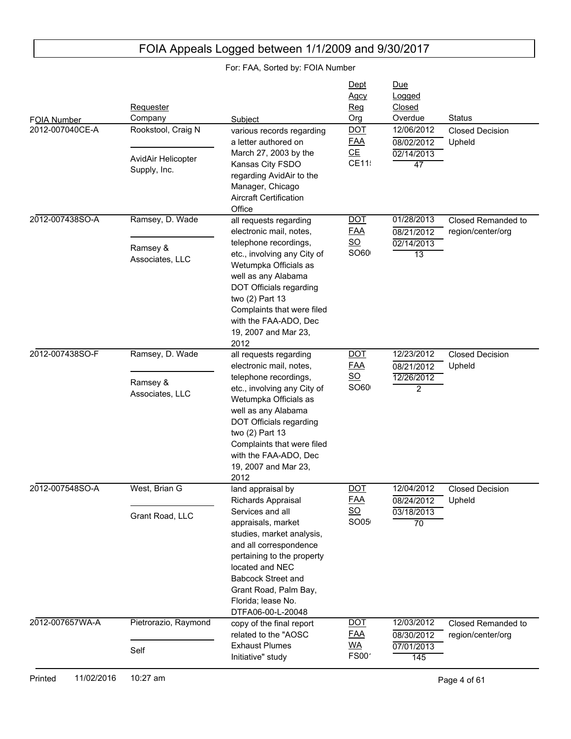#### FOIA Number Due Logged Closed Subject **Contact Contact Contact Contact Contact Contact Contact Contact Contact Contact Contact Contact Contact Contact Contact Contact Contact Contact Contact Contact Contact Contact Contact Contact Contact Contact Conta** Requester Company Dept Agcy Reg Org 2012-007040CE-A 02/14/2013 47 08/02/2012 12/06/2012 Closed Decision Upheld various records regarding a letter authored on March 27, 2003 by the Kansas City FSDO regarding AvidAir to the Manager, Chicago Aircraft Certification **Office** Rookstool, Craig N AvidAir Helicopter Supply, Inc. DOT FAA CE  $CE11$ 2012-007438SO-A 02/14/2013 13 08/21/2012 01/28/2013 Closed Remanded to region/center/org all requests regarding electronic mail, notes, telephone recordings, etc., involving any City of Wetumpka Officials as well as any Alabama DOT Officials regarding two (2) Part 13 Complaints that were filed with the FAA-ADO, Dec 19, 2007 and Mar 23, 2012 Ramsey, D. Wade Ramsey & Associates, LLC DOT FAA SO SO60 2012-007438SO-F 12/26/2012 2 08/21/2012 12/23/2012 Closed Decision Upheld all requests regarding electronic mail, notes, telephone recordings, etc., involving any City of Wetumpka Officials as well as any Alabama DOT Officials regarding two (2) Part 13 Complaints that were filed with the FAA-ADO, Dec 19, 2007 and Mar 23, 2012 Ramsey, D. Wade Ramsey & Associates, LLC DOT FAA SO  $SO60<sub>0</sub>$ 2012-007548SO-A 03/18/2013 70 08/24/2012 12/04/2012 Closed Decision Upheld land appraisal by Richards Appraisal Services and all appraisals, market studies, market analysis, and all correspondence pertaining to the property located and NEC Babcock Street and Grant Road, Palm Bay, Florida; lease No. DTFA06-00-L-20048 West, Brian G Grant Road, LLC DOT FAA SO SO05 2012-007657WA-A 07/01/2013 145 08/30/2012 12/03/2012 Closed Remanded to region/center/org copy of the final report related to the "AOSC Exhaust Plumes Initiative" study Pietrorazio, Raymond Self DOT FAA WA  $FSOO<sup>2</sup>$

## FOIA Appeals Logged between 1/1/2009 and 9/30/2017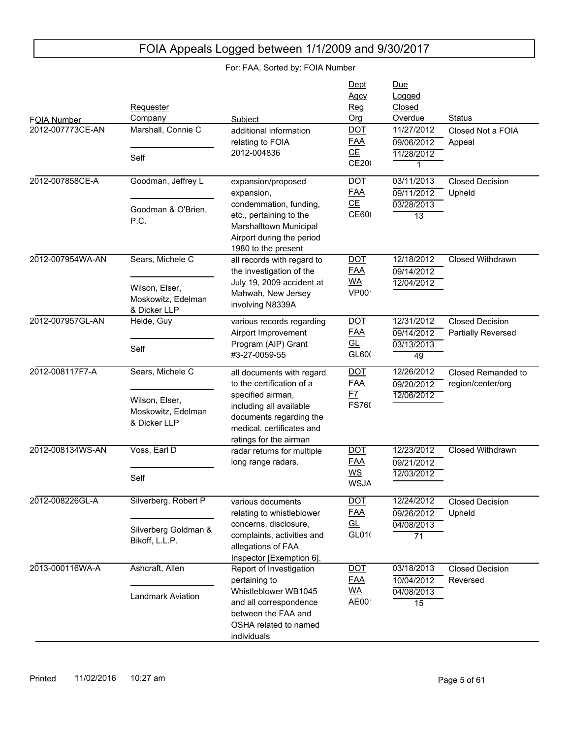| FOIA Number<br>2012-007773CE-AN | Requester<br>Company<br>Marshall, Connie C<br>Self                       | Subject<br>additional information<br>relating to FOIA<br>2012-004836                                                                                                                     | Dept<br>Agcy<br>Reg<br>Org<br><b>DOT</b><br><b>FAA</b><br>CE<br><b>CE20</b> | <b>Due</b><br>Logged<br>Closed<br>Overdue<br>11/27/2012<br>09/06/2012<br>11/28/2012<br>1 | <b>Status</b><br>Closed Not a FOIA<br>Appeal |
|---------------------------------|--------------------------------------------------------------------------|------------------------------------------------------------------------------------------------------------------------------------------------------------------------------------------|-----------------------------------------------------------------------------|------------------------------------------------------------------------------------------|----------------------------------------------|
| 2012-007858CE-A                 | Goodman, Jeffrey L<br>Goodman & O'Brien,<br>P.C.                         | expansion/proposed<br>expansion,<br>condemmation, funding,<br>etc., pertaining to the<br>Marshalltown Municipal<br>Airport during the period<br>1980 to the present                      | $DOT$<br><b>FAA</b><br>CE<br><b>CE600</b>                                   | 03/11/2013<br>09/11/2012<br>03/28/2013<br>$\overline{13}$                                | <b>Closed Decision</b><br>Upheld             |
| 2012-007954WA-AN                | Sears, Michele C<br>Wilson, Elser,<br>Moskowitz, Edelman<br>& Dicker LLP | all records with regard to<br>the investigation of the<br>July 19, 2009 accident at<br>Mahwah, New Jersey<br>involving N8339A                                                            | <b>DOT</b><br><b>FAA</b><br><u>WA</u><br>VP00                               | 12/18/2012<br>09/14/2012<br>12/04/2012                                                   | <b>Closed Withdrawn</b>                      |
| 2012-007957GL-AN                | Heide, Guy<br>Self                                                       | various records regarding<br>Airport Improvement<br>Program (AIP) Grant<br>#3-27-0059-55                                                                                                 | $DOT$<br><b>FAA</b><br>GL<br>GL600                                          | 12/31/2012<br>09/14/2012<br>03/13/2013<br>49                                             | <b>Closed Decision</b><br>Partially Reversed |
| 2012-008117F7-A                 | Sears, Michele C<br>Wilson, Elser,<br>Moskowitz, Edelman<br>& Dicker LLP | all documents with regard<br>to the certification of a<br>specified airman,<br>including all available<br>documents regarding the<br>medical, certificates and<br>ratings for the airman | <b>DOT</b><br><b>FAA</b><br><u>F7</u><br>FS760                              | 12/26/2012<br>09/20/2012<br>12/06/2012                                                   | Closed Remanded to<br>region/center/org      |
| 2012-008134WS-AN                | Voss, Earl D<br>Self                                                     | radar returns for multiple<br>long range radars.                                                                                                                                         | <b>DOT</b><br><b>FAA</b><br>$\underline{\mathsf{WS}}$<br><b>WSJA</b>        | 12/23/2012<br>09/21/2012<br>12/03/2012                                                   | <b>Closed Withdrawn</b>                      |
| 2012-008226GL-A                 | Silverberg, Robert P<br>Silverberg Goldman &<br>Bikoff, L.L.P.           | various documents<br>relating to whistleblower<br>concerns, disclosure,<br>complaints, activities and<br>allegations of FAA<br>Inspector [Exemption 6].                                  | <u>DOT</u><br><b>FAA</b><br>GL<br>GL010                                     | 12/24/2012<br>09/26/2012<br>04/08/2013<br>$\overline{71}$                                | <b>Closed Decision</b><br>Upheld             |
| 2013-000116WA-A                 | Ashcraft, Allen<br>Landmark Aviation                                     | Report of Investigation<br>pertaining to<br>Whistleblower WB1045<br>and all correspondence<br>between the FAA and<br>OSHA related to named<br>individuals                                | <b>DOT</b><br><b>FAA</b><br><u>WA</u><br>AE00                               | 03/18/2013<br>10/04/2012<br>04/08/2013<br>$\overline{15}$                                | <b>Closed Decision</b><br>Reversed           |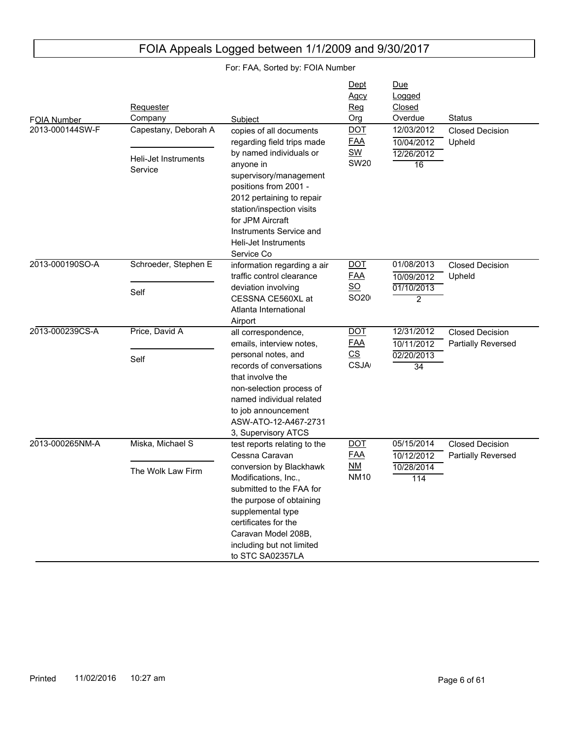| <b>FOIA Number</b> | Requester<br>Company            | Subject                                                                                                                                                                                                                                | Dept<br><u>Agcy</u><br><u>Reg</u><br>Org | Due<br>Logged<br>Closed<br>Overdue | <b>Status</b>                                       |
|--------------------|---------------------------------|----------------------------------------------------------------------------------------------------------------------------------------------------------------------------------------------------------------------------------------|------------------------------------------|------------------------------------|-----------------------------------------------------|
| 2013-000144SW-F    | Capestany, Deborah A            | copies of all documents<br>regarding field trips made                                                                                                                                                                                  | <b>DOT</b><br><b>FAA</b>                 | 12/03/2012<br>10/04/2012           | <b>Closed Decision</b><br>Upheld                    |
|                    | Heli-Jet Instruments<br>Service | by named individuals or<br>anyone in<br>supervisory/management<br>positions from 2001 -<br>2012 pertaining to repair<br>station/inspection visits<br>for JPM Aircraft<br>Instruments Service and<br>Heli-Jet Instruments<br>Service Co | <b>SW</b><br><b>SW20</b>                 | 12/26/2012<br>16                   |                                                     |
| 2013-000190SO-A    | Schroeder, Stephen E            | information regarding a air<br>traffic control clearance                                                                                                                                                                               | <b>DOT</b><br><b>FAA</b>                 | 01/08/2013<br>10/09/2012           | <b>Closed Decision</b><br>Upheld                    |
|                    | Self                            | deviation involving<br>CESSNA CE560XL at<br>Atlanta International<br>Airport                                                                                                                                                           | $\underline{SO}$<br>SO20                 | 01/10/2013<br>$\overline{2}$       |                                                     |
| 2013-000239CS-A    | Price, David A                  | all correspondence,<br>emails, interview notes,                                                                                                                                                                                        | <b>DOT</b><br><b>FAA</b>                 | 12/31/2012<br>10/11/2012           | <b>Closed Decision</b><br><b>Partially Reversed</b> |
|                    | Self                            | personal notes, and<br>records of conversations<br>that involve the<br>non-selection process of<br>named individual related<br>to job announcement<br>ASW-ATO-12-A467-2731<br>3, Supervisory ATCS                                      | $\underline{\mathsf{CS}}$<br><b>CSJA</b> | 02/20/2013<br>34                   |                                                     |
| 2013-000265NM-A    | Miska, Michael S                | test reports relating to the<br>Cessna Caravan                                                                                                                                                                                         | <b>DOT</b><br><b>FAA</b>                 | 05/15/2014<br>10/12/2012           | <b>Closed Decision</b><br>Partially Reversed        |
|                    | The Wolk Law Firm               | conversion by Blackhawk<br>Modifications, Inc.,<br>submitted to the FAA for<br>the purpose of obtaining<br>supplemental type<br>certificates for the<br>Caravan Model 208B,<br>including but not limited<br>to STC SA02357LA           | $M$<br><b>NM10</b>                       | 10/28/2014<br>114                  |                                                     |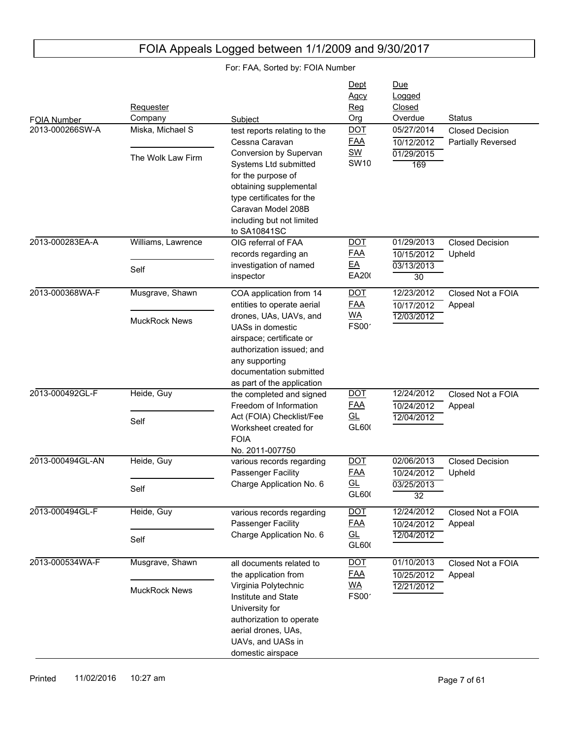#### FOIA Number Due Logged Closed Subject **Contact Contact Contact Contact Contact Contact Contact Contact Contact Contact Contact Contact Contact Contact Contact Contact Contact Contact Contact Contact Contact Contact Contact Contact Contact Contact Conta** Requester Company Dept Agcy Reg Org 2013-000266SW-A 01/29/2015 169 10/12/2012 05/27/2014 Closed Decision Partially Reversed test reports relating to the Cessna Caravan Conversion by Supervan Systems Ltd submitted for the purpose of obtaining supplemental type certificates for the Caravan Model 208B including but not limited to SA10841SC Miska, Michael S The Wolk Law Firm DOT FAA SW **SW10** 2013-000283EA-A 03/13/2013 30 10/15/2012 01/29/2013 Closed Decision Upheld OIG referral of FAA records regarding an investigation of named inspector Williams, Lawrence Self DOT FAA EA EA200 2013-000368WA-F 12/03/2012 10/17/2012 12/23/2012 Closed Not a FOIA Appeal COA application from 14 entities to operate aerial drones, UAs, UAVs, and UASs in domestic airspace; certificate or authorization issued; and any supporting documentation submitted as part of the application Musgrave, Shawn MuckRock News DOT FAA WA  $FS00'$ 2013-000492GL-F 12/04/2012 10/24/2012 12/24/2012 Closed Not a FOIA Appeal the completed and signed Freedom of Information Act (FOIA) Checklist/Fee Worksheet created for FOIA No. 2011-007750 Heide, Guy Self DOT FAA GL GL600 2013-000494GL-AN 03/25/2013 32 10/24/2012 02/06/2013 Closed Decision Upheld various records regarding Passenger Facility Charge Application No. 6 Heide, Guy Self DOT FAA GL GL600 2013-000494GL-F 12/04/2012 10/24/2012 12/24/2012 Closed Not a FOIA Appeal various records regarding Passenger Facility Charge Application No. 6 Heide, Guy Self DOT FAA GL  $GL600$ 2013-000534WA-F 12/21/2012 10/25/2012 01/10/2013 Closed Not a FOIA Appeal all documents related to the application from Virginia Polytechnic Institute and State University for authorization to operate aerial drones, UAs, UAVs, and UASs in domestic airspace Musgrave, Shawn MuckRock News DOT FAA WA  $FS00'$

## FOIA Appeals Logged between 1/1/2009 and 9/30/2017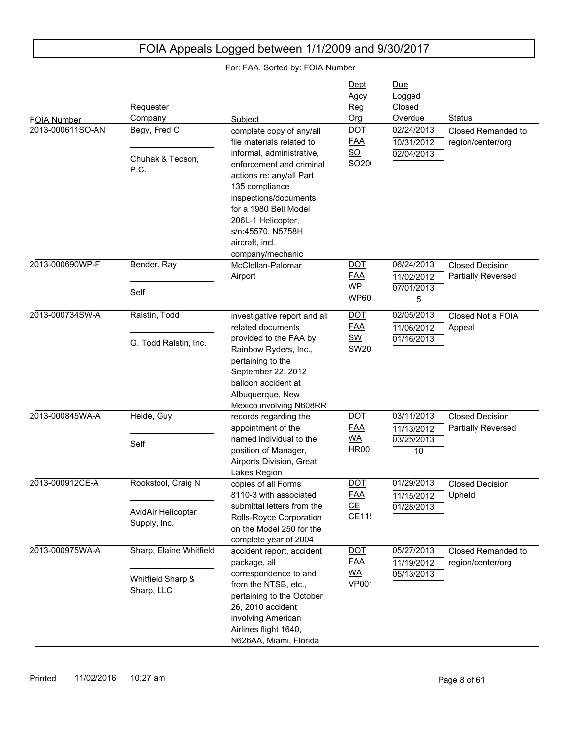| FOIA Number<br>2013-000611SO-AN | Requester<br>Company<br>Begy, Fred C<br>Chuhak & Tecson,<br>P.C. | Subject<br>complete copy of any/all<br>file materials related to<br>informal, administrative,<br>enforcement and criminal<br>actions re: any/all Part<br>135 compliance<br>inspections/documents<br>for a 1980 Bell Model<br>206L-1 Helicopter,<br>s/n:45570, N5758H<br>aircraft, incl. | Dept<br>Agcy<br><b>Reg</b><br>Org<br><b>DOT</b><br><b>FAA</b><br>$\underline{SO}$<br>SO20 | Due<br>Logged<br>Closed<br>Overdue<br>02/24/2013<br>10/31/2012<br>02/04/2013 | Status<br>Closed Remanded to<br>region/center/org |
|---------------------------------|------------------------------------------------------------------|-----------------------------------------------------------------------------------------------------------------------------------------------------------------------------------------------------------------------------------------------------------------------------------------|-------------------------------------------------------------------------------------------|------------------------------------------------------------------------------|---------------------------------------------------|
| 2013-000690WP-F                 | Bender, Ray                                                      | company/mechanic<br>McClellan-Palomar<br>Airport                                                                                                                                                                                                                                        | <b>DOT</b><br><b>FAA</b>                                                                  | 06/24/2013<br>11/02/2012                                                     | <b>Closed Decision</b><br>Partially Reversed      |
|                                 | Self                                                             |                                                                                                                                                                                                                                                                                         | <b>WP</b><br><b>WP60</b>                                                                  | 07/01/2013<br>5                                                              |                                                   |
| 2013-000734SW-A                 | Ralstin, Todd                                                    | investigative report and all<br>related documents                                                                                                                                                                                                                                       | <b>DOT</b><br><b>FAA</b>                                                                  | 02/05/2013<br>11/06/2012                                                     | Closed Not a FOIA<br>Appeal                       |
|                                 | G. Todd Ralstin, Inc.                                            | provided to the FAA by<br>Rainbow Ryders, Inc.,<br>pertaining to the<br>September 22, 2012<br>balloon accident at<br>Albuquerque, New<br>Mexico involving N608RR                                                                                                                        | <b>SW</b><br><b>SW20</b>                                                                  | 01/16/2013                                                                   |                                                   |
| 2013-000845WA-A                 | Heide, Guy                                                       | records regarding the<br>appointment of the<br>named individual to the<br>position of Manager,<br>Airports Division, Great<br>Lakes Region                                                                                                                                              | <b>DOT</b><br><b>FAA</b>                                                                  | 03/11/2013<br>11/13/2012                                                     | <b>Closed Decision</b><br>Partially Reversed      |
|                                 | Self                                                             |                                                                                                                                                                                                                                                                                         | <b>WA</b><br><b>HR00</b>                                                                  | 03/25/2013<br>$\overline{10}$                                                |                                                   |
| 2013-000912CE-A                 | Rookstool, Craig N                                               | copies of all Forms<br>8110-3 with associated                                                                                                                                                                                                                                           | <b>DOT</b><br><b>FAA</b>                                                                  | 01/29/2013<br>11/15/2012                                                     | <b>Closed Decision</b><br>Upheld                  |
|                                 | AvidAir Helicopter<br>Supply, Inc.                               | submittal letters from the<br>Rolls-Royce Corporation<br>on the Model 250 for the<br>complete year of 2004                                                                                                                                                                              | CE<br>CE11!                                                                               | 01/28/2013                                                                   |                                                   |
| 2013-000975WA-A                 | Sharp, Elaine Whitfield                                          | accident report, accident<br>package, all                                                                                                                                                                                                                                               | $\underline{DOT}$<br><b>FAA</b>                                                           | 05/27/2013<br>11/19/2012                                                     | Closed Remanded to<br>region/center/org           |
|                                 | Whitfield Sharp &<br>Sharp, LLC                                  | correspondence to and<br>from the NTSB, etc.,<br>pertaining to the October<br>26, 2010 accident<br>involving American<br>Airlines flight 1640,<br>N626AA, Miami, Florida                                                                                                                | <u>WA</u><br>VP00                                                                         | 05/13/2013                                                                   |                                                   |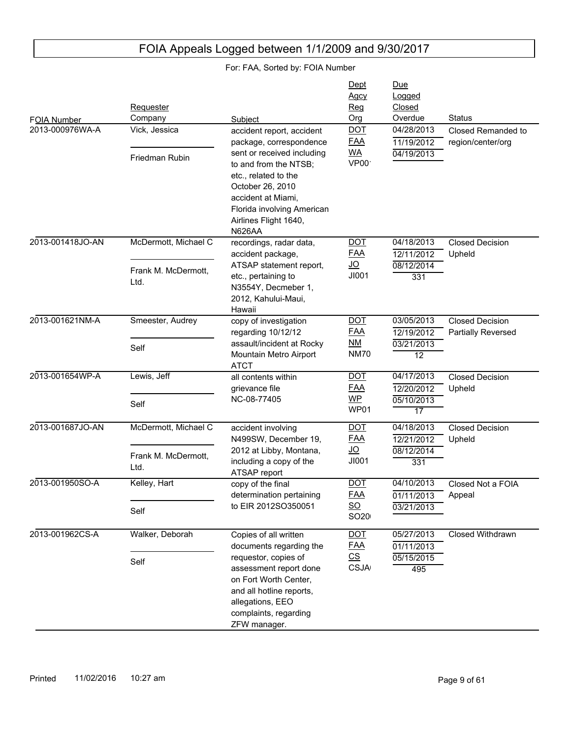|                                |                                 |                                                                                                                                                                  | Dept<br>Agcy                                  | Due<br>Logged                          |                                              |
|--------------------------------|---------------------------------|------------------------------------------------------------------------------------------------------------------------------------------------------------------|-----------------------------------------------|----------------------------------------|----------------------------------------------|
|                                | <b>Requester</b><br>Company     | Subject                                                                                                                                                          | Reg<br>Org                                    | Closed<br>Overdue                      | <b>Status</b>                                |
| FOIA Number<br>2013-000976WA-A | Vick, Jessica<br>Friedman Rubin | accident report, accident<br>package, correspondence<br>sent or received including<br>to and from the NTSB;                                                      | <b>DOT</b><br><b>FAA</b><br><u>WA</u><br>VP00 | 04/28/2013<br>11/19/2012<br>04/19/2013 | Closed Remanded to<br>region/center/org      |
|                                |                                 | etc., related to the<br>October 26, 2010<br>accident at Miami,<br>Florida involving American<br>Airlines Flight 1640,<br><b>N626AA</b>                           |                                               |                                        |                                              |
| 2013-001418JO-AN               | McDermott, Michael C            | recordings, radar data,<br>accident package,                                                                                                                     | <b>DOT</b><br><u>FAA</u>                      | 04/18/2013<br>12/11/2012               | <b>Closed Decision</b><br>Upheld             |
|                                | Frank M. McDermott,             | ATSAP statement report,                                                                                                                                          | <u>JO</u>                                     | 08/12/2014                             |                                              |
|                                | Ltd.                            | etc., pertaining to<br>N3554Y, Decmeber 1,<br>2012, Kahului-Maui,<br>Hawaii                                                                                      | JI001                                         | 331                                    |                                              |
| 2013-001621NM-A                | Smeester, Audrey                | copy of investigation<br>regarding 10/12/12                                                                                                                      | <u>DOT</u><br><b>FAA</b>                      | 03/05/2013<br>12/19/2012               | <b>Closed Decision</b><br>Partially Reversed |
|                                | Self                            | assault/incident at Rocky<br>Mountain Metro Airport<br><b>ATCT</b>                                                                                               | NM<br><b>NM70</b>                             | 03/21/2013<br>$\overline{12}$          |                                              |
| 2013-001654WP-A                | Lewis, Jeff                     | all contents within<br>grievance file                                                                                                                            | <u>DOT</u><br><b>FAA</b>                      | 04/17/2013<br>12/20/2012               | <b>Closed Decision</b><br>Upheld             |
|                                | Self                            | NC-08-77405                                                                                                                                                      | <b>WP</b><br>WP01                             | 05/10/2013<br>$\overline{17}$          |                                              |
| 2013-001687JO-AN               | McDermott, Michael C            | accident involving<br>N499SW, December 19,<br>2012 at Libby, Montana,                                                                                            | <b>DOT</b><br><b>FAA</b>                      | 04/18/2013<br>12/21/2012               | <b>Closed Decision</b><br>Upheld             |
|                                |                                 |                                                                                                                                                                  | <u>JO</u>                                     | 08/12/2014                             |                                              |
|                                | Frank M. McDermott,<br>Ltd.     | including a copy of the<br>ATSAP report                                                                                                                          | JI001                                         | 331                                    |                                              |
| 2013-001950SO-A                | Kelley, Hart                    | copy of the final<br>determination pertaining                                                                                                                    | <b>DOT</b><br>FAA                             | 04/10/2013<br>01/11/2013               | Closed Not a FOIA<br>Appeal                  |
|                                | Self                            | to EIR 2012SO350051                                                                                                                                              | $\underline{\mathsf{SO}}$<br>SO20             | 03/21/2013                             |                                              |
| 2013-001962CS-A                | Walker, Deborah                 | Copies of all written<br>documents regarding the                                                                                                                 | <b>DOT</b><br><b>FAA</b>                      | 05/27/2013<br>01/11/2013               | Closed Withdrawn                             |
|                                | Self                            | requestor, copies of<br>assessment report done<br>on Fort Worth Center,<br>and all hotline reports,<br>allegations, EEO<br>complaints, regarding<br>ZFW manager. | $\underline{\mathsf{CS}}$<br><b>CSJA</b>      | 05/15/2015<br>495                      |                                              |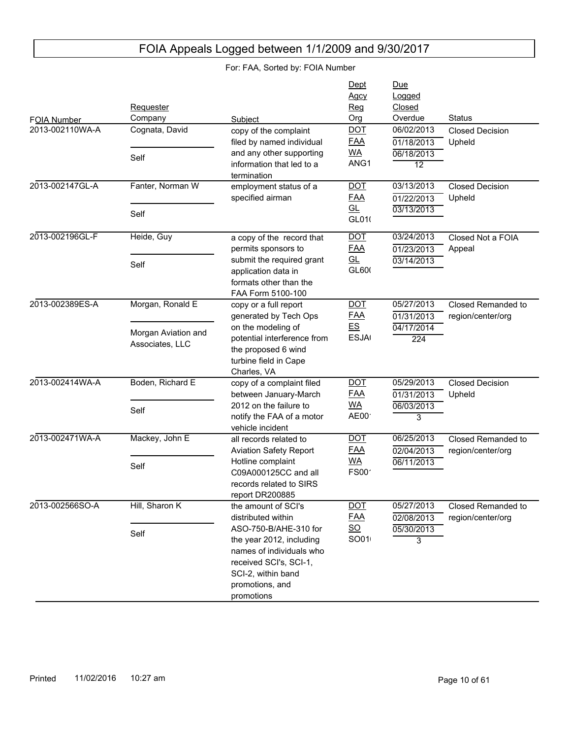| FOIA Number     | Requester<br>Company                   | Subject                                                                                                                                                        | Dept<br><u>Agcy</u><br><b>Reg</b><br>Org | Due<br>Logged<br>Closed<br>Overdue     | <b>Status</b>                           |
|-----------------|----------------------------------------|----------------------------------------------------------------------------------------------------------------------------------------------------------------|------------------------------------------|----------------------------------------|-----------------------------------------|
| 2013-002110WA-A | Cognata, David<br>Self                 | copy of the complaint<br>filed by named individual<br>and any other supporting                                                                                 | <b>DOT</b><br><b>FAA</b><br><b>WA</b>    | 06/02/2013<br>01/18/2013<br>06/18/2013 | <b>Closed Decision</b><br>Upheld        |
|                 |                                        | information that led to a<br>termination                                                                                                                       | ANG1                                     | 12                                     |                                         |
| 2013-002147GL-A | Fanter, Norman W                       | employment status of a<br>specified airman                                                                                                                     | <b>DOT</b><br><b>FAA</b>                 | 03/13/2013<br>01/22/2013               | <b>Closed Decision</b><br>Upheld        |
|                 | Self                                   |                                                                                                                                                                | GL<br>GL010                              | 03/13/2013                             |                                         |
| 2013-002196GL-F | Heide, Guy                             | a copy of the record that<br>permits sponsors to                                                                                                               | <b>DOT</b><br><b>FAA</b>                 | 03/24/2013<br>01/23/2013               | Closed Not a FOIA<br>Appeal             |
|                 | Self                                   | submit the required grant<br>application data in<br>formats other than the<br>FAA Form 5100-100                                                                | GL<br>GL600                              | 03/14/2013                             |                                         |
| 2013-002389ES-A | Morgan, Ronald E                       | copy or a full report<br>generated by Tech Ops                                                                                                                 | <b>DOT</b><br><b>FAA</b>                 | 05/27/2013<br>01/31/2013               | Closed Remanded to<br>region/center/org |
|                 | Morgan Aviation and<br>Associates, LLC | on the modeling of<br>potential interference from<br>the proposed 6 wind<br>turbine field in Cape<br>Charles, VA                                               | E.S<br><b>ESJA</b>                       | 04/17/2014<br>224                      |                                         |
| 2013-002414WA-A | Boden, Richard E                       | copy of a complaint filed<br>between January-March                                                                                                             | <b>DOT</b><br><b>FAA</b>                 | 05/29/2013<br>01/31/2013               | <b>Closed Decision</b><br>Upheld        |
|                 | Self                                   | 2012 on the failure to<br>notify the FAA of a motor<br>vehicle incident                                                                                        | <b>WA</b><br>AE00                        | 06/03/2013<br>3                        |                                         |
| 2013-002471WA-A | Mackey, John E                         | all records related to<br><b>Aviation Safety Report</b>                                                                                                        | <b>DOT</b><br><b>FAA</b>                 | 06/25/2013<br>02/04/2013               | Closed Remanded to<br>region/center/org |
|                 | Self                                   | Hotline complaint<br>C09A000125CC and all<br>records related to SIRS<br>report DR200885                                                                        | <b>WA</b><br>FS00 <sup>-</sup>           | 06/11/2013                             |                                         |
| 2013-002566SO-A | Hill, Sharon K                         | the amount of SCI's<br>distributed within                                                                                                                      | <b>DOT</b><br><b>FAA</b>                 | 05/27/2013<br>02/08/2013               | Closed Remanded to<br>region/center/org |
|                 | Self                                   | ASO-750-B/AHE-310 for<br>the year 2012, including<br>names of individuals who<br>received SCI's, SCI-1,<br>SCI-2, within band<br>promotions, and<br>promotions | $\underline{\mathsf{SO}}$<br>SO01        | 05/30/2013<br>$\overline{3}$           |                                         |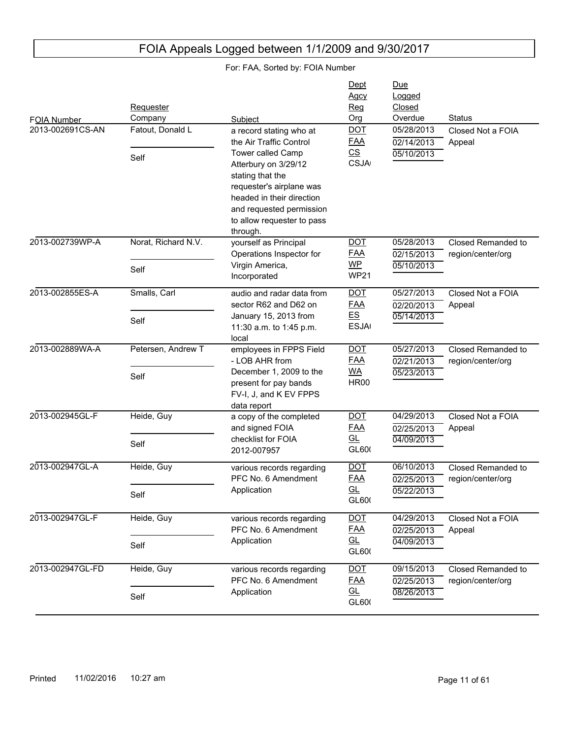| <b>FOIA Number</b><br>2013-002691CS-AN | Requester<br>Company<br>Fatout, Donald L | Subject                                                                                                                                                                                                                                            | Dept<br>Agcy<br>Reg<br>Org<br><b>DOT</b>                     | Due<br>Logged<br>Closed<br>Overdue<br>05/28/2013    | <b>Status</b>                           |
|----------------------------------------|------------------------------------------|----------------------------------------------------------------------------------------------------------------------------------------------------------------------------------------------------------------------------------------------------|--------------------------------------------------------------|-----------------------------------------------------|-----------------------------------------|
|                                        | Self                                     | a record stating who at<br>the Air Traffic Control<br>Tower called Camp<br>Atterbury on 3/29/12<br>stating that the<br>requester's airplane was<br>headed in their direction<br>and requested permission<br>to allow requester to pass<br>through. | <b>FAA</b><br>$\underline{\mathsf{CS}}$<br><b>CSJA</b>       | 02/14/2013<br>05/10/2013                            | Closed Not a FOIA<br>Appeal             |
| 2013-002739WP-A                        | Norat, Richard N.V.<br>Self              | yourself as Principal<br>Operations Inspector for<br>Virgin America,<br>Incorporated                                                                                                                                                               | <u>DOT</u><br><b>FAA</b><br><b>WP</b><br><b>WP21</b>         | 05/28/2013<br>02/15/2013<br>05/10/2013              | Closed Remanded to<br>region/center/org |
| 2013-002855ES-A                        | Smalls, Carl<br>Self                     | audio and radar data from<br>sector R62 and D62 on<br>January 15, 2013 from<br>11:30 a.m. to 1:45 p.m.<br>local                                                                                                                                    | <b>DOT</b><br><b>FAA</b><br>E.S<br><b>ESJA</b>               | 05/27/2013<br>02/20/2013<br>05/14/2013              | Closed Not a FOIA<br>Appeal             |
| 2013-002889WA-A                        | Petersen, Andrew T<br>Self               | employees in FPPS Field<br>- LOB AHR from<br>December 1, 2009 to the<br>present for pay bands<br>FV-I, J, and K EV FPPS<br>data report                                                                                                             | <b>DOT</b><br><b>FAA</b><br><u>WA</u><br><b>HR00</b>         | 05/27/2013<br>02/21/2013<br>05/23/2013              | Closed Remanded to<br>region/center/org |
| 2013-002945GL-F                        | Heide, Guy<br>Self                       | a copy of the completed<br>and signed FOIA<br>checklist for FOIA<br>2012-007957                                                                                                                                                                    | <b>DOT</b><br><b>FAA</b><br>$\underline{\text{GL}}$<br>GL600 | 04/29/2013<br>02/25/2013<br>04/09/2013              | Closed Not a FOIA<br>Appeal             |
| 2013-002947GL-A                        | Heide, Guy<br>Self                       | various records regarding<br>PFC No. 6 Amendment<br>Application                                                                                                                                                                                    | <b>DOT</b><br><b>FAA</b><br>GL<br>GL600                      | 06/10/2013<br>02/25/2013<br>05/22/2013              | Closed Remanded to<br>region/center/org |
| 2013-002947GL-F                        | Heide, Guy<br>Self                       | various records regarding<br>PFC No. 6 Amendment<br>Application                                                                                                                                                                                    | <b>DOT</b><br><b>FAA</b><br>GL<br>GL600                      | 04/29/2013<br>02/25/2013<br>04/09/2013              | Closed Not a FOIA<br>Appeal             |
| 2013-002947GL-FD                       | Heide, Guy<br>Self                       | various records regarding<br>PFC No. 6 Amendment<br>Application                                                                                                                                                                                    | <b>DOT</b><br><b>FAA</b><br>GL<br>GL600                      | 09/15/2013<br>$\overline{02/25}/2013$<br>08/26/2013 | Closed Remanded to<br>region/center/org |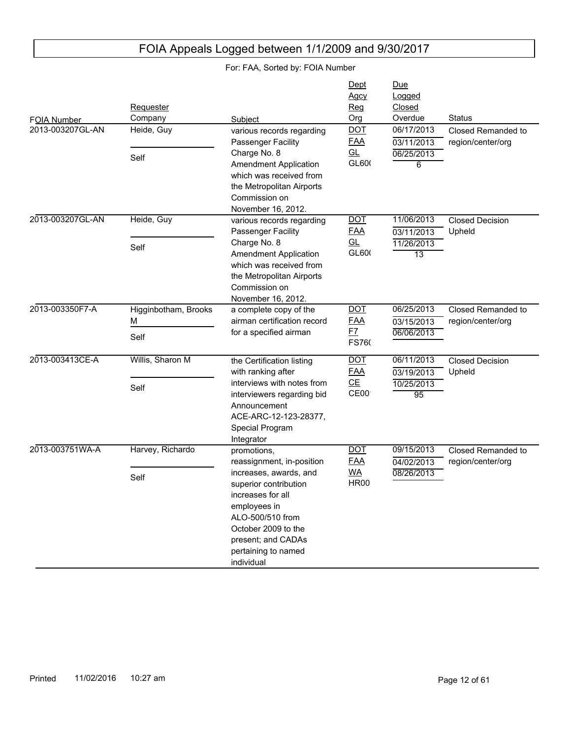#### FOIA Number Due Logged Closed Subject Crg Overdue Status<br>
various records regarding DOT 06/17/2013 Closed Requester **Company Dept** Agcy Reg Org 2013-003207GL-AN 06/25/2013 6 03/11/2013 Closed Remanded to region/center/org various records regarding Passenger Facility Charge No. 8 Amendment Application which was received from the Metropolitan Airports Commission on November 16, 2012. Heide, Guy Self DOT FAA GL GL600 2013-003207GL-AN 11/26/2013 13 03/11/2013 11/06/2013 Closed Decision Upheld various records regarding Passenger Facility Charge No. 8 Amendment Application which was received from the Metropolitan Airports Commission on November 16, 2012. Heide, Guy Self DOT FAA GL GL600 2013-003350F7-A 06/06/2013 03/15/2013 06/25/2013 Closed Remanded to region/center/org a complete copy of the airman certification record for a specified airman Higginbotham, Brooks M Self DOT FAA F7 **FS760** 2013-003413CE-A 10/25/2013 95 03/19/2013 06/11/2013 Closed Decision Upheld the Certification listing with ranking after interviews with notes from interviewers regarding bid Announcement ACE-ARC-12-123-28377, Special Program Integrator Willis, Sharon M Self DOT FAA CE CE00 2013-003751WA-A 08/26/2013 04/02/2013 09/15/2013 Closed Remanded to region/center/org promotions, reassignment, in-position increases, awards, and superior contribution increases for all employees in ALO-500/510 from October 2009 to the present; and CADAs pertaining to named individual Harvey, Richardo Self DOT FAA WA HR001

FOIA Appeals Logged between 1/1/2009 and 9/30/2017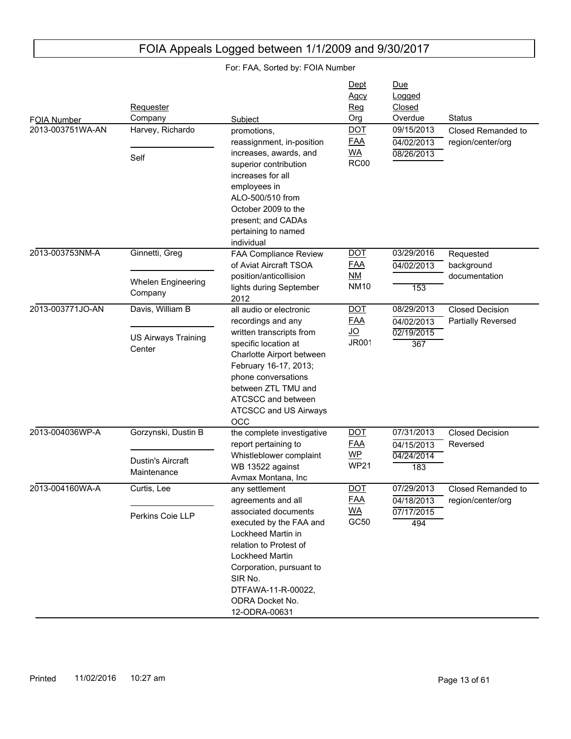| FOIA Number      | Requester<br>Company                            | Subject                                                                                                                                                                                                                                 | Dept<br><u>Agcy</u><br><u>Reg</u><br>Org             | Due<br>Logged<br>Closed<br>Overdue            | Status                                  |
|------------------|-------------------------------------------------|-----------------------------------------------------------------------------------------------------------------------------------------------------------------------------------------------------------------------------------------|------------------------------------------------------|-----------------------------------------------|-----------------------------------------|
| 2013-003751WA-AN | Harvey, Richardo                                | promotions,<br>reassignment, in-position                                                                                                                                                                                                | <b>DOT</b><br><b>FAA</b>                             | 09/15/2013<br>04/02/2013                      | Closed Remanded to<br>region/center/org |
|                  | Self                                            | increases, awards, and<br>superior contribution<br>increases for all<br>employees in<br>ALO-500/510 from<br>October 2009 to the<br>present; and CADAs<br>pertaining to named<br>individual                                              | <b>WA</b><br><b>RC00</b>                             | 08/26/2013                                    |                                         |
| 2013-003753NM-A  | Ginnetti, Greg                                  | FAA Compliance Review<br>of Aviat Aircraft TSOA                                                                                                                                                                                         | <b>DOT</b><br><u>FAA</u>                             | 03/29/2016<br>04/02/2013                      | Requested<br>background                 |
|                  | <b>Whelen Engineering</b><br>Company            | position/anticollision<br>lights during September<br>2012                                                                                                                                                                               | NM<br><b>NM10</b>                                    | 153                                           | documentation                           |
| 2013-003771JO-AN | Davis, William B                                | all audio or electronic                                                                                                                                                                                                                 | <b>DOT</b>                                           | 08/29/2013                                    | <b>Closed Decision</b>                  |
|                  | <b>US Airways Training</b><br>Center            | recordings and any<br>written transcripts from<br>specific location at<br>Charlotte Airport between<br>February 16-17, 2013;<br>phone conversations<br>between ZTL TMU and<br>ATCSCC and between<br>ATCSCC and US Airways<br><b>OCC</b> | <u>FAA</u><br><u>JO</u><br><b>JR001</b>              | 04/02/2013<br>02/19/2015<br>367               | Partially Reversed                      |
| 2013-004036WP-A  | Gorzynski, Dustin B<br><b>Dustin's Aircraft</b> | the complete investigative<br>report pertaining to<br>Whistleblower complaint<br>WB 13522 against                                                                                                                                       | <b>DOT</b><br><b>FAA</b><br><b>WP</b><br><b>WP21</b> | 07/31/2013<br>04/15/2013<br>04/24/2014<br>183 | <b>Closed Decision</b><br>Reversed      |
|                  | Maintenance                                     | Avmax Montana, Inc.                                                                                                                                                                                                                     |                                                      |                                               |                                         |
| 2013-004160WA-A  | Curtis, Lee                                     | any settlement<br>agreements and all                                                                                                                                                                                                    | <b>DOT</b><br><b>FAA</b>                             | 07/29/2013<br>04/18/2013                      | Closed Remanded to<br>region/center/org |
|                  | Perkins Coie LLP                                | associated documents<br>executed by the FAA and<br>Lockheed Martin in<br>relation to Protest of<br><b>Lockheed Martin</b><br>Corporation, pursuant to<br>SIR No.<br>DTFAWA-11-R-00022,<br>ODRA Docket No.<br>12-ODRA-00631              | <u>WA</u><br>GC50                                    | 07/17/2015<br>494                             |                                         |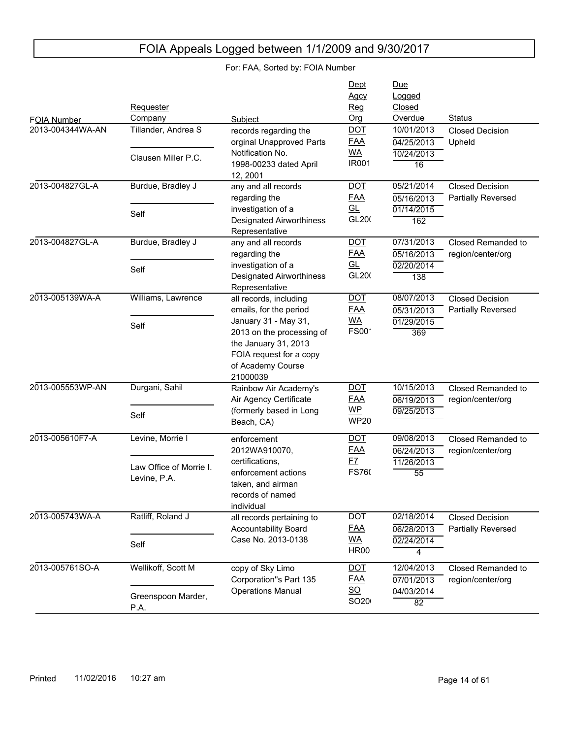| FOIA Number      | Requester<br>Company                                        | Subject                                                                                                                                                                                   | Dept<br><b>Agcy</b><br>Reg<br>Org                             | Due<br>Logged<br>Closed<br>Overdue            | <b>Status</b>                                |
|------------------|-------------------------------------------------------------|-------------------------------------------------------------------------------------------------------------------------------------------------------------------------------------------|---------------------------------------------------------------|-----------------------------------------------|----------------------------------------------|
| 2013-004344WA-AN | Tillander, Andrea S<br>Clausen Miller P.C.                  | records regarding the<br>orginal Unapproved Parts<br>Notification No.<br>1998-00233 dated April<br>12, 2001                                                                               | <b>DOT</b><br><b>FAA</b><br><b>WA</b><br><b>IR001</b>         | 10/01/2013<br>04/25/2013<br>10/24/2013<br>16  | <b>Closed Decision</b><br>Upheld             |
| 2013-004827GL-A  | Burdue, Bradley J<br>Self                                   | any and all records<br>regarding the<br>investigation of a<br><b>Designated Airworthiness</b><br>Representative                                                                           | <b>DOT</b><br><u>FAA</u><br>GL<br>GL200                       | 05/21/2014<br>05/16/2013<br>01/14/2015<br>162 | <b>Closed Decision</b><br>Partially Reversed |
| 2013-004827GL-A  | Burdue, Bradley J<br>Self                                   | any and all records<br>regarding the<br>investigation of a<br><b>Designated Airworthiness</b><br>Representative                                                                           | <b>DOT</b><br><u>FAA</u><br>GL<br>GL200                       | 07/31/2013<br>05/16/2013<br>02/20/2014<br>138 | Closed Remanded to<br>region/center/org      |
| 2013-005139WA-A  | Williams, Lawrence<br>Self                                  | all records, including<br>emails, for the period<br>January 31 - May 31,<br>2013 on the processing of<br>the January 31, 2013<br>FOIA request for a copy<br>of Academy Course<br>21000039 | <b>DOT</b><br><u>FAA</u><br><b>WA</b><br><b>FS00</b>          | 08/07/2013<br>05/31/2013<br>01/29/2015<br>369 | <b>Closed Decision</b><br>Partially Reversed |
| 2013-005553WP-AN | Durgani, Sahil<br>Self                                      | Rainbow Air Academy's<br>Air Agency Certificate<br>(formerly based in Long<br>Beach, CA)                                                                                                  | <b>DOT</b><br><u>FAA</u><br><b>WP</b><br><b>WP20</b>          | 10/15/2013<br>06/19/2013<br>09/25/2013        | Closed Remanded to<br>region/center/org      |
| 2013-005610F7-A  | Levine, Morrie I<br>Law Office of Morrie I.<br>Levine, P.A. | enforcement<br>2012WA910070,<br>certifications,<br>enforcement actions<br>taken, and airman<br>records of named<br>individual                                                             | <b>DOT</b><br><u>FAA</u><br><u>F7</u><br>FS760                | 09/08/2013<br>06/24/2013<br>11/26/2013<br>55  | Closed Remanded to<br>region/center/org      |
| 2013-005743WA-A  | Ratliff, Roland J<br>Self                                   | all records pertaining to<br>Accountability Board<br>Case No. 2013-0138                                                                                                                   | <b>DOT</b><br><u>FAA</u><br><b>WA</b><br><b>HR00</b>          | 02/18/2014<br>06/28/2013<br>02/24/2014<br>4   | <b>Closed Decision</b><br>Partially Reversed |
| 2013-005761SO-A  | Wellikoff, Scott M<br>Greenspoon Marder,<br>P.A.            | copy of Sky Limo<br>Corporation"s Part 135<br><b>Operations Manual</b>                                                                                                                    | <b>DOT</b><br><u>FAA</u><br>$\underline{\mathsf{SO}}$<br>SO20 | 12/04/2013<br>07/01/2013<br>04/03/2014<br>82  | Closed Remanded to<br>region/center/org      |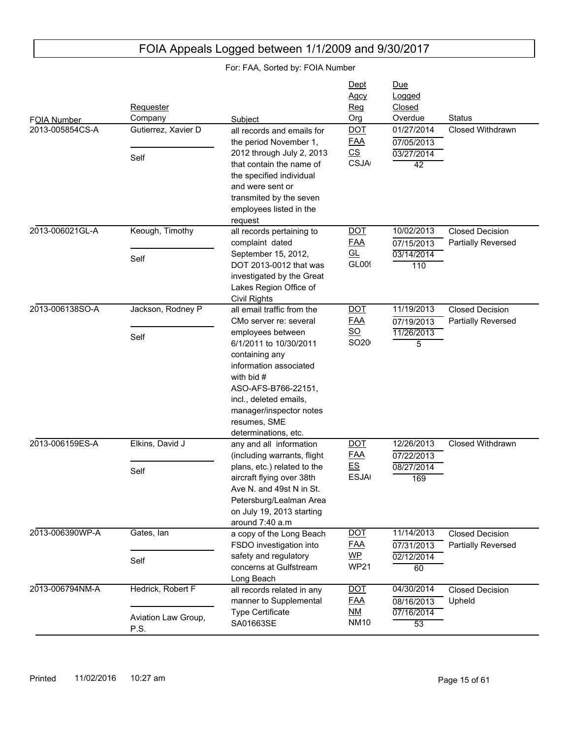#### FOIA Number Due Logged Closed Subject **Contact Contact Contact Contact Contact Contact Contact Contact Contact Contact Contact Contact Contact Contact Contact Contact Contact Contact Contact Contact Contact Contact Contact Contact Contact Contact Conta Requester** Company **Dept** Agcy Reg Org 2013-005854CS-A 03/27/2014 42 07/05/2013 all records and emails for 01/27/2014 Closed Withdrawn the period November 1, 2012 through July 2, 2013 that contain the name of the specified individual and were sent or transmited by the seven employees listed in the request Gutierrez, Xavier D Self DOT FAA CS **CSJA** 2013-006021GL-A 03/14/2014 110 07/15/2013 10/02/2013 Closed Decision Partially Reversed all records pertaining to complaint dated September 15, 2012, DOT 2013-0012 that was investigated by the Great Lakes Region Office of Civil Rights Keough, Timothy Self DOT FAA GL **GL00**9 2013-006138SO-A 11/26/2013 5 07/19/2013 11/19/2013 Closed Decision Partially Reversed all email traffic from the CMo server re: several employees between 6/1/2011 to 10/30/2011 containing any information associated with bid # ASO-AFS-B766-22151, incl., deleted emails, manager/inspector notes resumes, SME determinations, etc. Jackson, Rodney P Self DOT FAA SO SO<sub>20</sub> 2013-006159ES-A 08/27/2014 169 07/22/2013 any and all information DOT 12/26/2013 Closed Withdrawn (including warrants, flight plans, etc.) related to the aircraft flying over 38th Ave N. and 49st N in St. Petersburg/Lealman Area on July 19, 2013 starting around 7:40 a.m Elkins, David J Self DOT FAA ES **ESJA** 2013-006390WP-A 02/12/2014 60 07/31/2013 11/14/2013 Closed Decision Partially Reversed a copy of the Long Beach FSDO investigation into safety and regulatory concerns at Gulfstream Long Beach Gates, Ian Self DOT FAA WP **WP21** 2013-006794NM-A 07/16/2014 53 08/16/2013 04/30/2014 Closed Decision Upheld all records related in any manner to Supplemental Type Certificate SA01663SE Hedrick, Robert F Aviation Law Group, P.S. DOT FAA NM **NM10**

## FOIA Appeals Logged between 1/1/2009 and 9/30/2017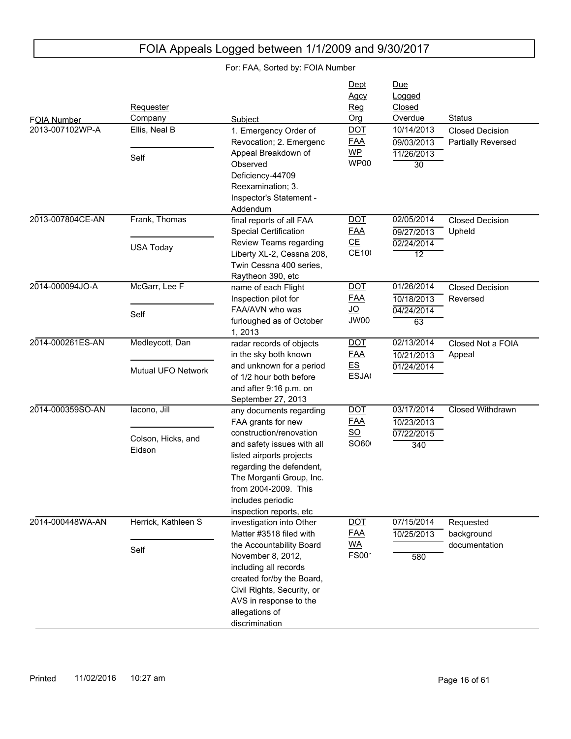| For: FAA, Sorted by: FOIA Number |                              |                                                                                                                                                                                                                   |                                   |                                           |                                    |
|----------------------------------|------------------------------|-------------------------------------------------------------------------------------------------------------------------------------------------------------------------------------------------------------------|-----------------------------------|-------------------------------------------|------------------------------------|
| FOIA Number                      | Requester<br>Company         | Subject                                                                                                                                                                                                           | Dept<br><b>Agcy</b><br>Req<br>Org | <u>Due</u><br>Logged<br>Closed<br>Overdue | <b>Status</b>                      |
| 2013-007102WP-A                  | Ellis, Neal B                | 1. Emergency Order of                                                                                                                                                                                             | <b>DOT</b>                        | 10/14/2013                                | <b>Closed Decision</b>             |
|                                  |                              | Revocation; 2. Emergenc<br>Appeal Breakdown of                                                                                                                                                                    | <b>FAA</b><br>$WP$                | 09/03/2013<br>11/26/2013                  | Partially Reversed                 |
|                                  | Self                         | Observed<br>Deficiency-44709<br>Reexamination; 3.<br>Inspector's Statement -<br>Addendum                                                                                                                          | WP00                              | 30                                        |                                    |
| 2013-007804CE-AN                 | Frank, Thomas                | final reports of all FAA<br><b>Special Certification</b>                                                                                                                                                          | <b>DOT</b><br><u>FAA</u>          | 02/05/2014<br>09/27/2013                  | <b>Closed Decision</b><br>Upheld   |
|                                  | <b>USA Today</b>             | Review Teams regarding<br>Liberty XL-2, Cessna 208,<br>Twin Cessna 400 series,<br>Raytheon 390, etc                                                                                                               | CE<br><b>CE10</b>                 | 02/24/2014<br>$\overline{12}$             |                                    |
| 2014-000094JO-A                  | McGarr, Lee F                | name of each Flight<br>Inspection pilot for                                                                                                                                                                       | <b>DOT</b><br><u>FAA</u>          | 01/26/2014<br>10/18/2013                  | <b>Closed Decision</b><br>Reversed |
|                                  | Self                         | FAA/AVN who was<br>furloughed as of October<br>1,2013                                                                                                                                                             | <u>JO</u><br>JW00                 | 04/24/2014<br>63                          |                                    |
| 2014-000261ES-AN                 | Medleycott, Dan              | radar records of objects<br>in the sky both known                                                                                                                                                                 | <b>DOT</b><br><u>FAA</u>          | 02/13/2014<br>10/21/2013                  | Closed Not a FOIA<br>Appeal        |
|                                  | Mutual UFO Network           | and unknown for a period<br>of 1/2 hour both before<br>and after 9:16 p.m. on<br>September 27, 2013                                                                                                               | E.S<br><b>ESJA</b>                | 01/24/2014                                |                                    |
| 2014-000359SO-AN                 | lacono, Jill                 | any documents regarding<br>FAA grants for new                                                                                                                                                                     | <b>DOT</b><br><u>FAA</u>          | 03/17/2014<br>10/23/2013                  | Closed Withdrawn                   |
|                                  | Colson, Hicks, and<br>Eidson | construction/renovation<br>and safety issues with all<br>listed airports projects<br>regarding the defendent,<br>The Morganti Group, Inc.<br>from 2004-2009. This<br>includes periodic<br>inspection reports, etc | $\underline{SO}$<br>SO60          | 07/22/2015<br>340                         |                                    |
| 2014-000448WA-AN                 | Herrick, Kathleen S          | investigation into Other<br>Matter #3518 filed with                                                                                                                                                               | <b>DOT</b><br><u>FAA</u>          | 07/15/2014<br>10/25/2013                  | Requested<br>background            |
|                                  | Self                         | the Accountability Board<br>November 8, 2012,<br>including all records<br>created for/by the Board,<br>Civil Rights, Security, or<br>AVS in response to the<br>allegations of<br>discrimination                   | <u>WA</u><br>FS00 <sup>-</sup>    | 580                                       | documentation                      |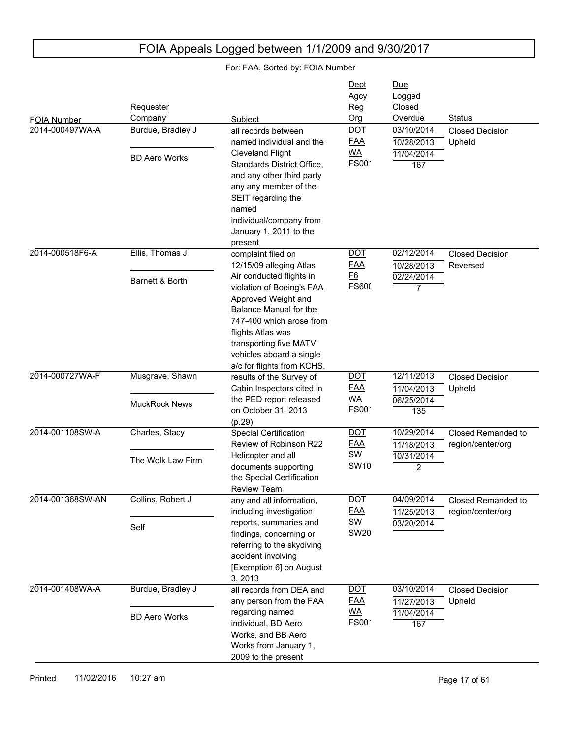#### FOIA Number Due Logged Closed Subject **Contact Contact Contact Contact Contact Contact Contact Contact Contact Contact Contact Contact Contact Contact Contact Contact Contact Contact Contact Contact Contact Contact Contact Contact Contact Contact Conta** Requester Company Dept Agcy Reg Org 2014-000497WA-A 11/04/2014 167 10/28/2013 03/10/2014 Closed Decision Upheld all records between named individual and the Cleveland Flight Standards District Office, and any other third party any any member of the SEIT regarding the named individual/company from January 1, 2011 to the present Burdue, Bradley J BD Aero Works DOT FAA WA  $FS00'$ 2014-000518F6-A 02/24/2014 7 10/28/2013 02/12/2014 Closed Decision Reversed complaint filed on 12/15/09 alleging Atlas Air conducted flights in violation of Boeing's FAA Approved Weight and Balance Manual for the 747-400 which arose from flights Atlas was transporting five MATV vehicles aboard a single a/c for flights from KCHS. Ellis, Thomas J Barnett & Borth **DOT** FAA F6 **FS600** 2014-000727WA-F 06/25/2014 135 11/04/2013 12/11/2013 Closed Decision Upheld results of the Survey of Cabin Inspectors cited in the PED report released on October 31, 2013 (p.29) Musgrave, Shawn MuckRock News DOT FAA WA  $FSOO<sup>2</sup>$ 2014-001108SW-A 10/31/2014 2 11/18/2013 10/29/2014 Closed Remanded to region/center/org Special Certification Review of Robinson R22 Helicopter and all documents supporting the Special Certification Review Team Charles, Stacy The Wolk Law Firm DOT FAA SW **SW10** 2014-001368SW-AN 03/20/2014 11/25/2013 04/09/2014 Closed Remanded to region/center/org any and all information, including investigation reports, summaries and findings, concerning or referring to the skydiving accident involving [Exemption 6] on August 3, 2013 Collins, Robert J Self DOT FAA SW **SW20** 2014-001408WA-A 11/04/2014 167 11/27/2013 03/10/2014 Closed Decision Upheld all records from DEA and any person from the FAA regarding named individual, BD Aero Works, and BB Aero Works from January 1, 2009 to the present Burdue, Bradley J BD Aero Works DOT FAA WA  $FSOO<sup>2</sup>$

## FOIA Appeals Logged between 1/1/2009 and 9/30/2017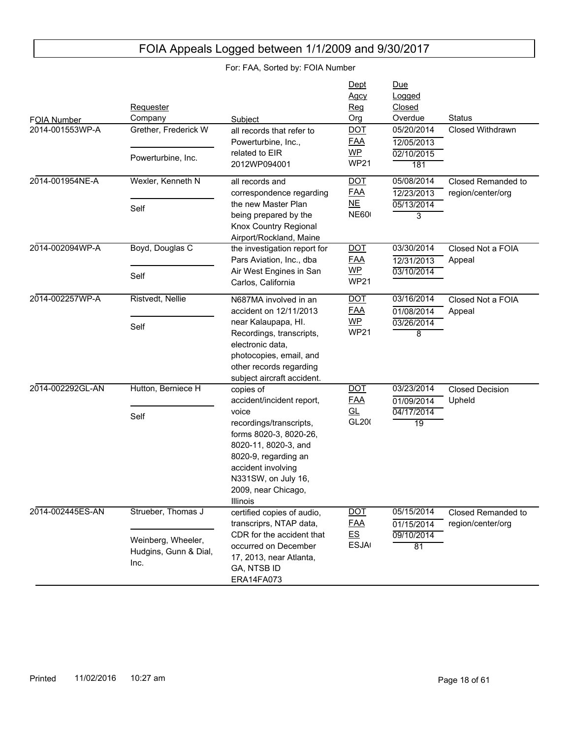| FOIA Number<br>2014-001553WP-A | Requester<br>Company<br>Grether, Frederick W<br>Powerturbine, Inc.        | Subject<br>all records that refer to<br>Powerturbine, Inc.,<br>related to EIR<br>2012WP094001                                                                                                                                        | Dept<br>Agcy<br>Reg<br>Org<br><b>DOT</b><br><b>FAA</b><br><b>WP</b><br><b>WP21</b> | Due<br>Logged<br>Closed<br>Overdue<br>05/20/2014<br>12/05/2013<br>02/10/2015<br>181 | <b>Status</b><br><b>Closed Withdrawn</b> |
|--------------------------------|---------------------------------------------------------------------------|--------------------------------------------------------------------------------------------------------------------------------------------------------------------------------------------------------------------------------------|------------------------------------------------------------------------------------|-------------------------------------------------------------------------------------|------------------------------------------|
| 2014-001954NE-A                | Wexler, Kenneth N<br>Self                                                 | all records and<br>correspondence regarding<br>the new Master Plan<br>being prepared by the<br>Knox Country Regional<br>Airport/Rockland, Maine                                                                                      | <b>DOT</b><br><b>FAA</b><br>N <sub>E</sub><br><b>NE600</b>                         | 05/08/2014<br>12/23/2013<br>05/13/2014<br>3                                         | Closed Remanded to<br>region/center/org  |
| 2014-002094WP-A                | Boyd, Douglas C<br>Self                                                   | the investigation report for<br>Pars Aviation, Inc., dba<br>Air West Engines in San<br>Carlos, California                                                                                                                            | <b>DOT</b><br><b>FAA</b><br>WP<br><b>WP21</b>                                      | 03/30/2014<br>12/31/2013<br>03/10/2014                                              | Closed Not a FOIA<br>Appeal              |
| 2014-002257WP-A                | Ristvedt, Nellie<br>Self                                                  | N687MA involved in an<br>accident on 12/11/2013<br>near Kalaupapa, HI.<br>Recordings, transcripts,<br>electronic data,<br>photocopies, email, and<br>other records regarding<br>subject aircraft accident.                           | <b>DOT</b><br><b>FAA</b><br>$WP$<br><b>WP21</b>                                    | 03/16/2014<br>01/08/2014<br>03/26/2014<br>8                                         | Closed Not a FOIA<br>Appeal              |
| 2014-002292GL-AN               | Hutton, Berniece H<br>Self                                                | copies of<br>accident/incident report,<br>voice<br>recordings/transcripts,<br>forms 8020-3, 8020-26,<br>8020-11, 8020-3, and<br>8020-9, regarding an<br>accident involving<br>N331SW, on July 16,<br>2009, near Chicago,<br>Illinois | <b>DOT</b><br><b>FAA</b><br>GL<br>GL200                                            | 03/23/2014<br>01/09/2014<br>04/17/2014<br>$\overline{19}$                           | <b>Closed Decision</b><br>Upheld         |
| 2014-002445ES-AN               | Strueber, Thomas J<br>Weinberg, Wheeler,<br>Hudgins, Gunn & Dial,<br>Inc. | certified copies of audio,<br>transcriprs, NTAP data,<br>CDR for the accident that<br>occurred on December<br>17, 2013, near Atlanta,<br>GA, NTSB ID<br>ERA14FA073                                                                   | <b>DOT</b><br><b>FAA</b><br>E S<br><b>ESJA</b>                                     | 05/15/2014<br>01/15/2014<br>09/10/2014<br>81                                        | Closed Remanded to<br>region/center/org  |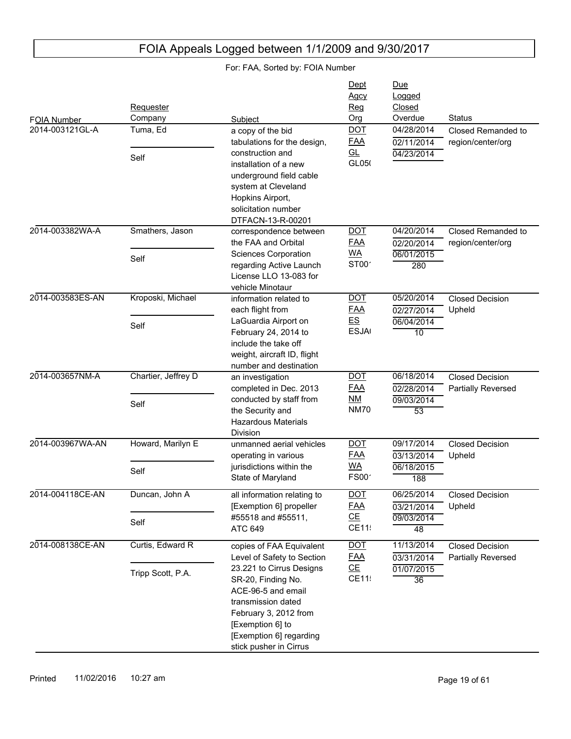|                                | Requester<br>Company |                                                                                                                                                                                              | Dept<br><u>Agcy</u><br>Reg<br>Org | Due<br>Logged<br>Closed<br>Overdue | Status                                              |
|--------------------------------|----------------------|----------------------------------------------------------------------------------------------------------------------------------------------------------------------------------------------|-----------------------------------|------------------------------------|-----------------------------------------------------|
| FOIA Number<br>2014-003121GL-A | Tuma, Ed             | Subject<br>a copy of the bid<br>tabulations for the design,                                                                                                                                  | <b>DOT</b><br><b>FAA</b>          | 04/28/2014<br>02/11/2014           | Closed Remanded to<br>region/center/org             |
|                                | Self                 | construction and<br>installation of a new<br>underground field cable<br>system at Cleveland<br>Hopkins Airport,<br>solicitation number<br>DTFACN-13-R-00201                                  | <u>GL</u><br>GL050                | 04/23/2014                         |                                                     |
| 2014-003382WA-A                | Smathers, Jason      | correspondence between<br>the FAA and Orbital                                                                                                                                                | <b>DOT</b><br><b>FAA</b>          | 04/20/2014<br>02/20/2014           | Closed Remanded to<br>region/center/org             |
|                                | Self                 | <b>Sciences Corporation</b><br>regarding Active Launch<br>License LLO 13-083 for<br>vehicle Minotaur                                                                                         | <b>WA</b><br>ST00 <sup>-</sup>    | 06/01/2015<br>280                  |                                                     |
| 2014-003583ES-AN               | Kroposki, Michael    | information related to<br>each flight from                                                                                                                                                   | <b>DOT</b><br><b>FAA</b>          | 05/20/2014<br>02/27/2014           | <b>Closed Decision</b><br>Upheld                    |
|                                | Self                 | LaGuardia Airport on<br>February 24, 2014 to<br>include the take off<br>weight, aircraft ID, flight<br>number and destination                                                                | E.S<br><b>ESJA</b>                | 06/04/2014<br>$\overline{10}$      |                                                     |
| 2014-003657NM-A                | Chartier, Jeffrey D  | an investigation<br>completed in Dec. 2013                                                                                                                                                   | <u>DOT</u><br><b>FAA</b>          | 06/18/2014<br>02/28/2014           | <b>Closed Decision</b><br>Partially Reversed        |
|                                | Self                 | conducted by staff from<br>the Security and<br><b>Hazardous Materials</b><br>Division                                                                                                        | NM<br><b>NM70</b>                 | 09/03/2014<br>$\overline{53}$      |                                                     |
| 2014-003967WA-AN               | Howard, Marilyn E    | unmanned aerial vehicles<br>operating in various                                                                                                                                             | <u>DOT</u><br><u>FAA</u>          | 09/17/2014<br>03/13/2014           | <b>Closed Decision</b><br>Upheld                    |
|                                | Self                 | jurisdictions within the<br>State of Maryland                                                                                                                                                | <b>WA</b><br>FS00 <sup>-</sup>    | 06/18/2015<br>188                  |                                                     |
| 2014-004118CE-AN               | Duncan, John A       | all information relating to<br>[Exemption 6] propeller                                                                                                                                       | <b>DOT</b><br><u>FAA</u>          | 06/25/2014<br>03/21/2014           | Closed Decision<br>Upheld                           |
|                                | Self                 | #55518 and #55511,<br>ATC 649                                                                                                                                                                | CE<br>CE11:                       | 09/03/2014<br>48                   |                                                     |
| 2014-008138CE-AN               | Curtis, Edward R     | copies of FAA Equivalent<br>Level of Safety to Section                                                                                                                                       | <b>DOT</b><br><b>FAA</b>          | 11/13/2014<br>03/31/2014           | <b>Closed Decision</b><br><b>Partially Reversed</b> |
|                                | Tripp Scott, P.A.    | 23.221 to Cirrus Designs<br>SR-20, Finding No.<br>ACE-96-5 and email<br>transmission dated<br>February 3, 2012 from<br>[Exemption 6] to<br>[Exemption 6] regarding<br>stick pusher in Cirrus | CE<br>CE11:                       | 01/07/2015<br>36                   |                                                     |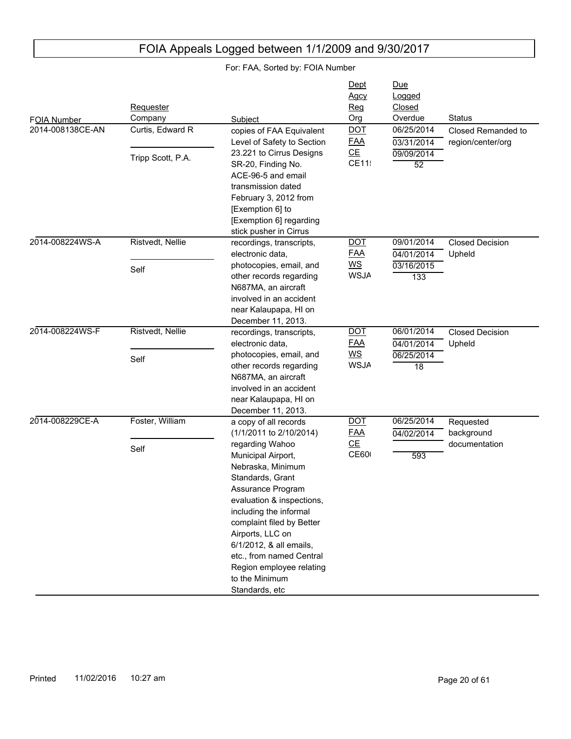|                                 | Requester         |                                                                                                                                                                                                                                                                                                                                    | Dept<br><b>Agcy</b><br>Req               | Due<br>Logged<br>Closed       |                                         |
|---------------------------------|-------------------|------------------------------------------------------------------------------------------------------------------------------------------------------------------------------------------------------------------------------------------------------------------------------------------------------------------------------------|------------------------------------------|-------------------------------|-----------------------------------------|
|                                 | Company           | Subject                                                                                                                                                                                                                                                                                                                            | Org                                      | Overdue                       | <b>Status</b>                           |
| FOIA Number<br>2014-008138CE-AN | Curtis, Edward R  | copies of FAA Equivalent<br>Level of Safety to Section                                                                                                                                                                                                                                                                             | <b>DOT</b><br><b>FAA</b>                 | 06/25/2014<br>03/31/2014      | Closed Remanded to<br>region/center/org |
|                                 | Tripp Scott, P.A. | 23.221 to Cirrus Designs<br>SR-20, Finding No.<br>ACE-96-5 and email<br>transmission dated<br>February 3, 2012 from<br>[Exemption 6] to<br>[Exemption 6] regarding<br>stick pusher in Cirrus                                                                                                                                       | CE<br>CE11                               | 09/09/2014<br>$\overline{52}$ |                                         |
| 2014-008224WS-A                 | Ristvedt, Nellie  | recordings, transcripts,<br>electronic data,                                                                                                                                                                                                                                                                                       | <b>DOT</b><br><u>FAA</u>                 | 09/01/2014<br>04/01/2014      | <b>Closed Decision</b><br>Upheld        |
|                                 | Self              | photocopies, email, and<br>other records regarding<br>N687MA, an aircraft<br>involved in an accident<br>near Kalaupapa, HI on<br>December 11, 2013.                                                                                                                                                                                | $\underline{\mathsf{WS}}$<br><b>WSJA</b> | 03/16/2015<br>133             |                                         |
| 2014-008224WS-F                 | Ristvedt, Nellie  | recordings, transcripts,<br>electronic data,                                                                                                                                                                                                                                                                                       | <b>DOT</b><br><b>FAA</b>                 | 06/01/2014<br>04/01/2014      | <b>Closed Decision</b><br>Upheld        |
|                                 | Self              | photocopies, email, and<br>other records regarding<br>N687MA, an aircraft<br>involved in an accident<br>near Kalaupapa, HI on<br>December 11, 2013.                                                                                                                                                                                | $\underline{\mathsf{WS}}$<br><b>WSJA</b> | 06/25/2014<br>18              |                                         |
| 2014-008229CE-A                 | Foster, William   | a copy of all records<br>(1/1/2011 to 2/10/2014)                                                                                                                                                                                                                                                                                   | <b>DOT</b><br><u>FAA</u>                 | 06/25/2014<br>04/02/2014      | Requested<br>background                 |
|                                 | Self              | regarding Wahoo<br>Municipal Airport,<br>Nebraska, Minimum<br>Standards, Grant<br>Assurance Program<br>evaluation & inspections,<br>including the informal<br>complaint filed by Better<br>Airports, LLC on<br>6/1/2012, & all emails,<br>etc., from named Central<br>Region employee relating<br>to the Minimum<br>Standards, etc | CE<br><b>CE60</b>                        | 593                           | documentation                           |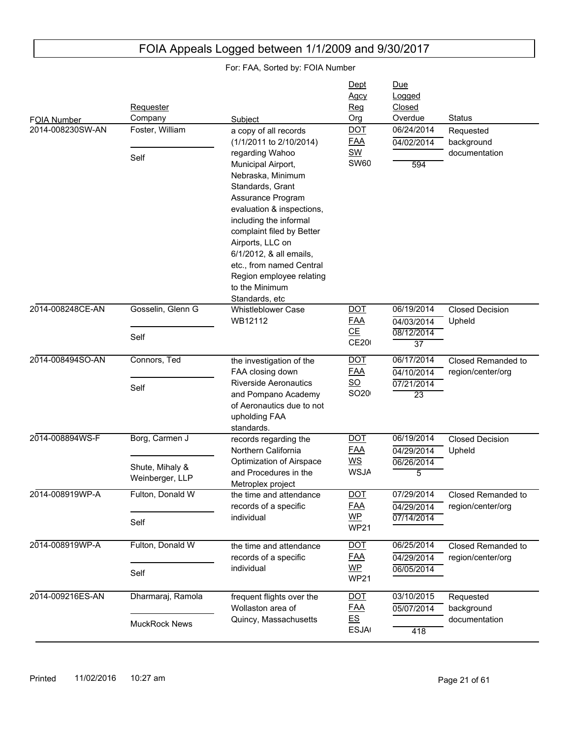|                                        | Requester                                                                        |                                                                                                                                                                                                                                                                                                                                                                                                   | Dept<br>Agcy<br>Reg                                                                                   | Due<br>Logged<br>Closed                                                                            |                                                                             |
|----------------------------------------|----------------------------------------------------------------------------------|---------------------------------------------------------------------------------------------------------------------------------------------------------------------------------------------------------------------------------------------------------------------------------------------------------------------------------------------------------------------------------------------------|-------------------------------------------------------------------------------------------------------|----------------------------------------------------------------------------------------------------|-----------------------------------------------------------------------------|
| <b>FOIA Number</b><br>2014-008230SW-AN | Company<br>Foster, William<br>Self                                               | Subject<br>a copy of all records<br>(1/1/2011 to 2/10/2014)<br>regarding Wahoo<br>Municipal Airport,<br>Nebraska, Minimum<br>Standards, Grant<br>Assurance Program<br>evaluation & inspections,<br>including the informal<br>complaint filed by Better<br>Airports, LLC on<br>6/1/2012, & all emails,<br>etc., from named Central<br>Region employee relating<br>to the Minimum<br>Standards, etc | Org<br><b>DOT</b><br><b>FAA</b><br><b>SW</b><br><b>SW60</b>                                           | Overdue<br>06/24/2014<br>04/02/2014<br>594                                                         | <b>Status</b><br>Requested<br>background<br>documentation                   |
| 2014-008248CE-AN                       | Gosselin, Glenn G<br>Self                                                        | <b>Whistleblower Case</b><br>WB12112                                                                                                                                                                                                                                                                                                                                                              | <b>DOT</b><br><b>FAA</b><br>CE<br><b>CE20</b>                                                         | 06/19/2014<br>04/03/2014<br>08/12/2014<br>$\overline{37}$                                          | <b>Closed Decision</b><br>Upheld                                            |
| 2014-008494SO-AN                       | Connors, Ted<br>Self                                                             | the investigation of the<br>FAA closing down<br><b>Riverside Aeronautics</b><br>and Pompano Academy<br>of Aeronautics due to not<br>upholding FAA<br>standards.                                                                                                                                                                                                                                   | <b>DOT</b><br><u>FAA</u><br>SO<br>SO <sub>20</sub>                                                    | 06/17/2014<br>04/10/2014<br>07/21/2014<br>$\overline{23}$                                          | Closed Remanded to<br>region/center/org                                     |
| 2014-008894WS-F<br>2014-008919WP-A     | Borg, Carmen J<br>Shute, Mihaly &<br>Weinberger, LLP<br>Fulton, Donald W<br>Self | records regarding the<br>Northern California<br>Optimization of Airspace<br>and Procedures in the<br>Metroplex project<br>the time and attendance<br>records of a specific<br>individual                                                                                                                                                                                                          | <b>DOT</b><br><u>FAA</u><br>WS<br><b>WSJA</b><br><b>DOT</b><br><u>FAA</u><br><b>WP</b><br><b>WP21</b> | 06/19/2014<br>04/29/2014<br>06/26/2014<br>$\overline{5}$<br>07/29/2014<br>04/29/2014<br>07/14/2014 | <b>Closed Decision</b><br>Upheld<br>Closed Remanded to<br>region/center/org |
| 2014-008919WP-A                        | Fulton, Donald W<br>Self                                                         | the time and attendance<br>records of a specific<br>individual                                                                                                                                                                                                                                                                                                                                    | <b>DOT</b><br><b>FAA</b><br>$WP$<br><b>WP21</b>                                                       | 06/25/2014<br>04/29/2014<br>06/05/2014                                                             | Closed Remanded to<br>region/center/org                                     |
| 2014-009216ES-AN                       | Dharmaraj, Ramola<br><b>MuckRock News</b>                                        | frequent flights over the<br>Wollaston area of<br>Quincy, Massachusetts                                                                                                                                                                                                                                                                                                                           | $DOT$<br><u>FAA</u><br>E.S<br><b>ESJA</b>                                                             | 03/10/2015<br>05/07/2014<br>418                                                                    | Requested<br>background<br>documentation                                    |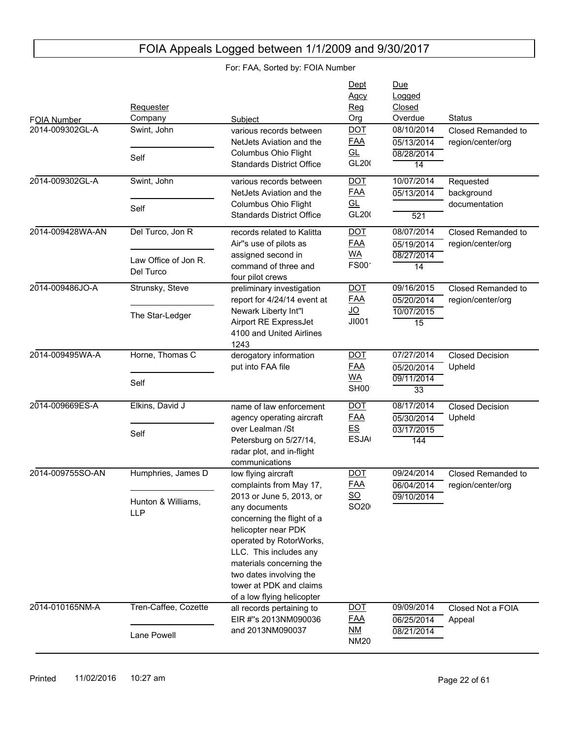|                  | Requester                         |                                          | Dept<br>Agcy<br>Reg | Due<br>Logged<br>Closed |                        |
|------------------|-----------------------------------|------------------------------------------|---------------------|-------------------------|------------------------|
| FOIA Number      | Company                           | Subject                                  | Org                 | Overdue                 | <b>Status</b>          |
| 2014-009302GL-A  | Swint, John                       | various records between                  | <b>DOT</b>          | 08/10/2014              | Closed Remanded to     |
|                  |                                   | NetJets Aviation and the                 | <b>FAA</b>          | 05/13/2014              | region/center/org      |
|                  | Self                              | Columbus Ohio Flight                     | <u>GL</u>           | 08/28/2014              |                        |
|                  |                                   | <b>Standards District Office</b>         | GL200               | $\overline{14}$         |                        |
| 2014-009302GL-A  | Swint, John                       | various records between                  | <b>DOT</b>          | 10/07/2014              | Requested              |
|                  |                                   | NetJets Aviation and the                 | <u>FAA</u>          | 05/13/2014              | background             |
|                  | Self                              | Columbus Ohio Flight                     | GL                  |                         | documentation          |
|                  |                                   | <b>Standards District Office</b>         | GL200               | 521                     |                        |
| 2014-009428WA-AN | Del Turco, Jon R                  | records related to Kalitta               | <b>DOT</b>          | 08/07/2014              | Closed Remanded to     |
|                  |                                   | Air"s use of pilots as                   | <b>FAA</b>          | 05/19/2014              | region/center/org      |
|                  |                                   | assigned second in                       | <b>WA</b>           | 08/27/2014              |                        |
|                  | Law Office of Jon R.<br>Del Turco | command of three and                     | <b>FS00</b>         | $\overline{14}$         |                        |
|                  |                                   | four pilot crews                         |                     |                         |                        |
| 2014-009486JO-A  | Strunsky, Steve                   | preliminary investigation                | <b>DOT</b>          | 09/16/2015              | Closed Remanded to     |
|                  |                                   | report for 4/24/14 event at              | <b>FAA</b>          | 05/20/2014              | region/center/org      |
|                  | The Star-Ledger                   | Newark Liberty Int"I                     | <u>JO</u>           | 10/07/2015              |                        |
|                  |                                   | Airport RE ExpressJet                    | JI001               | $\overline{15}$         |                        |
|                  |                                   | 4100 and United Airlines<br>1243         |                     |                         |                        |
| 2014-009495WA-A  | Horne, Thomas C                   | derogatory information                   | <b>DOT</b>          | 07/27/2014              | <b>Closed Decision</b> |
|                  |                                   | put into FAA file                        | <b>FAA</b>          | 05/20/2014              | Upheld                 |
|                  |                                   |                                          | <b>WA</b>           | 09/11/2014              |                        |
|                  | Self                              |                                          | SH <sub>00</sub>    | 33                      |                        |
| 2014-009669ES-A  | Elkins, David J                   | name of law enforcement                  | <b>DOT</b>          | 08/17/2014              | <b>Closed Decision</b> |
|                  |                                   | agency operating aircraft                | <b>FAA</b>          | 05/30/2014              | Upheld                 |
|                  |                                   | over Lealman /St                         | E.S                 | 03/17/2015              |                        |
|                  | Self                              | Petersburg on 5/27/14,                   | <b>ESJA</b>         | 144                     |                        |
|                  |                                   | radar plot, and in-flight                |                     |                         |                        |
|                  |                                   | communications                           |                     |                         |                        |
| 2014-009755SO-AN | Humphries, James D                | low flying aircraft                      | <b>DOT</b>          | 09/24/2014              | Closed Remanded to     |
|                  |                                   | complaints from May 17,                  | <u>FAA</u>          | 06/04/2014              | region/center/org      |
|                  | Hunton & Williams,                | 2013 or June 5, 2013, or                 | $SO$                | 09/10/2014              |                        |
|                  | <b>LLP</b>                        | any documents                            | SO <sub>20</sub>    |                         |                        |
|                  |                                   | concerning the flight of a               |                     |                         |                        |
|                  |                                   | helicopter near PDK                      |                     |                         |                        |
|                  |                                   | operated by RotorWorks,                  |                     |                         |                        |
|                  |                                   | LLC. This includes any                   |                     |                         |                        |
|                  |                                   | materials concerning the                 |                     |                         |                        |
|                  |                                   | two dates involving the                  |                     |                         |                        |
|                  |                                   | tower at PDK and claims                  |                     |                         |                        |
| 2014-010165NM-A  | Tren-Caffee, Cozette              | of a low flying helicopter               |                     | 09/09/2014              | Closed Not a FOIA      |
|                  |                                   | all records pertaining to                | <u>DOT</u>          |                         |                        |
|                  |                                   | EIR #"s 2013NM090036<br>and 2013NM090037 | <u>FAA</u><br>ΝM    | 06/25/2014              | Appeal                 |
|                  | Lane Powell                       |                                          | <b>NM20</b>         | 08/21/2014              |                        |
|                  |                                   |                                          |                     |                         |                        |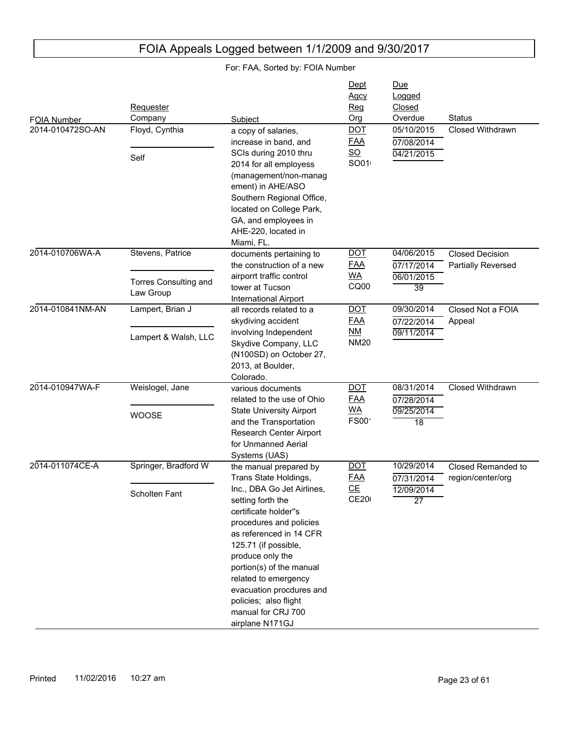|                                 |                                    |                                                                                                                                                                                                                                                                                                                             | Dept<br>Agcy                                        | Due<br>Logged                 |                                              |
|---------------------------------|------------------------------------|-----------------------------------------------------------------------------------------------------------------------------------------------------------------------------------------------------------------------------------------------------------------------------------------------------------------------------|-----------------------------------------------------|-------------------------------|----------------------------------------------|
|                                 | <b>Requester</b><br>Company        | Subject                                                                                                                                                                                                                                                                                                                     | Reg<br>Org                                          | Closed<br>Overdue             | <b>Status</b>                                |
| FOIA Number<br>2014-010472SO-AN | Floyd, Cynthia                     | a copy of salaries,<br>increase in band, and                                                                                                                                                                                                                                                                                | $\underline{DOT}$<br><b>FAA</b><br>$\underline{SO}$ | 05/10/2015<br>07/08/2014      | Closed Withdrawn                             |
|                                 | Self                               | SCIs during 2010 thru<br>2014 for all employess<br>(management/non-manag<br>ement) in AHE/ASO<br>Southern Regional Office,<br>located on College Park,<br>GA, and employees in<br>AHE-220, located in<br>Miami, FL.                                                                                                         | SO01                                                | 04/21/2015                    |                                              |
| 2014-010706WA-A                 | Stevens, Patrice                   | documents pertaining to<br>the construction of a new                                                                                                                                                                                                                                                                        | <u>DOT</u><br><b>FAA</b>                            | 04/06/2015<br>07/17/2014      | <b>Closed Decision</b><br>Partially Reversed |
|                                 | Torres Consulting and<br>Law Group | airporrt traffic control<br>tower at Tucson<br><b>International Airport</b>                                                                                                                                                                                                                                                 | <u>WA</u><br>CQ00                                   | 06/01/2015<br>$\overline{39}$ |                                              |
| 2014-010841NM-AN                | Lampert, Brian J                   | all records related to a<br>skydiving accident                                                                                                                                                                                                                                                                              | <b>DOT</b><br><b>FAA</b>                            | 09/30/2014<br>07/22/2014      | Closed Not a FOIA<br>Appeal                  |
|                                 | Lampert & Walsh, LLC               | involving Independent<br>Skydive Company, LLC<br>(N100SD) on October 27,<br>2013, at Boulder,<br>Colorado.                                                                                                                                                                                                                  | NM<br><b>NM20</b>                                   | 09/11/2014                    |                                              |
| 2014-010947WA-F                 | Weislogel, Jane                    | various documents<br>related to the use of Ohio                                                                                                                                                                                                                                                                             | <u>DOT</u><br><b>FAA</b>                            | 08/31/2014<br>07/28/2014      | Closed Withdrawn                             |
|                                 | <b>WOOSE</b>                       | <b>State University Airport</b><br>and the Transportation<br>Research Center Airport<br>for Unmanned Aerial<br>Systems (UAS)                                                                                                                                                                                                | <b>WA</b><br><b>FS00</b>                            | 09/25/2014<br>18              |                                              |
| 2014-011074CE-A                 | Springer, Bradford W               | the manual prepared by<br>Trans State Holdings,                                                                                                                                                                                                                                                                             | <b>DOT</b><br><u>FAA</u>                            | 10/29/2014<br>07/31/2014      | Closed Remanded to<br>region/center/org      |
|                                 | Scholten Fant                      | Inc., DBA Go Jet Airlines,<br>setting forth the<br>certificate holder"s<br>procedures and policies<br>as referenced in 14 CFR<br>125.71 (if possible,<br>produce only the<br>portion(s) of the manual<br>related to emergency<br>evacuation procdures and<br>policies; also flight<br>manual for CRJ 700<br>airplane N171GJ | CE<br><b>CE200</b>                                  | 12/09/2014<br>$\overline{27}$ |                                              |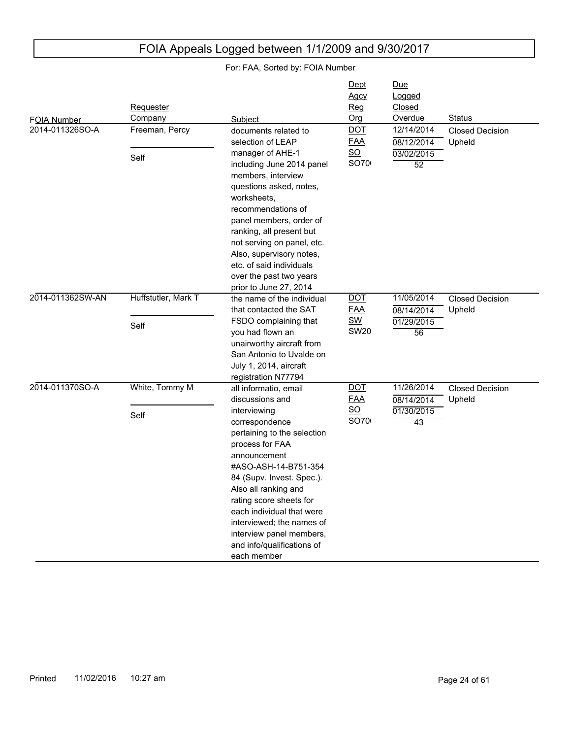| <b>FOIA Number</b> | Requester<br>Company        | Subject                                                                                                                                                                                                                                                                                                                                                                                 | Dept<br>Agcy<br><u>Reg</u><br>Org                    | Due<br>Logged<br>Closed<br>Overdue                        | <b>Status</b>                    |
|--------------------|-----------------------------|-----------------------------------------------------------------------------------------------------------------------------------------------------------------------------------------------------------------------------------------------------------------------------------------------------------------------------------------------------------------------------------------|------------------------------------------------------|-----------------------------------------------------------|----------------------------------|
| 2014-011326SO-A    | Freeman, Percy<br>Self      | documents related to<br>selection of LEAP<br>manager of AHE-1<br>including June 2014 panel<br>members, interview<br>questions asked, notes,<br>worksheets.<br>recommendations of<br>panel members, order of<br>ranking, all present but<br>not serving on panel, etc.<br>Also, supervisory notes,<br>etc. of said individuals<br>over the past two years<br>prior to June 27, 2014      | <b>DOT</b><br><b>FAA</b><br>$\underline{SO}$<br>SO70 | 12/14/2014<br>08/12/2014<br>03/02/2015<br>$\overline{52}$ | <b>Closed Decision</b><br>Upheld |
| 2014-011362SW-AN   | Huffstutler, Mark T<br>Self | the name of the individual<br>that contacted the SAT<br>FSDO complaining that<br>you had flown an<br>unairworthy aircraft from<br>San Antonio to Uvalde on<br>July 1, 2014, aircraft<br>registration N77794                                                                                                                                                                             | <b>DOT</b><br><u>FAA</u><br><b>SW</b><br><b>SW20</b> | 11/05/2014<br>08/14/2014<br>01/29/2015<br>56              | <b>Closed Decision</b><br>Upheld |
| 2014-011370SO-A    | White, Tommy M<br>Self      | all informatio, email<br>discussions and<br>interviewing<br>correspondence<br>pertaining to the selection<br>process for FAA<br>announcement<br>#ASO-ASH-14-B751-354<br>84 (Supv. Invest. Spec.).<br>Also all ranking and<br>rating score sheets for<br>each individual that were<br>interviewed; the names of<br>interview panel members,<br>and info/qualifications of<br>each member | <b>DOT</b><br><b>FAA</b><br>$\underline{SO}$<br>SO70 | 11/26/2014<br>08/14/2014<br>01/30/2015<br>43              | <b>Closed Decision</b><br>Upheld |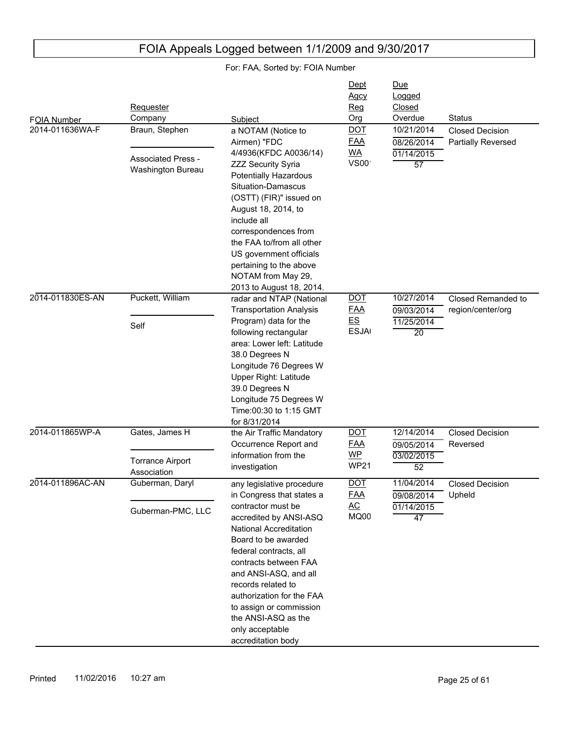| FOIA Number<br>2014-011636WA-F | Requester<br>Company<br>Braun, Stephen<br><b>Associated Press -</b><br>Washington Bureau | Subject<br>a NOTAM (Notice to<br>Airmen) "FDC<br>4/4936(KFDC A0036/14)<br><b>ZZZ Security Syria</b><br><b>Potentially Hazardous</b><br>Situation-Damascus<br>(OSTT) (FIR)" issued on<br>August 18, 2014, to<br>include all<br>correspondences from<br>the FAA to/from all other<br>US government officials<br>pertaining to the above<br>NOTAM from May 29,                       | Dept<br>Agcy<br>Reg<br>Org<br><b>DOT</b><br><b>FAA</b><br><u>WA</u><br>VS00 <sup>.</sup> | Due<br>Logged<br>Closed<br>Overdue<br>10/21/2014<br>08/26/2014<br>01/14/2015<br>57 | <b>Status</b><br><b>Closed Decision</b><br>Partially Reversed |
|--------------------------------|------------------------------------------------------------------------------------------|-----------------------------------------------------------------------------------------------------------------------------------------------------------------------------------------------------------------------------------------------------------------------------------------------------------------------------------------------------------------------------------|------------------------------------------------------------------------------------------|------------------------------------------------------------------------------------|---------------------------------------------------------------|
| 2014-011830ES-AN               | Puckett, William<br>Self                                                                 | 2013 to August 18, 2014.<br>radar and NTAP (National<br><b>Transportation Analysis</b><br>Program) data for the<br>following rectangular<br>area: Lower left: Latitude<br>38.0 Degrees N<br>Longitude 76 Degrees W<br>Upper Right: Latitude<br>39.0 Degrees N<br>Longitude 75 Degrees W<br>Time: 00:30 to 1:15 GMT<br>for 8/31/2014                                               | <b>DOT</b><br><u>FAA</u><br>E.S<br><b>ESJA</b>                                           | 10/27/2014<br>09/03/2014<br>11/25/2014<br>20                                       | Closed Remanded to<br>region/center/org                       |
| 2014-011865WP-A                | Gates, James H<br><b>Torrance Airport</b><br>Association                                 | the Air Traffic Mandatory<br>Occurrence Report and<br>information from the<br>investigation                                                                                                                                                                                                                                                                                       | <b>DOT</b><br><u>FAA</u><br>$WP$<br><b>WP21</b>                                          | 12/14/2014<br>09/05/2014<br>03/02/2015<br>52                                       | <b>Closed Decision</b><br>Reversed                            |
| 2014-011896AC-AN               | Guberman, Daryl<br>Guberman-PMC, LLC                                                     | any legislative procedure<br>in Congress that states a<br>contractor must be<br>accredited by ANSI-ASQ<br>National Accreditation<br>Board to be awarded<br>federal contracts, all<br>contracts between FAA<br>and ANSI-ASQ, and all<br>records related to<br>authorization for the FAA<br>to assign or commission<br>the ANSI-ASQ as the<br>only acceptable<br>accreditation body | <b>DOT</b><br><b>FAA</b><br>AC<br>MQ00                                                   | 11/04/2014<br>09/08/2014 Upheld<br>01/14/2015<br>47                                | <b>Closed Decision</b>                                        |

## FOIA Appeals Logged between 1/1/2009 and 9/30/2017 For: FAA, Sorted by: FOIA Number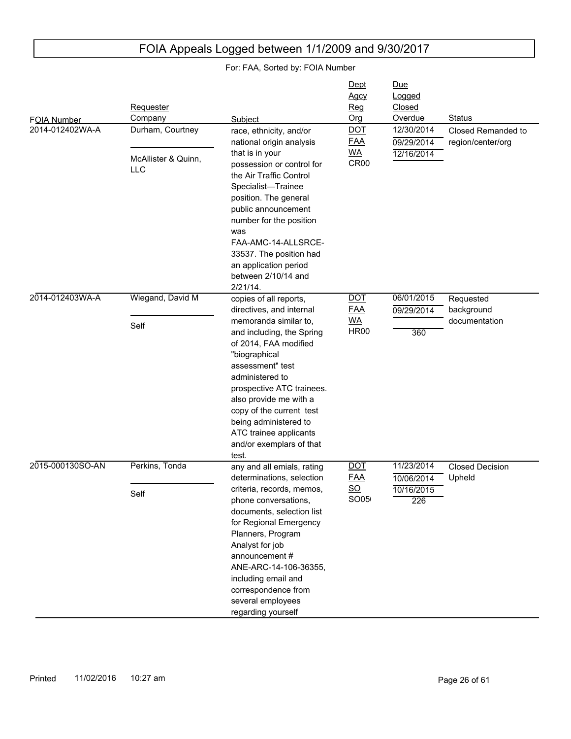| For: FAA, Sorted by: FOIA Number |                                   |                                                                                                                                                                                                                                                                                     |                                             |                                           |                                  |
|----------------------------------|-----------------------------------|-------------------------------------------------------------------------------------------------------------------------------------------------------------------------------------------------------------------------------------------------------------------------------------|---------------------------------------------|-------------------------------------------|----------------------------------|
|                                  | Requester<br>Company              | Subject                                                                                                                                                                                                                                                                             | <u>Dept</u><br>Agcy<br>Reg<br>Org           | <u>Due</u><br>Logged<br>Closed<br>Overdue | <b>Status</b>                    |
| FOIA Number<br>2014-012402WA-A   | Durham, Courtney                  | race, ethnicity, and/or                                                                                                                                                                                                                                                             | <b>DOT</b>                                  | 12/30/2014                                | Closed Remanded to               |
|                                  | McAllister & Quinn,<br><b>LLC</b> | national origin analysis<br>that is in your<br>possession or control for<br>the Air Traffic Control                                                                                                                                                                                 | <b>FAA</b><br><u>WA</u><br>CR <sub>00</sub> | 09/29/2014<br>12/16/2014                  | region/center/org                |
|                                  |                                   | Specialist-Trainee<br>position. The general<br>public announcement<br>number for the position<br>was<br>FAA-AMC-14-ALLSRCE-<br>33537. The position had                                                                                                                              |                                             |                                           |                                  |
|                                  |                                   | an application period<br>between 2/10/14 and                                                                                                                                                                                                                                        |                                             |                                           |                                  |
| 2014-012403WA-A                  | Wiegand, David M                  | $2/21/14$ .<br>copies of all reports,                                                                                                                                                                                                                                               | <b>DOT</b>                                  | 06/01/2015                                | Requested                        |
|                                  |                                   | directives, and internal                                                                                                                                                                                                                                                            | <b>FAA</b>                                  | 09/29/2014                                | background                       |
|                                  | Self                              | memoranda similar to,<br>and including, the Spring                                                                                                                                                                                                                                  | <u>WA</u><br><b>HR00</b>                    | 360                                       | documentation                    |
|                                  |                                   | of 2014, FAA modified<br>"biographical<br>assessment" test<br>administered to                                                                                                                                                                                                       |                                             |                                           |                                  |
|                                  |                                   | prospective ATC trainees.<br>also provide me with a<br>copy of the current test<br>being administered to<br>ATC trainee applicants                                                                                                                                                  |                                             |                                           |                                  |
|                                  |                                   | and/or exemplars of that<br>test.                                                                                                                                                                                                                                                   |                                             |                                           |                                  |
| 2015-000130SO-AN                 | Perkins, Tonda                    | any and all emials, rating<br>determinations, selection                                                                                                                                                                                                                             | <b>DOT</b><br><b>FAA</b>                    | 11/23/2014<br>10/06/2014                  | <b>Closed Decision</b><br>Upheld |
|                                  | Self                              | criteria, records, memos,<br>phone conversations,<br>documents, selection list<br>for Regional Emergency<br>Planners, Program<br>Analyst for job<br>announcement#<br>ANE-ARC-14-106-36355,<br>including email and<br>correspondence from<br>several employees<br>regarding yourself | $\underline{\mathsf{SO}}$<br>SO05           | 10/16/2015<br>226                         |                                  |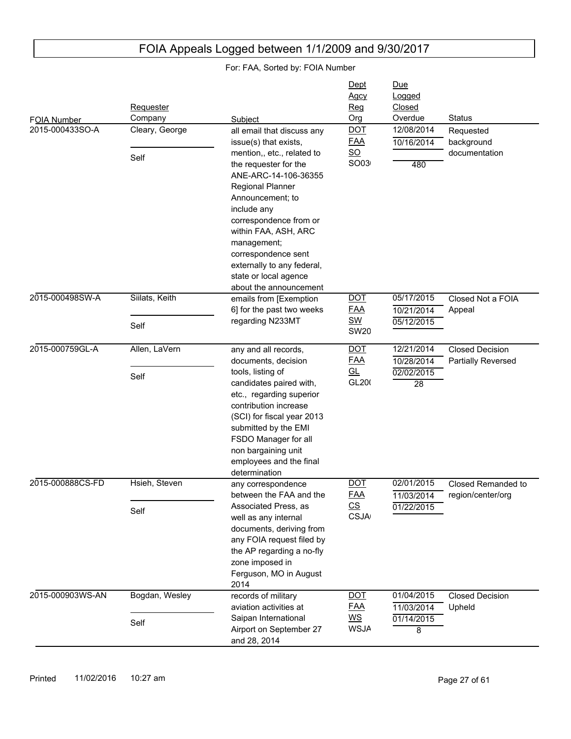|                                | Requester<br>Company   |                                                                                                                                                                                                                                                                                                                                                                               | Dept<br>Agcy<br><u>Reg</u><br>Org                                    | <u>Due</u><br>Logged<br>Closed<br>Overdue                 | <b>Status</b>                                |
|--------------------------------|------------------------|-------------------------------------------------------------------------------------------------------------------------------------------------------------------------------------------------------------------------------------------------------------------------------------------------------------------------------------------------------------------------------|----------------------------------------------------------------------|-----------------------------------------------------------|----------------------------------------------|
| FOIA Number<br>2015-000433SO-A | Cleary, George<br>Self | Subject<br>all email that discuss any<br>issue(s) that exists,<br>mention,, etc., related to<br>the requester for the<br>ANE-ARC-14-106-36355<br>Regional Planner<br>Announcement; to<br>include any<br>correspondence from or<br>within FAA, ASH, ARC<br>management;<br>correspondence sent<br>externally to any federal,<br>state or local agence<br>about the announcement | <b>DOT</b><br><b>FAA</b><br>$\underline{\mathsf{SO}}$<br>SO03        | 12/08/2014<br>10/16/2014<br>480                           | Requested<br>background<br>documentation     |
| 2015-000498SW-A                | Siilats, Keith<br>Self | emails from [Exemption<br>6] for the past two weeks<br>regarding N233MT                                                                                                                                                                                                                                                                                                       | <b>DOT</b><br><b>FAA</b><br><u>SW</u><br><b>SW20</b>                 | 05/17/2015<br>10/21/2014<br>05/12/2015                    | Closed Not a FOIA<br>Appeal                  |
| 2015-000759GL-A                | Allen, LaVern<br>Self  | any and all records,<br>documents, decision<br>tools, listing of<br>candidates paired with,<br>etc., regarding superior<br>contribution increase<br>(SCI) for fiscal year 2013<br>submitted by the EMI<br>FSDO Manager for all<br>non bargaining unit<br>employees and the final<br>determination                                                                             | <b>DOT</b><br><b>FAA</b><br>$\underline{\mathsf{GL}}$<br>GL200       | 12/21/2014<br>10/28/2014<br>02/02/2015<br>$\overline{28}$ | <b>Closed Decision</b><br>Partially Reversed |
| 2015-000888CS-FD               | Hsieh, Steven<br>Self  | any correspondence<br>between the FAA and the<br>Associated Press, as<br>well as any internal<br>documents, deriving from<br>any FOIA request filed by<br>the AP regarding a no-fly<br>zone imposed in<br>Ferguson, MO in August<br>2014                                                                                                                                      | <b>DOT</b><br>FAA<br>$\underline{\mathsf{CS}}$<br><b>CSJA</b>        | 02/01/2015<br>11/03/2014<br>01/22/2015                    | Closed Remanded to<br>region/center/org      |
| 2015-000903WS-AN               | Bogdan, Wesley<br>Self | records of military<br>aviation activities at<br>Saipan International<br>Airport on September 27<br>and 28, 2014                                                                                                                                                                                                                                                              | <b>DOT</b><br><b>FAA</b><br>$\underline{\mathsf{WS}}$<br><b>WSJA</b> | 01/04/2015<br>11/03/2014<br>01/14/2015<br>8               | <b>Closed Decision</b><br>Upheld             |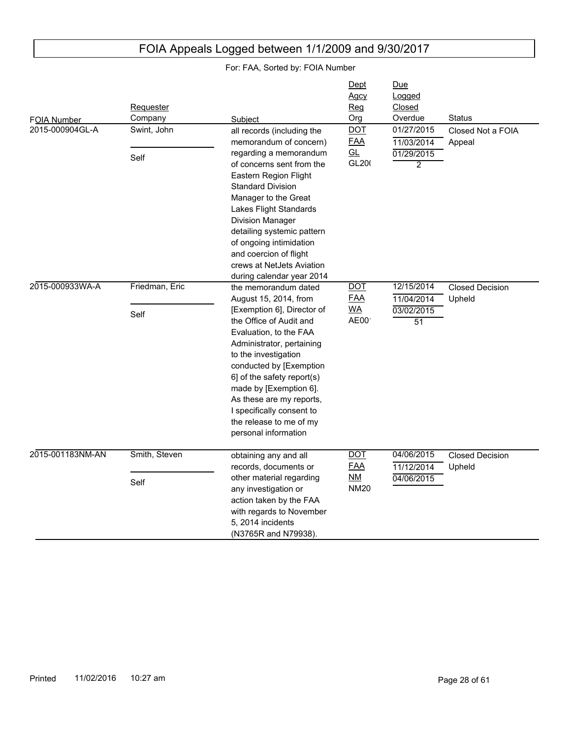#### FOIA Number Due Logged Closed Subject **Contact Contact Contact Contact Contact Contact Contact Contact Contact Contact Contact Contact Contact Contact Contact Contact Contact Contact Contact Contact Contact Contact Contact Contact Contact Contact Conta Requester Company Dept** Agcy Reg Org 2015-000904GL-A 01/29/2015 2 11/03/2014 01/27/2015 Closed Not a FOIA Appeal all records (including the memorandum of concern) regarding a memorandum of concerns sent from the Eastern Region Flight Standard Division Manager to the Great Lakes Flight Standards Division Manager detailing systemic pattern of ongoing intimidation and coercion of flight crews at NetJets Aviation during calendar year 2014 Swint, John Self DOT FAA GL GL<sub>20</sub>( 2015-000933WA-A 03/02/2015 51 11/04/2014 12/15/2014 Closed Decision Upheld the memorandum dated August 15, 2014, from [Exemption 6], Director of the Office of Audit and Evaluation, to the FAA Administrator, pertaining to the investigation conducted by [Exemption 6] of the safety report(s) made by [Exemption 6]. As these are my reports, I specifically consent to the release to me of my personal information Friedman, Eric Self DOT FAA WA  $AEOO<sup>T</sup>$ 2015-001183NM-AN 04/06/2015 11/12/2014 04/06/2015 Closed Decision Upheld obtaining any and all records, documents or other material regarding any investigation or action taken by the FAA with regards to November 5, 2014 incidents (N3765R and N79938). Smith, Steven Self DOT FAA NM **NM20**

## FOIA Appeals Logged between 1/1/2009 and 9/30/2017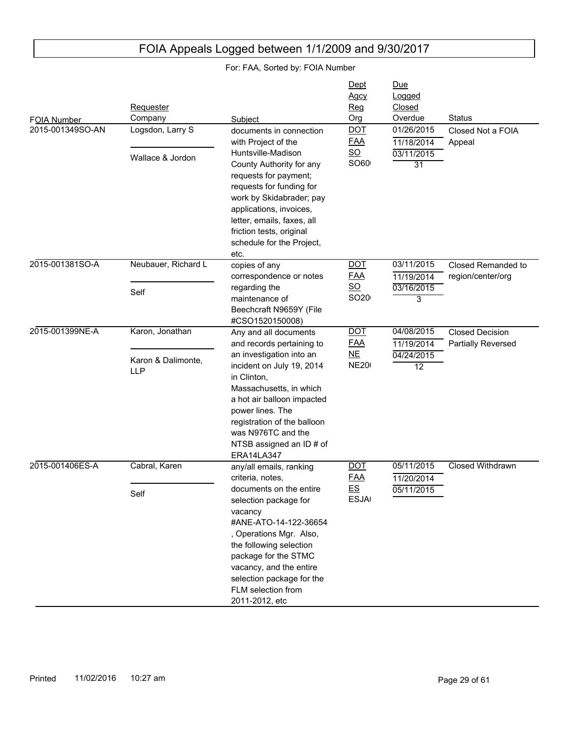| <b>FOIA Number</b> | Requester<br>Company             | Subject                                                                                                                                                                                                                                                            | Dept<br>Agcy<br>Reg<br>Org                    | <u>Due</u><br>Logged<br>Closed<br>Overdue | <b>Status</b>                                |
|--------------------|----------------------------------|--------------------------------------------------------------------------------------------------------------------------------------------------------------------------------------------------------------------------------------------------------------------|-----------------------------------------------|-------------------------------------------|----------------------------------------------|
| 2015-001349SO-AN   | Logsdon, Larry S                 | documents in connection<br>with Project of the                                                                                                                                                                                                                     | <b>DOT</b><br><u>FAA</u><br>$\underline{SO}$  | 01/26/2015<br>11/18/2014                  | Closed Not a FOIA<br>Appeal                  |
|                    | Wallace & Jordon                 | Huntsville-Madison<br>County Authority for any<br>requests for payment;<br>requests for funding for<br>work by Skidabrader; pay<br>applications, invoices,<br>letter, emails, faxes, all<br>friction tests, original<br>schedule for the Project,<br>etc.          | SO60                                          | 03/11/2015<br>31                          |                                              |
| 2015-001381SO-A    | Neubauer, Richard L              | copies of any<br>correspondence or notes                                                                                                                                                                                                                           | <b>DOT</b><br><b>FAA</b>                      | 03/11/2015<br>11/19/2014                  | Closed Remanded to<br>region/center/org      |
|                    | Self                             | regarding the<br>maintenance of<br>Beechcraft N9659Y (File<br>#CSO1520150008)                                                                                                                                                                                      | $\underline{\mathsf{SO}}$<br>SO <sub>20</sub> | 03/16/2015<br>3                           |                                              |
| 2015-001399NE-A    | Karon, Jonathan                  | Any and all documents<br>and records pertaining to                                                                                                                                                                                                                 | $\overline{$ DOT<br><b>FAA</b>                | 04/08/2015<br>11/19/2014                  | <b>Closed Decision</b><br>Partially Reversed |
|                    | Karon & Dalimonte,<br><b>LLP</b> | an investigation into an<br>incident on July 19, 2014<br>in Clinton,<br>Massachusetts, in which<br>a hot air balloon impacted<br>power lines. The<br>registration of the balloon<br>was N976TC and the<br>NTSB assigned an ID # of<br><b>ERA14LA347</b>            | NE<br><b>NE200</b>                            | 04/24/2015<br>12                          |                                              |
| 2015-001406ES-A    | Cabral, Karen                    | any/all emails, ranking<br>criteria, notes,                                                                                                                                                                                                                        | <b>DOT</b><br><u>FAA</u>                      | 05/11/2015<br>11/20/2014                  | Closed Withdrawn                             |
|                    | Self                             | documents on the entire<br>selection package for<br>vacancy<br>#ANE-ATO-14-122-36654<br>, Operations Mgr. Also,<br>the following selection<br>package for the STMC<br>vacancy, and the entire<br>selection package for the<br>FLM selection from<br>2011-2012, etc | E.S<br><b>ESJA</b>                            | 05/11/2015                                |                                              |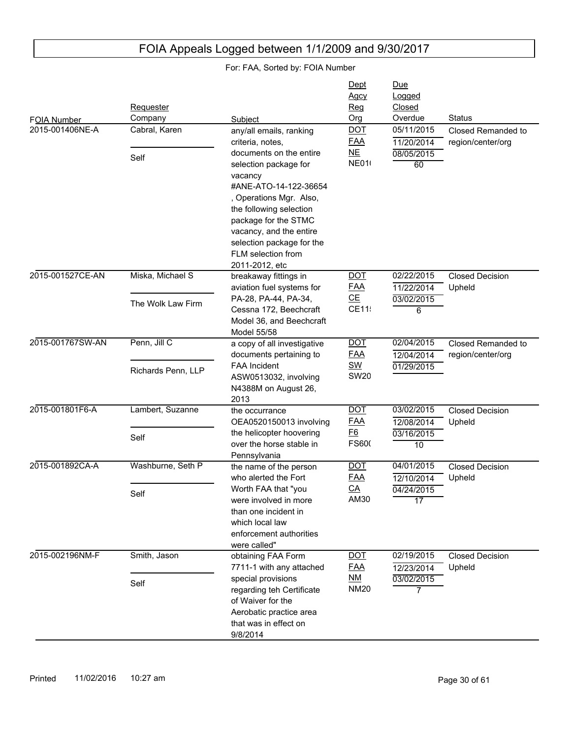For: FAA, Sorted by: FOIA Number

#### FOIA Number Due Logged Closed Subject **Contact Contact Contact Contact Contact Contact Contact Contact Contact Contact Contact Contact Contact Contact Contact Contact Contact Contact Contact Contact Contact Contact Contact Contact Contact Contact Conta Requester Company Dept** Agcy Reg Org 2015-001406NE-A 08/05/2015 60 11/20/2014 05/11/2015 Closed Remanded to region/center/org any/all emails, ranking criteria, notes, documents on the entire selection package for vacancy #ANE-ATO-14-122-36654 , Operations Mgr. Also, the following selection package for the STMC vacancy, and the entire selection package for the FLM selection from 2011-2012, etc Cabral, Karen Self DOT FAA NE **NE010** 2015-001527CE-AN 03/02/2015 6 11/22/2014 02/22/2015 Closed Decision Upheld breakaway fittings in aviation fuel systems for PA-28, PA-44, PA-34, Cessna 172, Beechcraft Model 36, and Beechcraft Model 55/58 Miska, Michael S The Wolk Law Firm DOT FAA CE CE11: 2015-001767SW-AN 01/29/2015 12/04/2014 02/04/2015 Closed Remanded to region/center/org a copy of all investigative documents pertaining to FAA Incident ASW0513032, involving N4388M on August 26, 2013 Penn, Jill C Richards Penn, LLP DOT FAA SW **SW20** 2015-001801F6-A 03/16/2015 10 12/08/2014 03/02/2015 Closed Decision Upheld the occurrance OEA0520150013 involving the helicopter hoovering over the horse stable in Pennsylvania Lambert, Suzanne Self DOT FAA F6 **FS600** 2015-001892CA-A 04/24/2015 17 12/10/2014 04/01/2015 Closed Decision Upheld the name of the person who alerted the Fort Worth FAA that "you were involved in more than one incident in which local law enforcement authorities were called" Washburne, Seth P Self DOT FAA CA AM30 2015-002196NM-F 03/02/2015 7 12/23/2014 02/19/2015 Closed Decision Upheld obtaining FAA Form 7711-1 with any attached special provisions regarding teh Certificate of Waiver for the Aerobatic practice area that was in effect on 9/8/2014 Smith, Jason Self DOT FAA NM **NM20**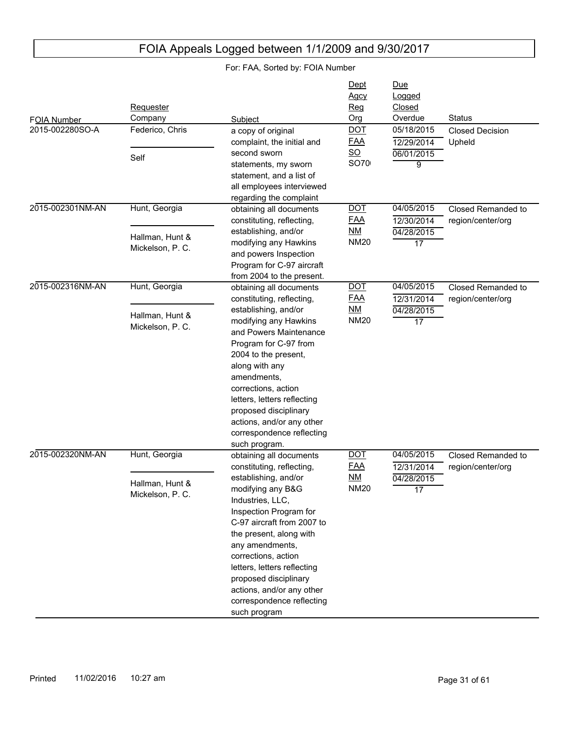| <b>FOIA Number</b><br>2015-002280SO-A | Requester<br>Company<br>Federico, Chris              | Subject                                                                                                                                                                                                                                                                                                                                                                              | Dept<br><u>Agcy</u><br><u>Reg</u><br>Org<br><b>DOT</b> | Due<br>Logged<br>Closed<br>Overdue<br>05/18/2015 | <b>Status</b>                           |
|---------------------------------------|------------------------------------------------------|--------------------------------------------------------------------------------------------------------------------------------------------------------------------------------------------------------------------------------------------------------------------------------------------------------------------------------------------------------------------------------------|--------------------------------------------------------|--------------------------------------------------|-----------------------------------------|
|                                       | Self                                                 | a copy of original<br>complaint, the initial and<br>second sworn<br>statements, my sworn<br>statement, and a list of<br>all employees interviewed<br>regarding the complaint                                                                                                                                                                                                         | <b>FAA</b><br>$\underline{SO}$<br>SO70                 | 12/29/2014<br>06/01/2015<br>9                    | <b>Closed Decision</b><br>Upheld        |
| 2015-002301NM-AN                      | Hunt, Georgia<br>Hallman, Hunt &<br>Mickelson, P. C. | obtaining all documents<br>constituting, reflecting,<br>establishing, and/or<br>modifying any Hawkins<br>and powers Inspection<br>Program for C-97 aircraft<br>from 2004 to the present.                                                                                                                                                                                             | <b>DOT</b><br><b>FAA</b><br>NM<br><b>NM20</b>          | 04/05/2015<br>12/30/2014<br>04/28/2015<br>17     | Closed Remanded to<br>region/center/org |
| 2015-002316NM-AN                      | Hunt, Georgia<br>Hallman, Hunt &<br>Mickelson, P. C. | obtaining all documents<br>constituting, reflecting,<br>establishing, and/or<br>modifying any Hawkins<br>and Powers Maintenance<br>Program for C-97 from<br>2004 to the present,<br>along with any<br>amendments,<br>corrections, action<br>letters, letters reflecting<br>proposed disciplinary<br>actions, and/or any other<br>correspondence reflecting<br>such program.          | <b>DOT</b><br><b>FAA</b><br>NM<br><b>NM20</b>          | 04/05/2015<br>12/31/2014<br>04/28/2015<br>17     | Closed Remanded to<br>region/center/org |
| 2015-002320NM-AN                      | Hunt, Georgia<br>Hallman, Hunt &<br>Mickelson, P. C. | obtaining all documents<br>constituting, reflecting,<br>establishing, and/or<br>modifying any B&G<br>Industries, LLC,<br>Inspection Program for<br>C-97 aircraft from 2007 to<br>the present, along with<br>any amendments,<br>corrections, action<br>letters, letters reflecting<br>proposed disciplinary<br>actions, and/or any other<br>correspondence reflecting<br>such program | <b>DOT</b><br><b>FAA</b><br>NM<br><b>NM20</b>          | 04/05/2015<br>12/31/2014<br>04/28/2015<br>17     | Closed Remanded to<br>region/center/org |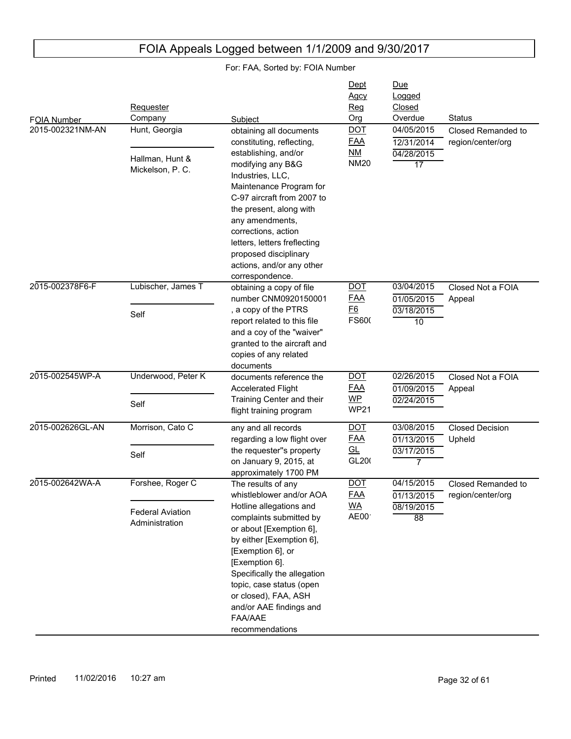#### FOIA Number Due Logged Closed Subject **Contact Contact Contact Contact Contact Contact Contact Contact Contact Contact Contact Contact Contact Contact Contact Contact Contact Contact Contact Contact Contact Contact Contact Contact Contact Contact Conta** Requester Company Dept Agcy Reg Org 2015-002321NM-AN 04/28/2015 17 12/31/2014 04/05/2015 Closed Remanded to region/center/org obtaining all documents constituting, reflecting, establishing, and/or modifying any B&G Industries, LLC, Maintenance Program for C-97 aircraft from 2007 to the present, along with any amendments, corrections, action letters, letters freflecting proposed disciplinary actions, and/or any other correspondence. Hunt, Georgia Hallman, Hunt & Mickelson, P. C. DOT FAA NM **NM20** 2015-002378F6-F 03/18/2015 10 01/05/2015 03/04/2015 Closed Not a FOIA Appeal obtaining a copy of file number CNM0920150001 , a copy of the PTRS report related to this file and a coy of the "waiver" granted to the aircraft and copies of any related documents Lubischer, James T Self DOT FAA F6 FS600 2015-002545WP-A 02/24/2015 01/09/2015 02/26/2015 Closed Not a FOIA Appeal documents reference the Accelerated Flight Training Center and their flight training program Underwood, Peter K Self DOT FAA WP **WP21** 2015-002626GL-AN 03/17/2015 7 01/13/2015 03/08/2015 Closed Decision Upheld any and all records regarding a low flight over the requester''s property on January 9, 2015, at approximately 1700 PM Morrison, Cato C Self DOT FAA GL GL200 2015-002642WA-A 08/19/2015 88 01/13/2015 04/15/2015 Closed Remanded to region/center/org The results of any whistleblower and/or AOA Hotline allegations and complaints submitted by or about [Exemption 6], by either [Exemption 6], [Exemption 6], or [Exemption 6]. Specifically the allegation topic, case status (open or closed), FAA, ASH and/or AAE findings and FAA/AAE Forshee, Roger C Federal Aviation Administration DOT FAA WA  $AEOO<sup>T</sup>$

recommendations

## FOIA Appeals Logged between 1/1/2009 and 9/30/2017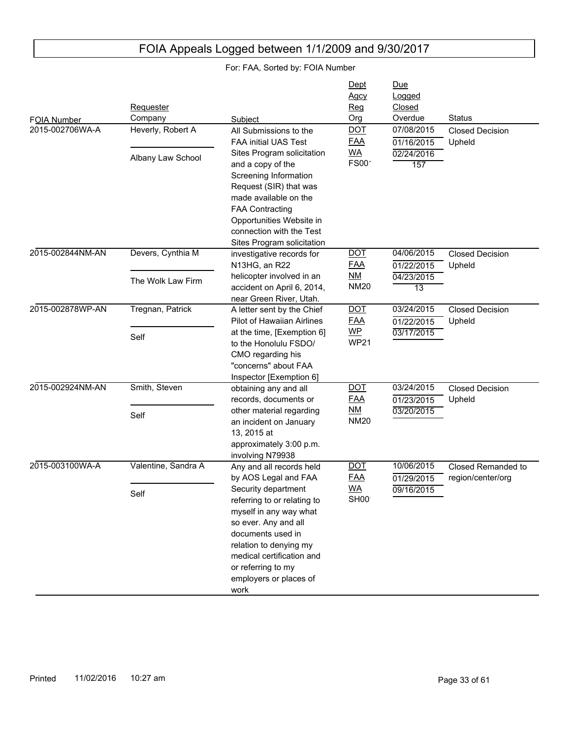| FOIA Number      | <b>Requester</b><br>Company            | Subject                                                                                                                                                                                                                                     | Dept<br><b>Agcy</b><br>Reg<br>Org             | Due<br>Logged<br>Closed<br>Overdue           | Status                                  |
|------------------|----------------------------------------|---------------------------------------------------------------------------------------------------------------------------------------------------------------------------------------------------------------------------------------------|-----------------------------------------------|----------------------------------------------|-----------------------------------------|
| 2015-002706WA-A  | Heverly, Robert A                      | All Submissions to the<br><b>FAA initial UAS Test</b>                                                                                                                                                                                       | <u>DOT</u><br><u>FAA</u>                      | 07/08/2015<br>01/16/2015                     | <b>Closed Decision</b><br>Upheld        |
|                  | Albany Law School                      | Sites Program solicitation<br>and a copy of the<br>Screening Information<br>Request (SIR) that was<br>made available on the<br><b>FAA Contracting</b><br>Opportunities Website in<br>connection with the Test<br>Sites Program solicitation | <b>WA</b><br><b>FS00</b>                      | 02/24/2016<br>157                            |                                         |
| 2015-002844NM-AN | Devers, Cynthia M<br>The Wolk Law Firm | investigative records for<br>N13HG, an R22<br>helicopter involved in an<br>accident on April 6, 2014,                                                                                                                                       | <u>DOT</u><br><b>FAA</b><br>NM<br><b>NM20</b> | 04/06/2015<br>01/22/2015<br>04/23/2015<br>13 | <b>Closed Decision</b><br>Upheld        |
| 2015-002878WP-AN | Tregnan, Patrick                       | near Green River, Utah.<br>A letter sent by the Chief<br><b>Pilot of Hawaiian Airlines</b>                                                                                                                                                  | <b>DOT</b><br><u>FAA</u>                      | 03/24/2015<br>01/22/2015                     | <b>Closed Decision</b><br>Upheld        |
|                  | Self                                   | at the time, [Exemption 6]<br>to the Honolulu FSDO/<br>CMO regarding his<br>"concerns" about FAA<br>Inspector [Exemption 6]                                                                                                                 | $WP$<br><b>WP21</b>                           | 03/17/2015                                   |                                         |
| 2015-002924NM-AN | Smith, Steven                          | obtaining any and all<br>records, documents or                                                                                                                                                                                              | <u>DOT</u><br><u>FAA</u>                      | 03/24/2015<br>01/23/2015                     | <b>Closed Decision</b><br>Upheld        |
|                  | Self                                   | other material regarding<br>an incident on January<br>13, 2015 at<br>approximately 3:00 p.m.<br>involving N79938                                                                                                                            | NM<br>NM20                                    | 03/20/2015                                   |                                         |
| 2015-003100WA-A  | Valentine, Sandra A                    | Any and all records held<br>by AOS Legal and FAA                                                                                                                                                                                            | <u>DOT</u><br><u>FAA</u>                      | 10/06/2015<br>01/29/2015                     | Closed Remanded to<br>region/center/org |
|                  | Self                                   | Security department<br>referring to or relating to<br>myself in any way what<br>so ever. Any and all<br>documents used in<br>relation to denying my<br>medical certification and<br>or referring to my<br>employers or places of<br>work    | <b>WA</b><br>SH <sub>00</sub>                 | 09/16/2015                                   |                                         |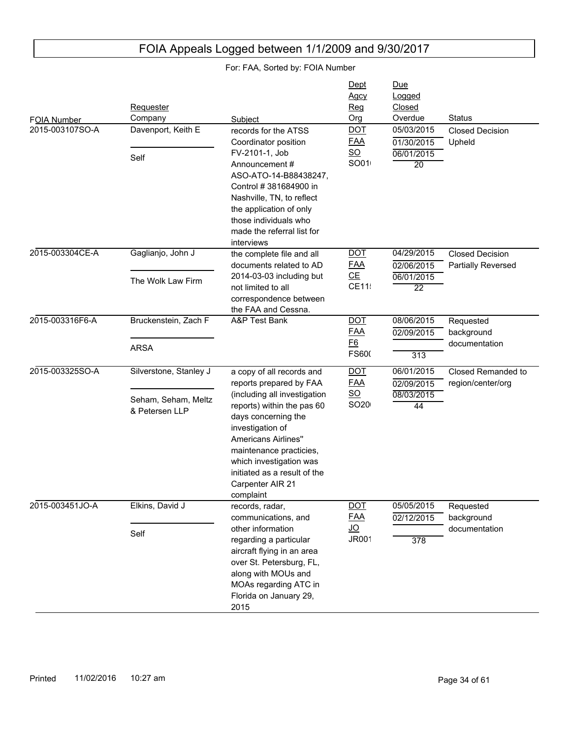| FOIA Number<br>2015-003107SO-A | <b>Requester</b><br>Company<br>Davenport, Keith E<br>Self       | Subject<br>records for the ATSS<br>Coordinator position<br>FV-2101-1, Job<br>Announcement #<br>ASO-ATO-14-B88438247,<br>Control # 381684900 in<br>Nashville, TN, to reflect<br>the application of only<br>those individuals who<br>made the referral list for<br>interviews                                        | Dept<br>Agcy<br>Reg<br>Org<br><b>DOT</b><br><b>FAA</b><br>$\underline{\mathsf{SO}}$<br>SO01 | <u>Due</u><br>Logged<br>Closed<br>Overdue<br>05/03/2015<br>01/30/2015<br>06/01/2015<br>20 | <b>Status</b><br><b>Closed Decision</b><br>Upheld |
|--------------------------------|-----------------------------------------------------------------|--------------------------------------------------------------------------------------------------------------------------------------------------------------------------------------------------------------------------------------------------------------------------------------------------------------------|---------------------------------------------------------------------------------------------|-------------------------------------------------------------------------------------------|---------------------------------------------------|
| 2015-003304CE-A                | Gaglianjo, John J<br>The Wolk Law Firm                          | the complete file and all<br>documents related to AD<br>2014-03-03 including but<br>not limited to all<br>correspondence between<br>the FAA and Cessna.                                                                                                                                                            | <b>DOT</b><br><b>FAA</b><br>CE<br>CE11                                                      | 04/29/2015<br>02/06/2015<br>06/01/2015<br>$\overline{22}$                                 | <b>Closed Decision</b><br>Partially Reversed      |
| 2015-003316F6-A                | Bruckenstein, Zach F<br><b>ARSA</b>                             | A&P Test Bank                                                                                                                                                                                                                                                                                                      | <b>DOT</b><br><b>FAA</b><br><u>F6</u><br>FS600                                              | 08/06/2015<br>02/09/2015<br>313                                                           | Requested<br>background<br>documentation          |
| 2015-003325SO-A                | Silverstone, Stanley J<br>Seham, Seham, Meltz<br>& Petersen LLP | a copy of all records and<br>reports prepared by FAA<br>(including all investigation<br>reports) within the pas 60<br>days concerning the<br>investigation of<br><b>Americans Airlines"</b><br>maintenance practicies,<br>which investigation was<br>initiated as a result of the<br>Carpenter AIR 21<br>complaint | <b>DOT</b><br><b>FAA</b><br>$SO$<br>SO <sub>20</sub>                                        | 06/01/2015<br>02/09/2015<br>08/03/2015<br>44                                              | Closed Remanded to<br>region/center/org           |
| 2015-003451JO-A                | Elkins, David J<br>Self                                         | records, radar,<br>communications, and<br>other information<br>regarding a particular<br>aircraft flying in an area<br>over St. Petersburg, FL,<br>along with MOUs and<br>MOAs regarding ATC in<br>Florida on January 29,<br>2015                                                                                  | <b>DOT</b><br><u>FAA</u><br><u>JO</u><br><b>JR001</b>                                       | 05/05/2015<br>02/12/2015<br>$\overline{378}$                                              | Requested<br>background<br>documentation          |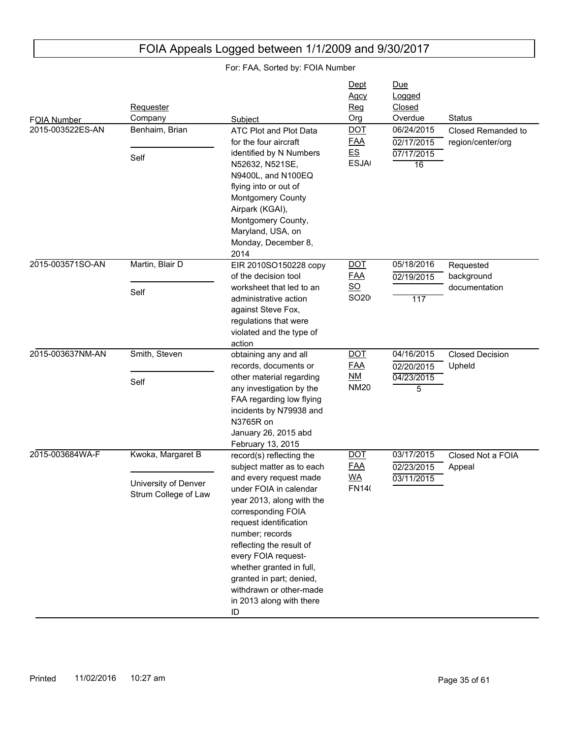| FOIA Number<br>2015-003522ES-AN | Requester<br>Company<br>Benhaim, Brian<br>Self                    | Subject<br>ATC Plot and Plot Data<br>for the four aircraft<br>identified by N Numbers<br>N52632, N521SE,<br>N9400L, and N100EQ<br>flying into or out of<br>Montgomery County<br>Airpark (KGAI),<br>Montgomery County,<br>Maryland, USA, on<br>Monday, December 8,                                                                                                                 | Dept<br>Agcy<br>Reg<br>Org<br><b>DOT</b><br><b>FAA</b><br>E.S<br><b>ESJA</b> | <u>Due</u><br>Logged<br>Closed<br>Overdue<br>06/24/2015<br>02/17/2015<br>07/17/2015<br>16 | <b>Status</b><br>Closed Remanded to<br>region/center/org |
|---------------------------------|-------------------------------------------------------------------|-----------------------------------------------------------------------------------------------------------------------------------------------------------------------------------------------------------------------------------------------------------------------------------------------------------------------------------------------------------------------------------|------------------------------------------------------------------------------|-------------------------------------------------------------------------------------------|----------------------------------------------------------|
| 2015-003571SO-AN                | Martin, Blair D<br>Self                                           | 2014<br>EIR 2010SO150228 copy<br>of the decision tool<br>worksheet that led to an<br>administrative action<br>against Steve Fox,<br>regulations that were<br>violated and the type of<br>action                                                                                                                                                                                   | <b>DOT</b><br><b>FAA</b><br>$\underline{SO}$<br>SO <sub>20</sub>             | 05/18/2016<br>02/19/2015<br>117                                                           | Requested<br>background<br>documentation                 |
| 2015-003637NM-AN                | Smith, Steven<br>Self                                             | obtaining any and all<br>records, documents or<br>other material regarding<br>any investigation by the<br>FAA regarding low flying<br>incidents by N79938 and<br>N3765R on<br>January 26, 2015 abd<br>February 13, 2015                                                                                                                                                           | <b>DOT</b><br><b>FAA</b><br><u>NM</u><br><b>NM20</b>                         | 04/16/2015<br>02/20/2015<br>04/23/2015<br>5                                               | <b>Closed Decision</b><br>Upheld                         |
| 2015-003684WA-F                 | Kwoka, Margaret B<br>University of Denver<br>Strum College of Law | record(s) reflecting the<br>subject matter as to each<br>and every request made<br>under FOIA in calendar<br>year 2013, along with the<br>corresponding FOIA<br>request identification<br>number; records<br>reflecting the result of<br>every FOIA request-<br>whether granted in full,<br>granted in part; denied,<br>withdrawn or other-made<br>in 2013 along with there<br>ID | <b>DOT</b><br><b>FAA</b><br><b>WA</b><br><b>FN140</b>                        | 03/17/2015<br>02/23/2015<br>03/11/2015                                                    | Closed Not a FOIA<br>Appeal                              |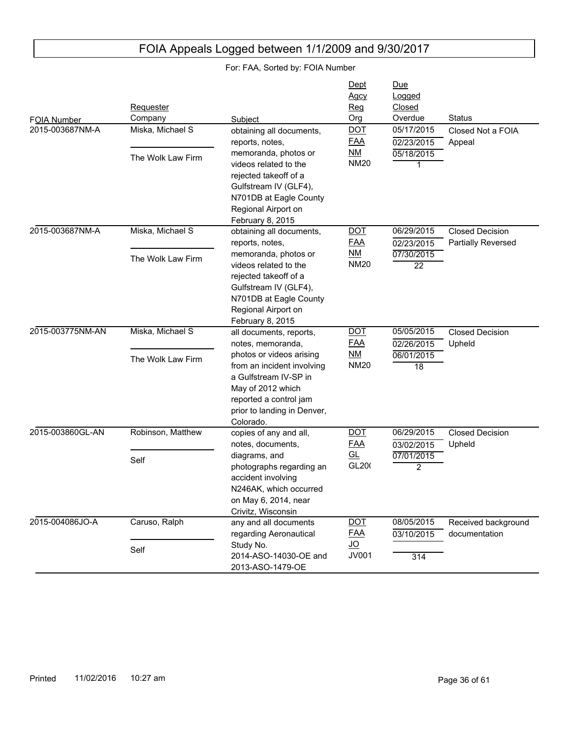#### FOIA Number Due Logged Closed Subject Org Overdue Status<br>
obtaining all documents, DOT 05/17/2015 Closed **Requester** Company **Dept** Agcy Reg Org 2015-003687NM-A 05/18/2015 1 02/23/2015 Closed Not a FOIA Appeal obtaining all documents, reports, notes, memoranda, photos or videos related to the rejected takeoff of a Gulfstream IV (GLF4), N701DB at Eagle County Regional Airport on February 8, 2015 Miska, Michael S The Wolk Law Firm DOT FAA NM **NM20** 2015-003687NM-A 07/30/2015 22 02/23/2015 06/29/2015 Closed Decision Partially Reversed obtaining all documents, reports, notes, memoranda, photos or videos related to the rejected takeoff of a Gulfstream IV (GLF4), N701DB at Eagle County Regional Airport on February 8, 2015 Miska, Michael S The Wolk Law Firm DOT FAA NM **NM20** 2015-003775NM-AN 06/01/2015 18 02/26/2015 05/05/2015 Closed Decision Upheld all documents, reports, notes, memoranda, photos or videos arising from an incident involving a Gulfstream IV-SP in May of 2012 which reported a control jam prior to landing in Denver, Colorado. Miska, Michael S The Wolk Law Firm DOT FAA NM **NM20** 2015-003860GL-AN 07/01/2015  $\overline{2}$ 03/02/2015 06/29/2015 Closed Decision Upheld copies of any and all, notes, documents, diagrams, and photographs regarding an accident involving N246AK, which occurred on May 6, 2014, near Crivitz, Wisconsin Robinson, Matthew Self DOT FAA GL GL<sub>20</sub>( 2015-004086JO-A 314 03/10/2015 08/05/2015 Received background documentation any and all documents regarding Aeronautical Study No. 2014-ASO-14030-OE and 2013-ASO-1479-OE Caruso, Ralph Self DOT FAA JO JV001

## FOIA Appeals Logged between 1/1/2009 and 9/30/2017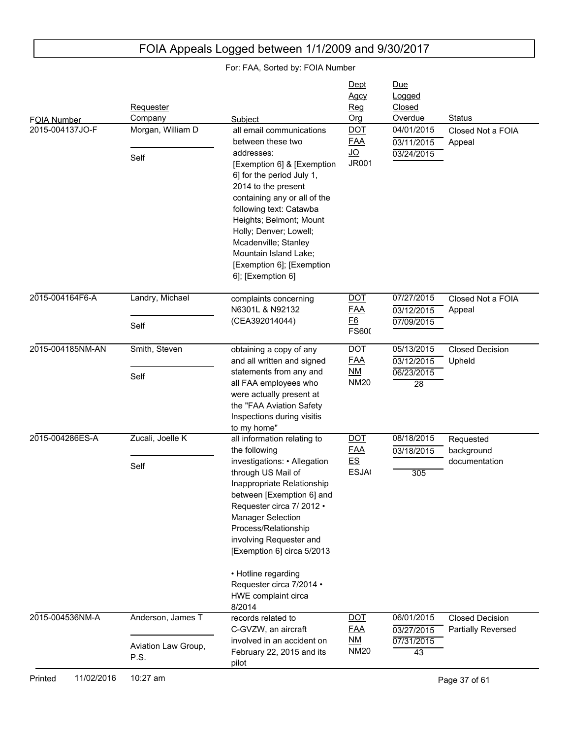| FOIA Number      | Requester<br>Company                             | Subject                                                                                                                                                                                                                                                                                                                                                                           | Dept<br>Agcy<br>Reg<br>Org                            | <u>Due</u><br>Logged<br>Closed<br>Overdue                 | <b>Status</b>                                |
|------------------|--------------------------------------------------|-----------------------------------------------------------------------------------------------------------------------------------------------------------------------------------------------------------------------------------------------------------------------------------------------------------------------------------------------------------------------------------|-------------------------------------------------------|-----------------------------------------------------------|----------------------------------------------|
| 2015-004137JO-F  | Morgan, William D<br>Self                        | all email communications<br>between these two<br>addresses:<br>[Exemption 6] & [Exemption<br>6] for the period July 1,<br>2014 to the present<br>containing any or all of the<br>following text: Catawba<br>Heights; Belmont; Mount<br>Holly; Denver; Lowell;<br>Mcadenville; Stanley<br>Mountain Island Lake;<br>[Exemption 6]; [Exemption<br>6]; [Exemption 6]                  | <u>DOT</u><br><b>FAA</b><br><u>JO</u><br><b>JR001</b> | 04/01/2015<br>03/11/2015<br>03/24/2015                    | Closed Not a FOIA<br>Appeal                  |
| 2015-004164F6-A  | Landry, Michael<br>Self                          | complaints concerning<br>N6301L & N92132<br>(CEA392014044)                                                                                                                                                                                                                                                                                                                        | <b>DOT</b><br><b>FAA</b><br>E6<br>FS600               | 07/27/2015<br>03/12/2015<br>07/09/2015                    | Closed Not a FOIA<br>Appeal                  |
| 2015-004185NM-AN | Smith, Steven<br>Self                            | obtaining a copy of any<br>and all written and signed<br>statements from any and<br>all FAA employees who<br>were actually present at<br>the "FAA Aviation Safety<br>Inspections during visitis<br>to my home"                                                                                                                                                                    | <b>DOT</b><br><b>FAA</b><br>NM<br><b>NM20</b>         | 05/13/2015<br>03/12/2015<br>06/23/2015<br>$\overline{28}$ | <b>Closed Decision</b><br>Upheld             |
| 2015-004286ES-A  | Zucali, Joelle K<br>Self                         | all information relating to<br>the following<br>investigations: • Allegation<br>through US Mail of<br>Inappropriate Relationship<br>between [Exemption 6] and<br>Requester circa 7/ 2012 .<br><b>Manager Selection</b><br>Process/Relationship<br>involving Requester and<br>[Exemption 6] circa 5/2013<br>• Hotline regarding<br>Requester circa 7/2014 .<br>HWE complaint circa | <b>DOT</b><br><b>FAA</b><br>E.S<br><b>ESJA</b>        | 08/18/2015<br>03/18/2015<br>305                           | Requested<br>background<br>documentation     |
| 2015-004536NM-A  | Anderson, James T<br>Aviation Law Group,<br>P.S. | 8/2014<br>records related to<br>C-GVZW, an aircraft<br>involved in an accident on<br>February 22, 2015 and its<br>pilot                                                                                                                                                                                                                                                           | <b>DOT</b><br><u>FAA</u><br>NM<br><b>NM20</b>         | 06/01/2015<br>03/27/2015<br>07/31/2015<br>43              | <b>Closed Decision</b><br>Partially Reversed |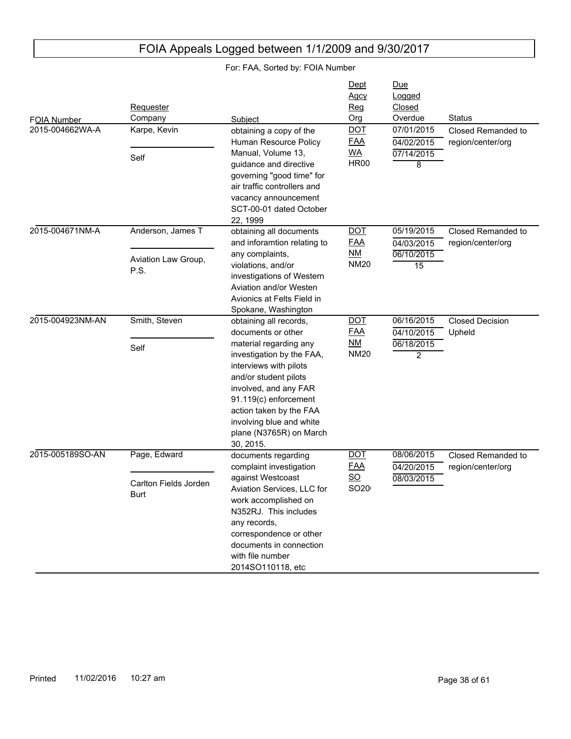| FOIA Number<br>2015-004662WA-A | Requester<br>Company<br>Karpe, Kevin             | Subject<br>obtaining a copy of the<br>Human Resource Policy<br>Manual, Volume 13,                                                                                                                                                                                                                                              | Dept<br><b>Agcy</b><br>Req<br>Org<br><b>DOT</b><br><b>FAA</b><br><b>WA</b> | <u>Due</u><br>Logged<br>Closed<br>Overdue<br>07/01/2015<br>04/02/2015<br>07/14/2015 | <b>Status</b><br>Closed Remanded to<br>region/center/org |
|--------------------------------|--------------------------------------------------|--------------------------------------------------------------------------------------------------------------------------------------------------------------------------------------------------------------------------------------------------------------------------------------------------------------------------------|----------------------------------------------------------------------------|-------------------------------------------------------------------------------------|----------------------------------------------------------|
|                                | Self                                             | guidance and directive<br>governing "good time" for<br>air traffic controllers and<br>vacancy announcement<br>SCT-00-01 dated October<br>22, 1999                                                                                                                                                                              | <b>HR00</b>                                                                | 8                                                                                   |                                                          |
| 2015-004671NM-A                | Anderson, James T<br>Aviation Law Group,<br>P.S. | obtaining all documents<br>and inforamtion relating to<br>any complaints,<br>violations, and/or<br>investigations of Western<br>Aviation and/or Westen<br>Avionics at Felts Field in                                                                                                                                           | <b>DOT</b><br><b>FAA</b><br><u>NM</u><br><b>NM20</b>                       | 05/19/2015<br>04/03/2015<br>06/10/2015<br>15                                        | Closed Remanded to<br>region/center/org                  |
| 2015-004923NM-AN               | Smith, Steven<br>Self                            | Spokane, Washington<br>obtaining all records,<br>documents or other<br>material regarding any<br>investigation by the FAA,<br>interviews with pilots<br>and/or student pilots<br>involved, and any FAR<br>91.119(c) enforcement<br>action taken by the FAA<br>involving blue and white<br>plane (N3765R) on March<br>30, 2015. | <b>DOT</b><br><u>FAA</u><br><u>NM</u><br><b>NM20</b>                       | 06/16/2015<br>04/10/2015<br>06/18/2015<br>2                                         | <b>Closed Decision</b><br>Upheld                         |
| 2015-005189SO-AN               | Page, Edward<br>Carlton Fields Jorden<br>Burt    | documents regarding<br>complaint investigation<br>against Westcoast<br>Aviation Services, LLC for<br>work accomplished on<br>N352RJ. This includes<br>any records,<br>correspondence or other<br>documents in connection<br>with file number<br>2014SO110118, etc                                                              | <b>DOT</b><br><u>FAA</u><br>$\underline{SO}$<br>SO <sub>20</sub>           | 08/06/2015<br>04/20/2015<br>08/03/2015                                              | Closed Remanded to<br>region/center/org                  |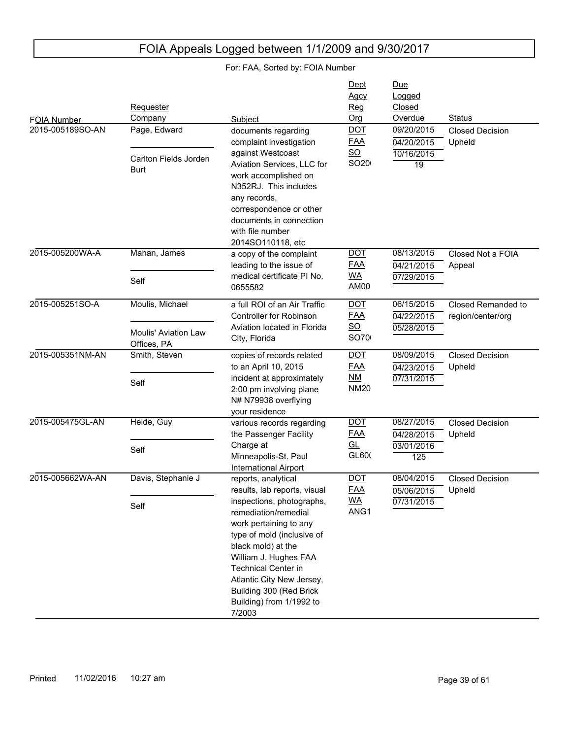#### FOIA Number Due Logged Closed Subject **Construction Construction Construction Construction Construction Construction Construction Construction Requester** Company **Dept** Agcy Reg Org 2015-005189SO-AN 10/16/2015 19 04/20/2015 09/20/2015 Closed Decision Upheld documents regarding complaint investigation against Westcoast Aviation Services, LLC for work accomplished on N352RJ. This includes any records, correspondence or other documents in connection with file number 2014SO110118, etc Page, Edward Carlton Fields Jorden Burt DOT FAA SO SO<sub>20</sub> 2015-005200WA-A 07/29/2015 04/21/2015 08/13/2015 Closed Not a FOIA Appeal a copy of the complaint leading to the issue of medical certificate PI No. 0655582 Mahan, James Self DOT FAA WA AM00 2015-005251SO-A 05/28/2015 04/22/2015 06/15/2015 Closed Remanded to region/center/org a full ROI of an Air Traffic Controller for Robinson Aviation located in Florida City, Florida Moulis, Michael Moulis' Aviation Law Offices, PA DOT FAA SO SO70 2015-005351NM-AN 07/31/2015 04/23/2015 08/09/2015 Closed Decision Upheld copies of records related to an April 10, 2015 incident at approximately 2:00 pm involving plane N# N79938 overflying your residence Smith, Steven Self **DOT** FAA NM **NM20** 2015-005475GL-AN 03/01/2016 125 04/28/2015 08/27/2015 Closed Decision Upheld various records regarding the Passenger Facility Charge at Minneapolis-St. Paul International Airport Heide, Guy Self DOT FAA GL GL600 2015-005662WA-AN 07/31/2015 05/06/2015 08/04/2015 Closed Decision Upheld reports, analytical results, lab reports, visual inspections, photographs, remediation/remedial work pertaining to any type of mold (inclusive of black mold) at the William J. Hughes FAA Technical Center in Atlantic City New Jersey, Building 300 (Red Brick Building) from 1/1992 to 7/2003 Davis, Stephanie J Self DOT<sub>.</sub> FAA WA ANG1

## FOIA Appeals Logged between 1/1/2009 and 9/30/2017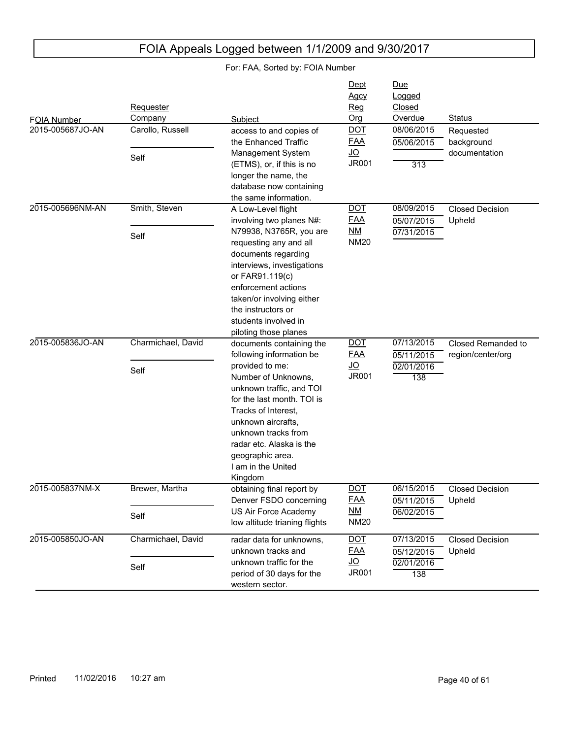| FOIA Number      | Requester<br>Company | Subject                                                                                                                                                                                                                                                                           | Dept<br><b>Agcy</b><br>Req<br>Org       | Due<br>Logged<br>Closed<br>Overdue | <b>Status</b>                    |
|------------------|----------------------|-----------------------------------------------------------------------------------------------------------------------------------------------------------------------------------------------------------------------------------------------------------------------------------|-----------------------------------------|------------------------------------|----------------------------------|
| 2015-005687JO-AN | Carollo, Russell     | access to and copies of<br>the Enhanced Traffic                                                                                                                                                                                                                                   | <b>DOT</b><br><b>FAA</b>                | 08/06/2015<br>05/06/2015           | Requested<br>background          |
|                  | Self                 | Management System<br>(ETMS), or, if this is no<br>longer the name, the<br>database now containing<br>the same information.                                                                                                                                                        | <u>JO</u><br>JR001                      | 313                                | documentation                    |
| 2015-005696NM-AN | Smith, Steven        | A Low-Level flight                                                                                                                                                                                                                                                                | <b>DOT</b>                              | 08/09/2015                         | <b>Closed Decision</b>           |
|                  | Self                 | involving two planes N#:<br>N79938, N3765R, you are<br>requesting any and all<br>documents regarding<br>interviews, investigations                                                                                                                                                | <b>FAA</b><br><u>NM</u><br><b>NM20</b>  | 05/07/2015<br>07/31/2015           | Upheld                           |
|                  |                      | or FAR91.119(c)<br>enforcement actions<br>taken/or involving either<br>the instructors or<br>students involved in<br>piloting those planes                                                                                                                                        |                                         |                                    |                                  |
| 2015-005836JO-AN | Charmichael, David   | documents containing the                                                                                                                                                                                                                                                          | <b>DOT</b>                              | 07/13/2015                         | Closed Remanded to               |
|                  | Self                 | following information be<br>provided to me:<br>Number of Unknowns,<br>unknown traffic, and TOI<br>for the last month. TOI is<br>Tracks of Interest,<br>unknown aircrafts.<br>unknown tracks from<br>radar etc. Alaska is the<br>geographic area.<br>I am in the United<br>Kingdom | <b>FAA</b><br><u>JO</u><br><b>JR001</b> | 05/11/2015<br>02/01/2016<br>138    | region/center/org                |
| 2015-005837NM-X  | Brewer, Martha       | obtaining final report by                                                                                                                                                                                                                                                         | <b>DOT</b><br><b>FAA</b>                | 06/15/2015                         | <b>Closed Decision</b>           |
|                  | Self                 | Denver FSDO concerning<br>US Air Force Academy<br>low altitude trianing flights                                                                                                                                                                                                   | <u>NM</u><br><b>NM20</b>                | 05/11/2015<br>06/02/2015           | Upheld                           |
| 2015-005850JO-AN | Charmichael, David   | radar data for unknowns,<br>unknown tracks and                                                                                                                                                                                                                                    | <b>DOT</b><br><b>FAA</b>                | 07/13/2015<br>05/12/2015           | <b>Closed Decision</b><br>Upheld |
|                  | Self                 | unknown traffic for the<br>period of 30 days for the<br>western sector.                                                                                                                                                                                                           | <u>JO</u><br>JR001                      | 02/01/2016<br>138                  |                                  |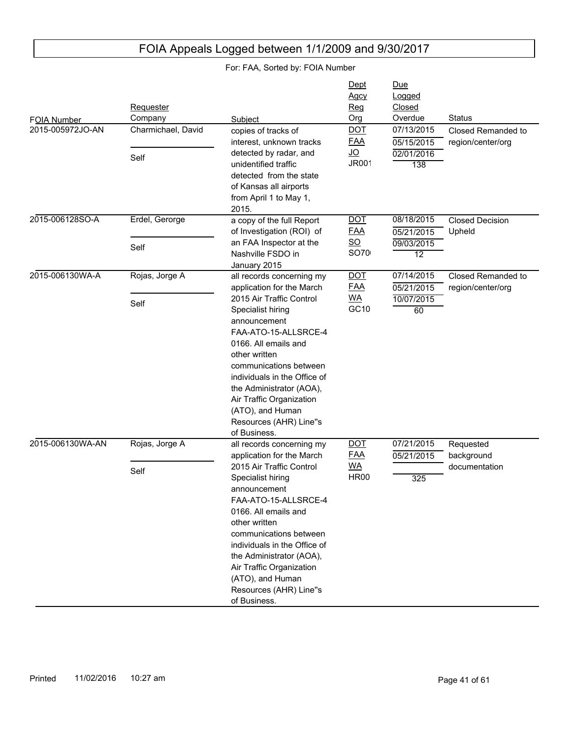| FOIA Number<br>2015-005972JO-AN | Requester<br>Company<br>Charmichael, David | Subject<br>copies of tracks of                                                                                                                                                                                                                                                                                 | Dept<br>Agcy<br>Reg<br>Org<br><b>DOT</b>                    | Due<br>Logged<br>Closed<br>Overdue<br>07/13/2015 | <b>Status</b><br>Closed Remanded to     |
|---------------------------------|--------------------------------------------|----------------------------------------------------------------------------------------------------------------------------------------------------------------------------------------------------------------------------------------------------------------------------------------------------------------|-------------------------------------------------------------|--------------------------------------------------|-----------------------------------------|
|                                 | Self                                       | interest, unknown tracks<br>detected by radar, and<br>unidentified traffic<br>detected from the state<br>of Kansas all airports<br>from April 1 to May 1,<br>2015.                                                                                                                                             | <b>FAA</b><br><u>JO</u><br><b>JR001</b>                     | 05/15/2015<br>02/01/2016<br>138                  | region/center/org                       |
| 2015-006128SO-A                 | Erdel, Gerorge<br>Self                     | a copy of the full Report<br>of Investigation (ROI) of<br>an FAA Inspector at the<br>Nashville FSDO in<br>January 2015                                                                                                                                                                                         | <b>DOT</b><br><b>FAA</b><br>$\underline{SO}$<br><b>SO70</b> | 08/18/2015<br>05/21/2015<br>09/03/2015<br>12     | <b>Closed Decision</b><br>Upheld        |
| 2015-006130WA-A                 | Rojas, Jorge A                             | all records concerning my<br>application for the March                                                                                                                                                                                                                                                         | <b>DOT</b><br><b>FAA</b>                                    | 07/14/2015<br>05/21/2015                         | Closed Remanded to<br>region/center/org |
|                                 | Self                                       | 2015 Air Traffic Control<br>Specialist hiring<br>announcement<br>FAA-ATO-15-ALLSRCE-4<br>0166. All emails and<br>other written<br>communications between<br>individuals in the Office of<br>the Administrator (AOA),<br>Air Traffic Organization<br>(ATO), and Human<br>Resources (AHR) Line"s<br>of Business. | <u>WA</u><br>GC10                                           | 10/07/2015<br>60                                 |                                         |
| 2015-006130WA-AN                | Rojas, Jorge A                             | all records concerning my<br>application for the March                                                                                                                                                                                                                                                         | <b>DOT</b><br><b>FAA</b>                                    | 07/21/2015<br>05/21/2015                         | Requested<br>background                 |
|                                 | Self                                       | 2015 Air Traffic Control<br>Specialist hiring<br>announcement<br>FAA-ATO-15-ALLSRCE-4<br>0166. All emails and<br>other written<br>communications between<br>individuals in the Office of<br>the Administrator (AOA),<br>Air Traffic Organization<br>(ATO), and Human<br>Resources (AHR) Line"s<br>of Business. | <b>WA</b><br><b>HR00</b>                                    | 325                                              | documentation                           |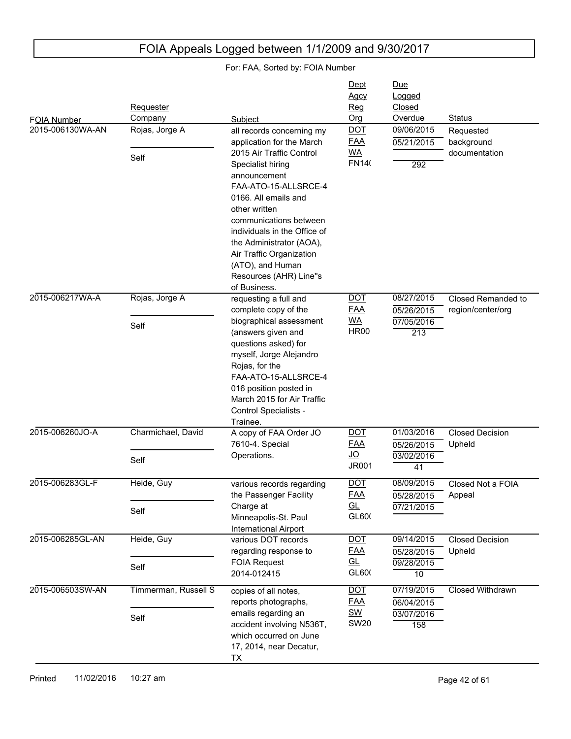| <b>FOIA Number</b> | Requester<br>Company   | Subject                                                                                                                                                                                                                                                                            | Dept<br><b>Agcy</b><br><u>Reg</u><br>Org | Due<br>Logged<br>Closed<br>Overdue     | <b>Status</b>                            |
|--------------------|------------------------|------------------------------------------------------------------------------------------------------------------------------------------------------------------------------------------------------------------------------------------------------------------------------------|------------------------------------------|----------------------------------------|------------------------------------------|
| 2015-006130WA-AN   | Rojas, Jorge A<br>Self | all records concerning my<br>application for the March<br>2015 Air Traffic Control                                                                                                                                                                                                 | <b>DOT</b><br><b>FAA</b><br><b>WA</b>    | 09/06/2015<br>05/21/2015               | Requested<br>background<br>documentation |
|                    |                        | Specialist hiring<br>announcement<br>FAA-ATO-15-ALLSRCE-4<br>0166. All emails and<br>other written<br>communications between<br>individuals in the Office of<br>the Administrator (AOA),<br>Air Traffic Organization<br>(ATO), and Human<br>Resources (AHR) Line"s<br>of Business. | <b>FN140</b>                             | 292                                    |                                          |
| 2015-006217WA-A    | Rojas, Jorge A         | requesting a full and<br>complete copy of the                                                                                                                                                                                                                                      | <b>DOT</b><br><b>FAA</b>                 | 08/27/2015<br>05/26/2015               | Closed Remanded to<br>region/center/org  |
|                    | Self                   | biographical assessment<br>(answers given and<br>questions asked) for<br>myself, Jorge Alejandro<br>Rojas, for the<br>FAA-ATO-15-ALLSRCE-4<br>016 position posted in<br>March 2015 for Air Traffic<br>Control Specialists -<br>Trainee.                                            | <b>WA</b><br><b>HR00</b>                 | 07/05/2016<br>213                      |                                          |
| 2015-006260JO-A    | Charmichael, David     | A copy of FAA Order JO<br>7610-4. Special<br>Operations.                                                                                                                                                                                                                           | <b>DOT</b><br><b>FAA</b><br><u>JO</u>    | 01/03/2016<br>05/26/2015               | <b>Closed Decision</b><br>Upheld         |
|                    | Self                   |                                                                                                                                                                                                                                                                                    | <b>JR001</b>                             | 03/02/2016<br>41                       |                                          |
| 2015-006283GL-F    | Heide, Guy             | various records regarding<br>the Passenger Facility<br>Charge at                                                                                                                                                                                                                   | <b>DOT</b><br><b>FAA</b><br>GL           | 08/09/2015<br>05/28/2015<br>07/21/2015 | Closed Not a FOIA<br>Appeal              |
|                    | Self                   | Minneapolis-St. Paul<br><b>International Airport</b>                                                                                                                                                                                                                               | GL600                                    |                                        |                                          |
| 2015-006285GL-AN   | Heide, Guy             | various DOT records<br>regarding response to                                                                                                                                                                                                                                       | <b>DOT</b><br><b>FAA</b>                 | 09/14/2015<br>05/28/2015               | <b>Closed Decision</b><br>Upheld         |
|                    | Self                   | <b>FOIA Request</b><br>2014-012415                                                                                                                                                                                                                                                 | GL<br>GL600                              | 09/28/2015<br>$\overline{10}$          |                                          |
| 2015-006503SW-AN   | Timmerman, Russell S   | copies of all notes,<br>reports photographs,                                                                                                                                                                                                                                       | <b>DOT</b><br><b>FAA</b>                 | 07/19/2015<br>06/04/2015               | Closed Withdrawn                         |
|                    | Self                   | emails regarding an<br>accident involving N536T,<br>which occurred on June<br>17, 2014, near Decatur,<br>TX                                                                                                                                                                        | <u>SW</u><br><b>SW20</b>                 | 03/07/2016<br>158                      |                                          |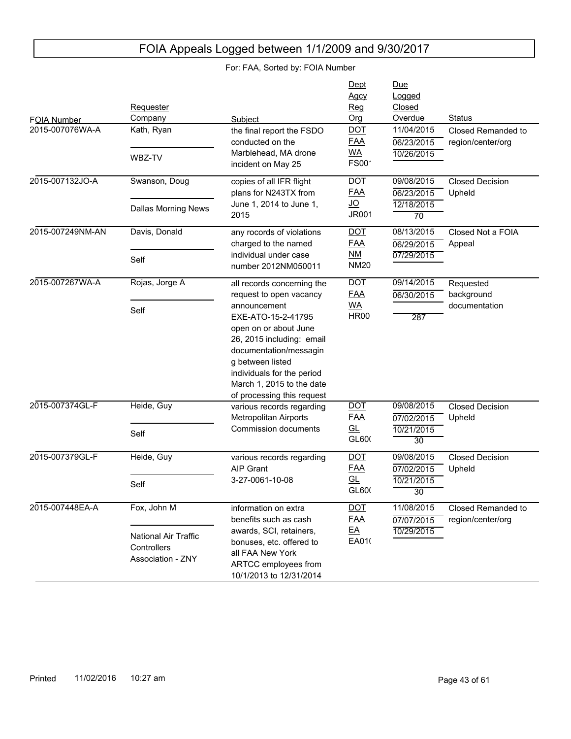#### FOIA Number Due Logged Closed Subject **Contact Contact Contact Contact Contact Contact Contact Contact Contact Contact Contact Contact Contact Contact Contact Contact Contact Contact Contact Contact Contact Contact Contact Contact Contact Contact Conta** Requester Company Dept Agcy Reg Org 2015-007076WA-A 10/26/2015 06/23/2015 11/04/2015 Closed Remanded to region/center/org the final report the FSDO conducted on the Marblehead, MA drone incident on May 25 Kath, Ryan WBZ-TV DOT FAA WA  $FSOO'$ 2015-007132JO-A 12/18/2015 70 06/23/2015 09/08/2015 Closed Decision Upheld copies of all IFR flight plans for N243TX from June 1, 2014 to June 1, 2015 Swanson, Doug Dallas Morning News DOT FAA JO JR001 2015-007249NM-AN 07/29/2015 06/29/2015 08/13/2015 Closed Not a FOIA Appeal any rocords of violations charged to the named individual under case number 2012NM050011 Davis, Donald Self DOT FAA NM **NM20** 2015-007267WA-A 287 06/30/2015 09/14/2015 Requested background documentation all records concerning the request to open vacancy announcement EXE-ATO-15-2-41795 open on or about June 26, 2015 including: email documentation/messagin g between listed individuals for the period March 1, 2015 to the date of processing this request Rojas, Jorge A Self DOT FAA WA HR<sub>00</sub> 2015-007374GL-F 10/21/2015 30 07/02/2015 09/08/2015 Closed Decision Upheld various records regarding Metropolitan Airports Commission documents Heide, Guy Self DOT<sub>.</sub> FAA GL GL600 2015-007379GL-F 10/21/2015 30 07/02/2015 09/08/2015 Closed Decision Upheld various records regarding AIP Grant 3-27-0061-10-08 Heide, Guy Self DOT FAA GL GL600 2015-007448EA-A 10/29/2015 07/07/2015 11/08/2015 Closed Remanded to region/center/org information on extra benefits such as cash awards, SCI, retainers, bonuses, etc. offered to all FAA New York ARTCC employees from 10/1/2013 to 12/31/2014 Fox, John M National Air Traffic **Controllers** Association - ZNY DOT FAA EA EA010

## FOIA Appeals Logged between 1/1/2009 and 9/30/2017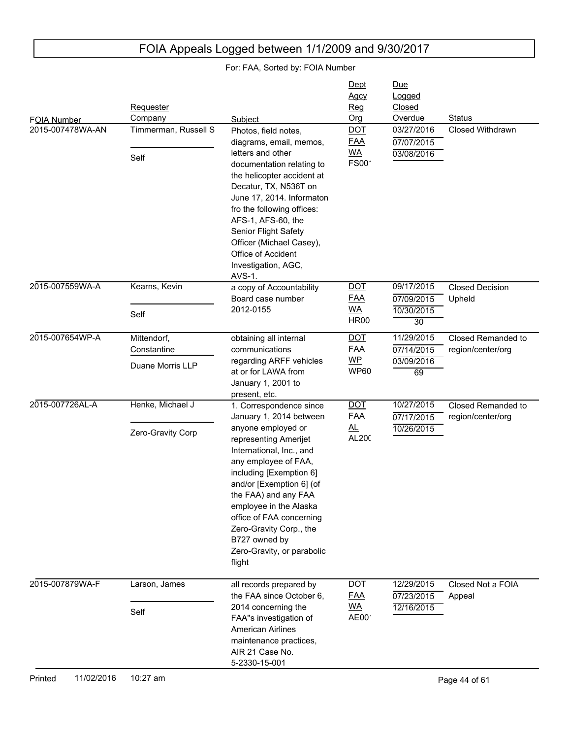| FOIA Number<br>2015-007478WA-AN | Requester<br>Company<br>Timmerman, Russell S   | Subject<br>Photos, field notes,                                                                                                                                                                                                                                                                                                                                                | Dept<br>Agcy<br><u>Reg</u><br>Org<br><b>DOT</b>        | <u>Due</u><br>Logged<br>Closed<br>Overdue<br>03/27/2016 | <b>Status</b><br>Closed Withdrawn       |
|---------------------------------|------------------------------------------------|--------------------------------------------------------------------------------------------------------------------------------------------------------------------------------------------------------------------------------------------------------------------------------------------------------------------------------------------------------------------------------|--------------------------------------------------------|---------------------------------------------------------|-----------------------------------------|
|                                 | Self                                           | diagrams, email, memos,<br>letters and other<br>documentation relating to<br>the helicopter accident at<br>Decatur, TX, N536T on<br>June 17, 2014. Informaton<br>fro the following offices:<br>AFS-1, AFS-60, the<br>Senior Flight Safety<br>Officer (Michael Casey),<br>Office of Accident<br>Investigation, AGC,<br>AVS-1.                                                   | <b>FAA</b><br><b>WA</b><br>FS00 <sup>-</sup>           | 07/07/2015<br>03/08/2016                                |                                         |
| 2015-007559WA-A                 | Kearns, Kevin<br>Self                          | a copy of Accountability<br>Board case number<br>2012-0155                                                                                                                                                                                                                                                                                                                     | <b>DOT</b><br><b>FAA</b><br><b>WA</b><br><b>HR00</b>   | 09/17/2015<br>07/09/2015<br>10/30/2015<br>30            | <b>Closed Decision</b><br>Upheld        |
| 2015-007654WP-A                 | Mittendorf,<br>Constantine<br>Duane Morris LLP | obtaining all internal<br>communications<br>regarding ARFF vehicles<br>at or for LAWA from<br>January 1, 2001 to<br>present, etc.                                                                                                                                                                                                                                              | $\underline{DOT}$<br><b>FAA</b><br>$WP$<br><b>WP60</b> | 11/29/2015<br>07/14/2015<br>03/09/2016<br>69            | Closed Remanded to<br>region/center/org |
| 2015-007726AL-A                 | Henke, Michael J<br>Zero-Gravity Corp          | 1. Correspondence since<br>January 1, 2014 between<br>anyone employed or<br>representing Amerijet<br>International, Inc., and<br>any employee of FAA,<br>including [Exemption 6]<br>and/or [Exemption 6] (of<br>the FAA) and any FAA<br>employee in the Alaska<br>office of FAA concerning<br>Zero-Gravity Corp., the<br>B727 owned by<br>Zero-Gravity, or parabolic<br>flight | <b>DOT</b><br><b>FAA</b><br><u>al</u><br>AL200         | 10/27/2015<br>07/17/2015<br>10/26/2015                  | Closed Remanded to<br>region/center/org |
| 2015-007879WA-F                 | Larson, James<br>Self                          | all records prepared by<br>the FAA since October 6,<br>2014 concerning the<br>FAA"s investigation of<br><b>American Airlines</b><br>maintenance practices,<br>AIR 21 Case No.<br>5-2330-15-001                                                                                                                                                                                 | $\underline{DOT}$<br><b>FAA</b><br><u>WA</u><br>AE00   | 12/29/2015<br>07/23/2015<br>12/16/2015                  | Closed Not a FOIA<br>Appeal             |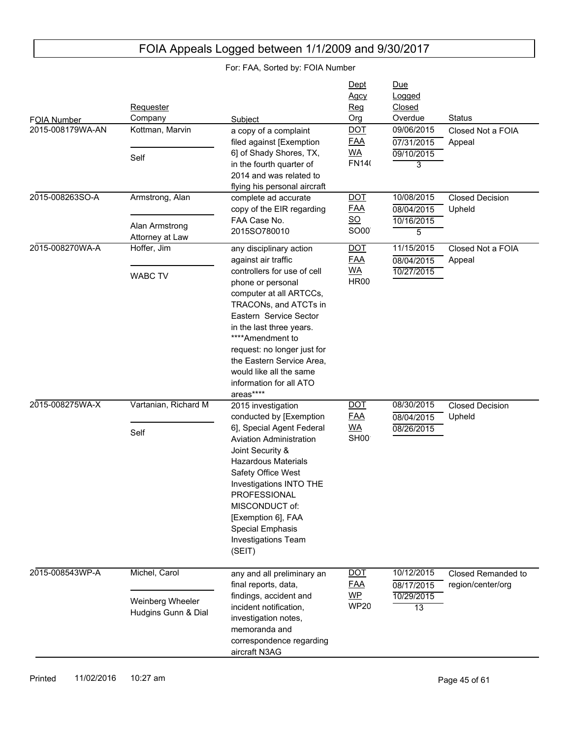| FOIA Number<br>2015-008179WA-AN | Requester<br>Company<br>Kottman, Marvin                  | Subject<br>a copy of a complaint                                                                                                                                                                                                                                                                                                                                | Dept<br><b>Agcy</b><br><b>Reg</b><br>Org<br><b>DOT</b>     | Due<br>Logged<br>Closed<br>Overdue<br>09/06/2015 | <b>Status</b><br>Closed Not a FOIA      |
|---------------------------------|----------------------------------------------------------|-----------------------------------------------------------------------------------------------------------------------------------------------------------------------------------------------------------------------------------------------------------------------------------------------------------------------------------------------------------------|------------------------------------------------------------|--------------------------------------------------|-----------------------------------------|
|                                 | Self                                                     | filed against [Exemption<br>6] of Shady Shores, TX,<br>in the fourth quarter of<br>2014 and was related to<br>flying his personal aircraft                                                                                                                                                                                                                      | <u>FAA</u><br><u>WA</u><br><b>FN140</b>                    | 07/31/2015<br>09/10/2015<br>3                    | Appeal                                  |
| 2015-008263SO-A                 | Armstrong, Alan<br>Alan Armstrong<br>Attorney at Law     | complete ad accurate<br>copy of the EIR regarding<br>FAA Case No.<br>2015SO780010                                                                                                                                                                                                                                                                               | <b>DOT</b><br><u>FAA</u><br><u>so</u><br>SO00 <sup>®</sup> | 10/08/2015<br>08/04/2015<br>10/16/2015<br>5      | <b>Closed Decision</b><br>Upheld        |
| 2015-008270WA-A                 | Hoffer, Jim<br><b>WABC TV</b>                            | any disciplinary action<br>against air traffic<br>controllers for use of cell<br>phone or personal<br>computer at all ARTCCs,<br>TRACONs, and ATCTs in<br>Eastern Service Sector<br>in the last three years.<br>****Amendment to<br>request: no longer just for<br>the Eastern Service Area,<br>would like all the same<br>information for all ATO<br>areas**** | <b>DOT</b><br><b>FAA</b><br><b>WA</b><br><b>HR00</b>       | 11/15/2015<br>08/04/2015<br>10/27/2015           | Closed Not a FOIA<br>Appeal             |
| 2015-008275WA-X                 | Vartanian, Richard M<br>Self                             | 2015 investigation<br>conducted by [Exemption<br>6], Special Agent Federal<br><b>Aviation Administration</b><br>Joint Security &<br><b>Hazardous Materials</b><br>Safety Office West<br>Investigations INTO THE<br>PROFESSIONAL<br>MISCONDUCT of:<br>[Exemption 6], FAA<br>Special Emphasis<br>Investigations Team<br>(SEIT)                                    | <b>DOT</b><br><b>FAA</b><br><b>WA</b><br>SH <sub>00</sub>  | 08/30/2015<br>08/04/2015<br>08/26/2015           | <b>Closed Decision</b><br>Upheld        |
| 2015-008543WP-A                 | Michel, Carol<br>Weinberg Wheeler<br>Hudgins Gunn & Dial | any and all preliminary an<br>final reports, data,<br>findings, accident and<br>incident notification,<br>investigation notes,<br>memoranda and<br>correspondence regarding<br>aircraft N3AG                                                                                                                                                                    | <b>DOT</b><br><u>FAA</u><br><u>WP</u><br><b>WP20</b>       | 10/12/2015<br>08/17/2015<br>10/29/2015<br>13     | Closed Remanded to<br>region/center/org |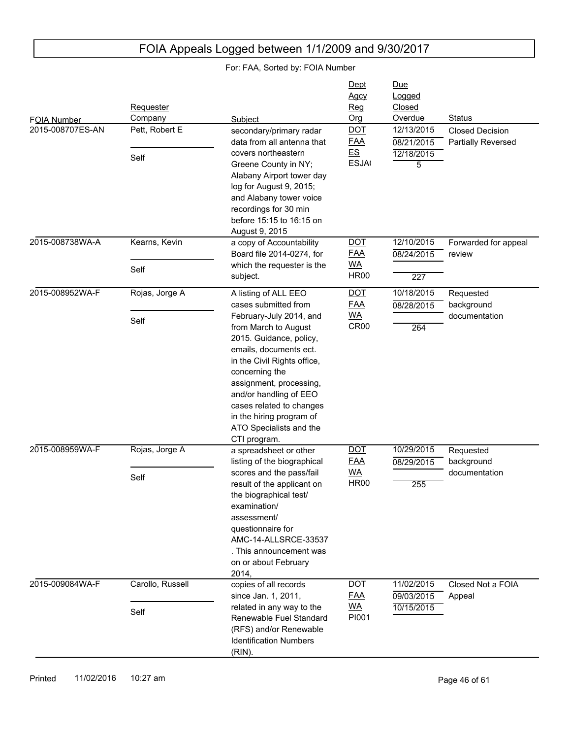| FOIA Number<br>2015-008707ES-AN | Requester<br>Company<br>Pett, Robert E<br>Self | Subject<br>secondary/primary radar<br>data from all antenna that<br>covers northeastern<br>Greene County in NY;<br>Alabany Airport tower day<br>log for August 9, 2015;<br>and Alabany tower voice<br>recordings for 30 min<br>before 15:15 to 16:15 on<br>August 9, 2015                                                                                     | Dept<br>Agcy<br>Reg<br>Org<br><b>DOT</b><br><b>FAA</b><br><b>ES</b><br><b>ESJA</b> | <u>Due</u><br>Logged<br>Closed<br>Overdue<br>12/13/2015<br>08/21/2015<br>12/18/2015<br>5 | <b>Status</b><br><b>Closed Decision</b><br>Partially Reversed |
|---------------------------------|------------------------------------------------|---------------------------------------------------------------------------------------------------------------------------------------------------------------------------------------------------------------------------------------------------------------------------------------------------------------------------------------------------------------|------------------------------------------------------------------------------------|------------------------------------------------------------------------------------------|---------------------------------------------------------------|
| 2015-008738WA-A                 | Kearns, Kevin<br>Self                          | a copy of Accountability<br>Board file 2014-0274, for<br>which the requester is the<br>subject.                                                                                                                                                                                                                                                               | <b>DOT</b><br><b>FAA</b><br><b>WA</b><br><b>HR00</b>                               | 12/10/2015<br>08/24/2015<br>227                                                          | Forwarded for appeal<br>review                                |
| 2015-008952WA-F                 | Rojas, Jorge A<br>Self                         | A listing of ALL EEO<br>cases submitted from<br>February-July 2014, and<br>from March to August<br>2015. Guidance, policy,<br>emails, documents ect.<br>in the Civil Rights office,<br>concerning the<br>assignment, processing,<br>and/or handling of EEO<br>cases related to changes<br>in the hiring program of<br>ATO Specialists and the<br>CTI program. | <b>DOT</b><br><b>FAA</b><br><u>WA</u><br>CR <sub>00</sub>                          | 10/18/2015<br>08/28/2015<br>264                                                          | Requested<br>background<br>documentation                      |
| 2015-008959WA-F                 | Rojas, Jorge A<br>Self                         | a spreadsheet or other<br>listing of the biographical<br>scores and the pass/fail<br>result of the applicant on<br>the biographical test/<br>examination/<br>assessment/<br>questionnaire for<br>AMC-14-ALLSRCE-33537<br>. This announcement was<br>on or about February<br>2014,                                                                             | $\underline{DOT}$<br><b>FAA</b><br><b>WA</b><br><b>HR00</b>                        | 10/29/2015<br>08/29/2015<br>255                                                          | Requested<br>background<br>documentation                      |
| 2015-009084WA-F                 | Carollo, Russell<br>Self                       | copies of all records<br>since Jan. 1, 2011,<br>related in any way to the<br>Renewable Fuel Standard<br>(RFS) and/or Renewable<br><b>Identification Numbers</b><br>(RIN).                                                                                                                                                                                     | $\underline{DOT}$<br><b>FAA</b><br><u>WA</u><br>PI001                              | 11/02/2015<br>09/03/2015<br>10/15/2015                                                   | Closed Not a FOIA<br>Appeal                                   |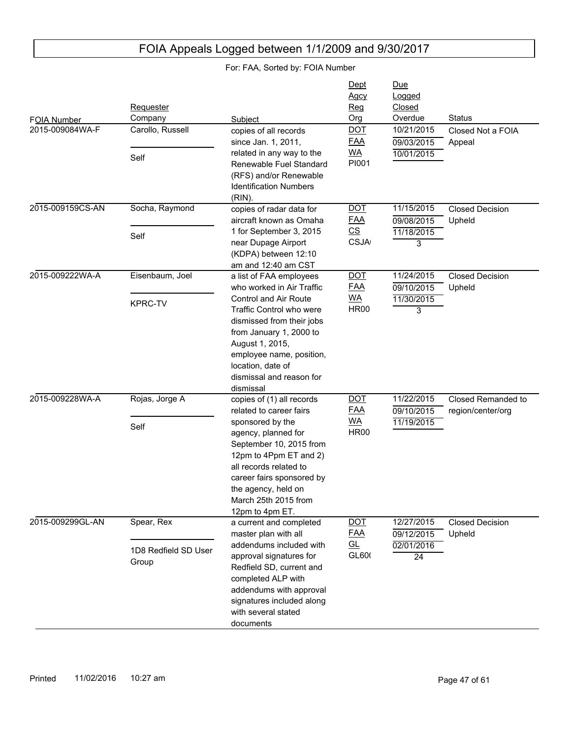| FOIA Number<br>2015-009084WA-F<br>2015-009159CS-AN | Requester<br>Company<br>Carollo, Russell<br>Self<br>Socha, Raymond | Subject<br>copies of all records<br>since Jan. 1, 2011,<br>related in any way to the<br>Renewable Fuel Standard<br>(RFS) and/or Renewable<br><b>Identification Numbers</b><br>$(RIN)$ .<br>copies of radar data for                                                                   | Dept<br><b>Agcy</b><br>Req<br>Org<br><b>DOT</b><br><b>FAA</b><br><b>WA</b><br>PI001<br><b>DOT</b> | <u>Due</u><br>Logged<br>Closed<br>Overdue<br>10/21/2015<br>09/03/2015<br>10/01/2015<br>11/15/2015 | <b>Status</b><br>Closed Not a FOIA<br>Appeal<br><b>Closed Decision</b> |
|----------------------------------------------------|--------------------------------------------------------------------|---------------------------------------------------------------------------------------------------------------------------------------------------------------------------------------------------------------------------------------------------------------------------------------|---------------------------------------------------------------------------------------------------|---------------------------------------------------------------------------------------------------|------------------------------------------------------------------------|
|                                                    | Self                                                               | aircraft known as Omaha<br>1 for September 3, 2015<br>near Dupage Airport<br>(KDPA) between 12:10<br>am and 12:40 am CST                                                                                                                                                              | <u>FAA</u><br>$\underline{\mathsf{CS}}$<br><b>CSJA</b>                                            | 09/08/2015<br>11/18/2015<br>3                                                                     | Upheld                                                                 |
| 2015-009222WA-A                                    | Eisenbaum, Joel<br><b>KPRC-TV</b>                                  | a list of FAA employees<br>who worked in Air Traffic<br><b>Control and Air Route</b><br>Traffic Control who were<br>dismissed from their jobs<br>from January 1, 2000 to<br>August 1, 2015,<br>employee name, position,<br>location, date of<br>dismissal and reason for<br>dismissal | <b>DOT</b><br><u>FAA</u><br><u>WA</u><br><b>HR00</b>                                              | 11/24/2015<br>09/10/2015<br>11/30/2015<br>3                                                       | <b>Closed Decision</b><br>Upheld                                       |
| 2015-009228WA-A                                    | Rojas, Jorge A<br>Self                                             | copies of (1) all records<br>related to career fairs<br>sponsored by the<br>agency, planned for<br>September 10, 2015 from<br>12pm to 4Ppm ET and 2)<br>all records related to<br>career fairs sponsored by<br>the agency, held on<br>March 25th 2015 from<br>12pm to 4pm ET.         | <b>DOT</b><br><u>FAA</u><br><u>WA</u><br><b>HR00</b>                                              | 11/22/2015<br>09/10/2015<br>11/19/2015                                                            | Closed Remanded to<br>region/center/org                                |
| 2015-009299GL-AN                                   | Spear, Rex<br>1D8 Redfield SD User<br>Group                        | a current and completed<br>master plan with all<br>addendums included with<br>approval signatures for<br>Redfield SD, current and<br>completed ALP with<br>addendums with approval<br>signatures included along<br>with several stated<br>documents                                   | <b>DOT</b><br><b>FAA</b><br><u>GL</u><br>GL600                                                    | 12/27/2015<br>09/12/2015<br>02/01/2016<br>24                                                      | <b>Closed Decision</b><br>Upheld                                       |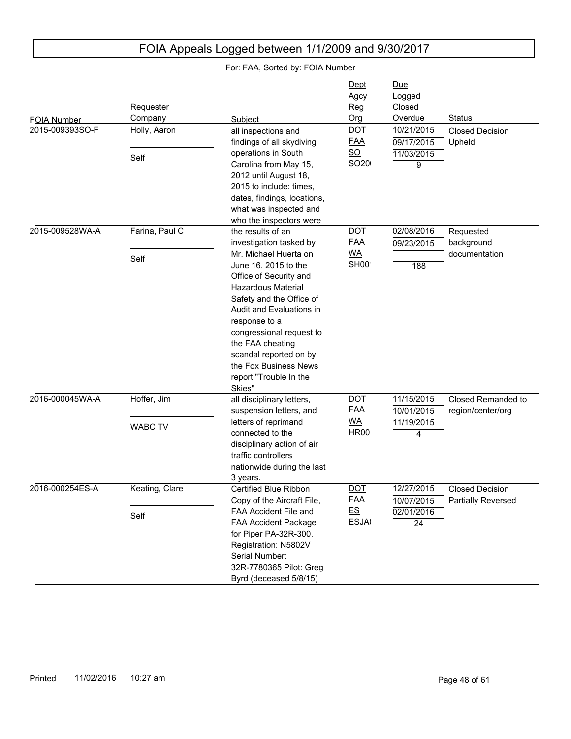| FOIA Number     | Requester<br>Company          | Subject                                                                                                                                                                                                                                                                                                                                                              | Dept<br>Agcy<br>Reg<br>Org                                    | Due<br>Logged<br>Closed<br>Overdue           | <b>Status</b>                                |
|-----------------|-------------------------------|----------------------------------------------------------------------------------------------------------------------------------------------------------------------------------------------------------------------------------------------------------------------------------------------------------------------------------------------------------------------|---------------------------------------------------------------|----------------------------------------------|----------------------------------------------|
| 2015-009393SO-F | Holly, Aaron<br>Self          | all inspections and<br>findings of all skydiving<br>operations in South<br>Carolina from May 15,<br>2012 until August 18,<br>2015 to include: times,<br>dates, findings, locations,<br>what was inspected and<br>who the inspectors were                                                                                                                             | <b>DOT</b><br><b>FAA</b><br>$\underline{\mathsf{SO}}$<br>SO20 | 10/21/2015<br>09/17/2015<br>11/03/2015<br>9  | <b>Closed Decision</b><br>Upheld             |
| 2015-009528WA-A | Farina, Paul C<br>Self        | the results of an<br>investigation tasked by<br>Mr. Michael Huerta on<br>June 16, 2015 to the<br>Office of Security and<br><b>Hazardous Material</b><br>Safety and the Office of<br>Audit and Evaluations in<br>response to a<br>congressional request to<br>the FAA cheating<br>scandal reported on by<br>the Fox Business News<br>report "Trouble In the<br>Skies" | <b>DOT</b><br><b>FAA</b><br><b>WA</b><br>SH <sub>00</sub>     | 02/08/2016<br>09/23/2015<br>188              | Requested<br>background<br>documentation     |
| 2016-000045WA-A | Hoffer, Jim<br><b>WABC TV</b> | all disciplinary letters,<br>suspension letters, and<br>letters of reprimand<br>connected to the<br>disciplinary action of air<br>traffic controllers<br>nationwide during the last<br>3 years.                                                                                                                                                                      | <b>DOT</b><br><b>FAA</b><br><b>WA</b><br><b>HR00</b>          | 11/15/2015<br>10/01/2015<br>11/19/2015<br>4  | Closed Remanded to<br>region/center/org      |
| 2016-000254ES-A | Keating, Clare<br>Self        | Certified Blue Ribbon<br>Copy of the Aircraft File,<br>FAA Accident File and<br>FAA Accident Package<br>for Piper PA-32R-300.<br>Registration: N5802V<br>Serial Number:<br>32R-7780365 Pilot: Greg<br>Byrd (deceased 5/8/15)                                                                                                                                         | <b>DOT</b><br><b>FAA</b><br>E.S<br><b>ESJA</b>                | 12/27/2015<br>10/07/2015<br>02/01/2016<br>24 | <b>Closed Decision</b><br>Partially Reversed |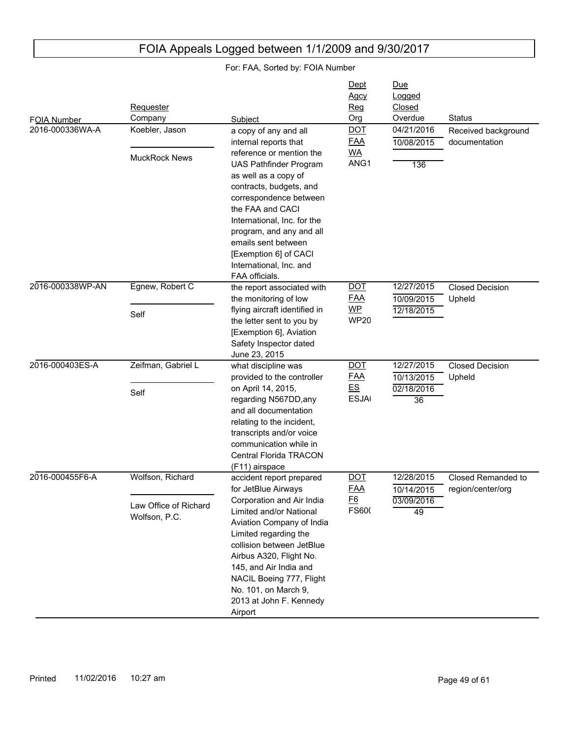| <b>FOIA Number</b><br>2016-000336WA-A | Requester<br>Company<br>Koebler, Jason                     | Subject<br>a copy of any and all                                                                                                                                                                                                                                                                                                            | Dept<br><b>Agcy</b><br>Reg<br>Org<br><b>DOT</b>                     | Due<br>Logged<br>Closed<br>Overdue<br>04/21/2016 | <b>Status</b><br>Received background    |
|---------------------------------------|------------------------------------------------------------|---------------------------------------------------------------------------------------------------------------------------------------------------------------------------------------------------------------------------------------------------------------------------------------------------------------------------------------------|---------------------------------------------------------------------|--------------------------------------------------|-----------------------------------------|
|                                       | <b>MuckRock News</b>                                       | internal reports that<br>reference or mention the<br><b>UAS Pathfinder Program</b><br>as well as a copy of<br>contracts, budgets, and<br>correspondence between<br>the FAA and CACI<br>International, Inc. for the<br>program, and any and all<br>emails sent between<br>[Exemption 6] of CACI<br>International, Inc. and<br>FAA officials. | <b>FAA</b><br><b>WA</b><br>ANG1                                     | 10/08/2015<br>136                                | documentation                           |
| 2016-000338WP-AN                      | Egnew, Robert C<br>Self                                    | the report associated with<br>the monitoring of low<br>flying aircraft identified in<br>the letter sent to you by<br>[Exemption 6], Aviation<br>Safety Inspector dated<br>June 23, 2015                                                                                                                                                     | <b>DOT</b><br><b>FAA</b><br>$\overline{\mathsf{MP}}$<br><b>WP20</b> | 12/27/2015<br>10/09/2015<br>12/18/2015           | <b>Closed Decision</b><br>Upheld        |
| 2016-000403ES-A                       | Zeifman, Gabriel L<br>Self                                 | what discipline was<br>provided to the controller<br>on April 14, 2015,<br>regarding N567DD, any<br>and all documentation<br>relating to the incident,<br>transcripts and/or voice<br>communication while in<br>Central Florida TRACON<br>(F11) airspace                                                                                    | <b>DOT</b><br><b>FAA</b><br>E.S<br><b>ESJA</b>                      | 12/27/2015<br>10/13/2015<br>02/18/2016<br>36     | <b>Closed Decision</b><br>Upheld        |
| 2016-000455F6-A                       | Wolfson, Richard<br>Law Office of Richard<br>Wolfson, P.C. | accident report prepared<br>for JetBlue Airways<br>Corporation and Air India<br>Limited and/or National<br>Aviation Company of India<br>Limited regarding the<br>collision between JetBlue<br>Airbus A320, Flight No.<br>145, and Air India and<br>NACIL Boeing 777, Flight<br>No. 101, on March 9,<br>2013 at John F. Kennedy<br>Airport   | <b>DOT</b><br><b>FAA</b><br>E6<br>FS600                             | 12/28/2015<br>10/14/2015<br>03/09/2016<br>49     | Closed Remanded to<br>region/center/org |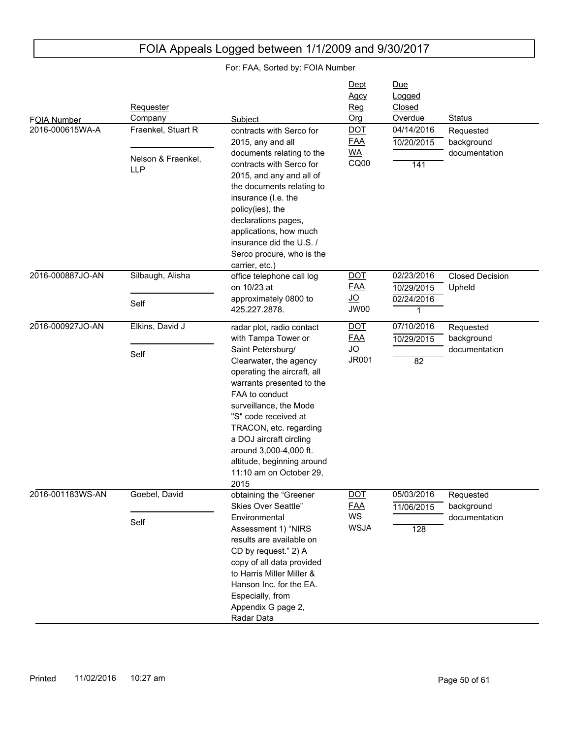| FOIA Number<br>2016-000615WA-A | Requester<br>Company<br>Fraenkel, Stuart R<br>Nelson & Fraenkel,<br><b>LLP</b> | Subject<br>contracts with Serco for<br>2015, any and all<br>documents relating to the<br>contracts with Serco for<br>2015, and any and all of<br>the documents relating to<br>insurance (I.e. the                                                                                                                                                                               | Dept<br><b>Agcy</b><br>Reg<br>Org<br><b>DOT</b><br><b>FAA</b><br><b>WA</b><br>CQ00 | <u>Due</u><br>Logged<br>Closed<br>Overdue<br>04/14/2016<br>10/20/2015<br>141 | <b>Status</b><br>Requested<br>background<br>documentation |
|--------------------------------|--------------------------------------------------------------------------------|---------------------------------------------------------------------------------------------------------------------------------------------------------------------------------------------------------------------------------------------------------------------------------------------------------------------------------------------------------------------------------|------------------------------------------------------------------------------------|------------------------------------------------------------------------------|-----------------------------------------------------------|
| 2016-000887JO-AN               | Silbaugh, Alisha<br>Self                                                       | policy(ies), the<br>declarations pages,<br>applications, how much<br>insurance did the U.S. /<br>Serco procure, who is the<br>carrier, etc.)<br>office telephone call log<br>on 10/23 at<br>approximately 0800 to<br>425.227.2878.                                                                                                                                              | <b>DOT</b><br><b>FAA</b><br><u>JO</u><br>JW00                                      | 02/23/2016<br>10/29/2015<br>02/24/2016<br>1                                  | <b>Closed Decision</b><br>Upheld                          |
| 2016-000927JO-AN               | Elkins, David J<br>Self                                                        | radar plot, radio contact<br>with Tampa Tower or<br>Saint Petersburg/<br>Clearwater, the agency<br>operating the aircraft, all<br>warrants presented to the<br>FAA to conduct<br>surveillance, the Mode<br>"S" code received at<br>TRACON, etc. regarding<br>a DOJ aircraft circling<br>around 3,000-4,000 ft.<br>altitude, beginning around<br>11:10 am on October 29,<br>2015 | <b>DOT</b><br><b>FAA</b><br>$\underline{\mathsf{J}\mathsf{O}}$<br><b>JR001</b>     | 07/10/2016<br>10/29/2015<br>$\overline{82}$                                  | Requested<br>background<br>documentation                  |
| 2016-001183WS-AN               | Goebel, David<br>Self                                                          | obtaining the "Greener<br>Skies Over Seattle"<br>Environmental<br>Assessment 1) "NIRS<br>results are available on<br>CD by request." 2) A<br>copy of all data provided<br>to Harris Miller Miller &<br>Hanson Inc. for the EA.<br>Especially, from<br>Appendix G page 2,<br>Radar Data                                                                                          | $\overline{$ DOT<br><b>FAA</b><br>$\underline{\mathsf{WS}}$<br><b>WSJA</b>         | 05/03/2016<br>11/06/2015<br>128                                              | Requested<br>background<br>documentation                  |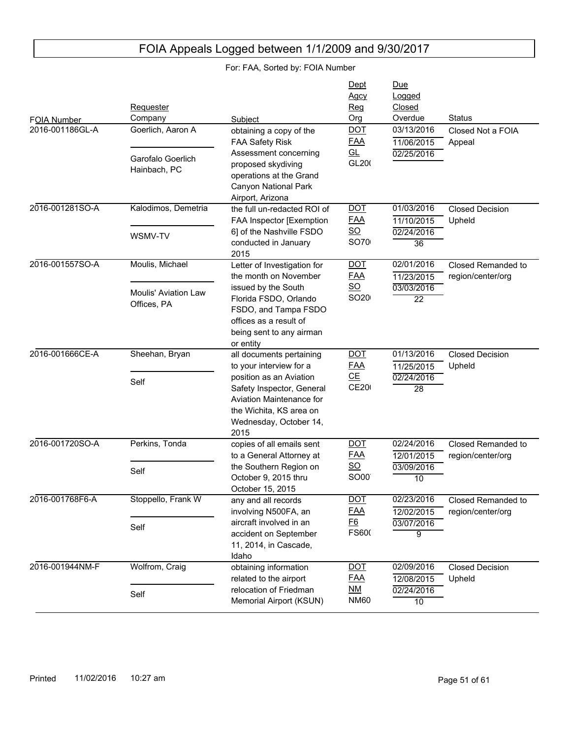| FOIA Number     | Requester<br>Company                       | Subject                                                                                                                                       | Dept<br>Agcy<br>Reg<br>Org        | Due<br>Logged<br>Closed<br>Overdue     | <b>Status</b>                           |
|-----------------|--------------------------------------------|-----------------------------------------------------------------------------------------------------------------------------------------------|-----------------------------------|----------------------------------------|-----------------------------------------|
| 2016-001186GL-A | Goerlich, Aaron A                          | obtaining a copy of the<br><b>FAA Safety Risk</b>                                                                                             | <b>DOT</b><br><b>FAA</b>          | 03/13/2016<br>11/06/2015               | Closed Not a FOIA<br>Appeal             |
|                 | Garofalo Goerlich<br>Hainbach, PC          | Assessment concerning<br>proposed skydiving<br>operations at the Grand<br>Canyon National Park<br>Airport, Arizona                            | GL<br>GL200                       | 02/25/2016                             |                                         |
| 2016-001281SO-A | Kalodimos, Demetria                        | the full un-redacted ROI of<br>FAA Inspector [Exemption                                                                                       | <u>DOT</u><br><b>FAA</b>          | 01/03/2016<br>11/10/2015               | <b>Closed Decision</b><br>Upheld        |
|                 | WSMV-TV                                    | 6] of the Nashville FSDO<br>conducted in January<br>2015                                                                                      | $\underline{\mathsf{SO}}$<br>SO70 | 02/24/2016<br>$\overline{36}$          |                                         |
| 2016-001557SO-A | Moulis, Michael                            | Letter of Investigation for<br>the month on November<br>issued by the South                                                                   | <b>DOT</b><br><b>FAA</b><br>SO    | 02/01/2016<br>11/23/2015<br>03/03/2016 | Closed Remanded to<br>region/center/org |
|                 | <b>Moulis' Aviation Law</b><br>Offices, PA | Florida FSDO, Orlando<br>FSDO, and Tampa FSDO<br>offices as a result of<br>being sent to any airman<br>or entity                              | SO <sub>20</sub>                  | $\overline{22}$                        |                                         |
| 2016-001666CE-A | Sheehan, Bryan                             | all documents pertaining<br>to your interview for a                                                                                           | <b>DOT</b><br><b>FAA</b>          | 01/13/2016<br>11/25/2015               | <b>Closed Decision</b><br>Upheld        |
|                 | Self                                       | position as an Aviation<br>Safety Inspector, General<br>Aviation Maintenance for<br>the Wichita, KS area on<br>Wednesday, October 14,<br>2015 | CE<br><b>CE200</b>                | 02/24/2016<br>28                       |                                         |
| 2016-001720SO-A | Perkins, Tonda                             | copies of all emails sent<br>to a General Attorney at                                                                                         | <b>DOT</b><br><u>FAA</u>          | 02/24/2016<br>12/01/2015               | Closed Remanded to<br>region/center/org |
|                 | Self                                       | the Southern Region on<br>October 9, 2015 thru<br>October 15, 2015                                                                            | $\underline{\mathsf{SO}}$<br>SO00 | 03/09/2016<br>10                       |                                         |
| 2016-001768F6-A | Stoppello, Frank W                         | any and all records<br>involving N500FA, an                                                                                                   | <u>DOT</u><br><b>FAA</b>          | 02/23/2016<br>12/02/2015               | Closed Remanded to<br>region/center/org |
|                 | Self                                       | aircraft involved in an<br>accident on September<br>11, 2014, in Cascade,<br>Idaho                                                            | <u>F6</u><br>FS600                | 03/07/2016<br>9                        |                                         |
| 2016-001944NM-F | Wolfrom, Craig                             | obtaining information<br>related to the airport                                                                                               | <b>DOT</b><br><b>FAA</b>          | 02/09/2016<br>12/08/2015               | <b>Closed Decision</b><br>Upheld        |
|                 | Self                                       | relocation of Friedman<br>Memorial Airport (KSUN)                                                                                             | $M$<br><b>NM60</b>                | 02/24/2016<br>10                       |                                         |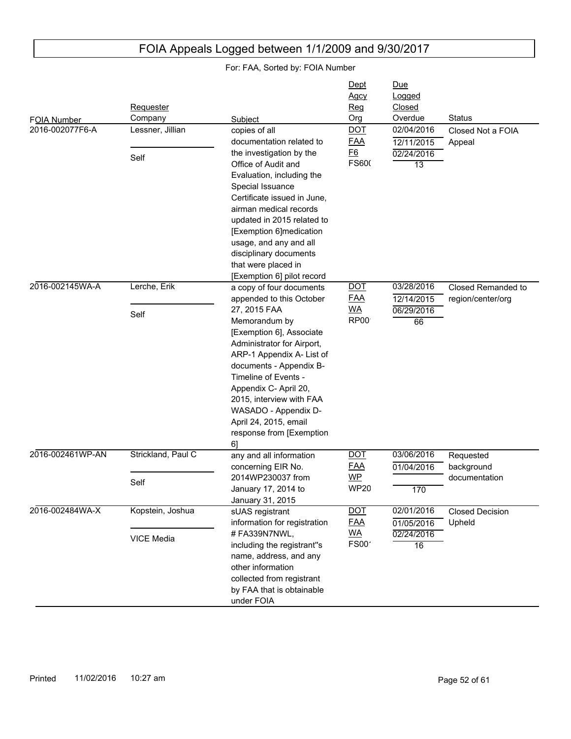#### FOIA Number Due Logged Closed Subject **Contact Contact Contact Contact Contact Contact Contact Contact Contact Contact Contact Contact Contact Contact Contact Contact Contact Contact Contact Contact Contact Contact Contact Contact Contact Contact Conta Requester** Company **Dept** Agcy Reg Org 2016-002077F6-A 02/24/2016 13 12/11/2015 02/04/2016 Closed Not a FOIA Appeal copies of all documentation related to the investigation by the Office of Audit and Evaluation, including the Special Issuance Certificate issued in June, airman medical records updated in 2015 related to [Exemption 6]medication usage, and any and all disciplinary documents that were placed in [Exemption 6] pilot record Lessner, Jillian Self DOT FAA F6 **FS600** 2016-002145WA-A 06/29/2016 66 12/14/2015 03/28/2016 Closed Remanded to region/center/org a copy of four documents appended to this October 27, 2015 FAA Memorandum by [Exemption 6], Associate Administrator for Airport, ARP-1 Appendix A- List of documents - Appendix B-Timeline of Events - Appendix C- April 20, 2015, interview with FAA WASADO - Appendix D-April 24, 2015, email response from [Exemption 6] Lerche, Erik Self DOT FAA WA RP<sub>00</sub> 2016-002461WP-AN 170 01/04/2016 03/06/2016 Requested background documentation any and all information concerning EIR No. 2014WP230037 from January 17, 2014 to January 31, 2015 Strickland, Paul C Self DOT FAA WP **WP20** 2016-002484WA-X 02/24/2016 16 01/05/2016 02/01/2016 Closed Decision Upheld sUAS registrant information for registration # FA339N7NWL, including the registrant''s name, address, and any other information collected from registrant by FAA that is obtainable under FOIA Kopstein, Joshua VICE Media DOT FAA WA  $FS00'$

FOIA Appeals Logged between 1/1/2009 and 9/30/2017

For: FAA, Sorted by: FOIA Number

## Printed 11/02/2016 10:27 am **Princed** 10:00 am Page 52 of 61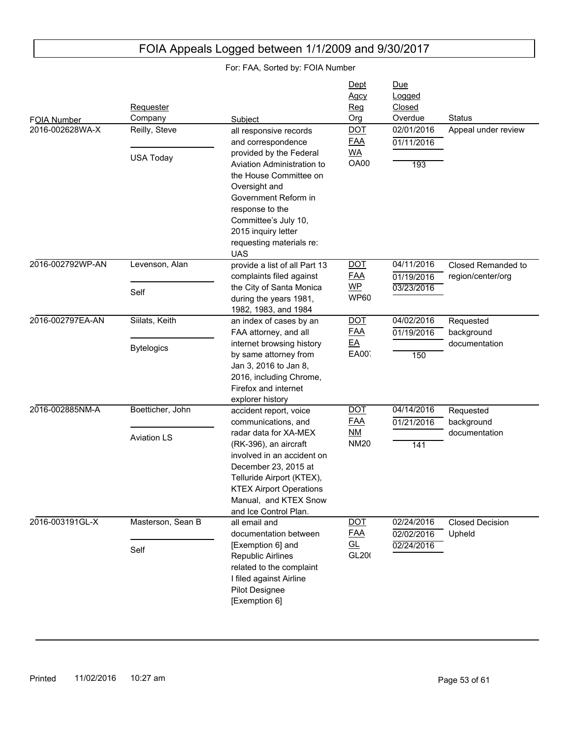| FOIA Number<br>2016-002628WA-X | Requester<br>Company<br>Reilly, Steve  | Subject<br>all responsive records                                                                                                                                                                                                                                      | Dept<br><b>Agcy</b><br>Reg<br>Org<br><b>DOT</b>      | Due<br>Logged<br>Closed<br>Overdue<br>02/01/2016 | <b>Status</b><br>Appeal under review     |
|--------------------------------|----------------------------------------|------------------------------------------------------------------------------------------------------------------------------------------------------------------------------------------------------------------------------------------------------------------------|------------------------------------------------------|--------------------------------------------------|------------------------------------------|
|                                | <b>USA Today</b>                       | and correspondence<br>provided by the Federal<br>Aviation Administration to<br>the House Committee on<br>Oversight and<br>Government Reform in<br>response to the<br>Committee's July 10,<br>2015 inquiry letter<br>requesting materials re:<br><b>UAS</b>             | <b>FAA</b><br><b>WA</b><br>OA00                      | 01/11/2016<br>193                                |                                          |
| 2016-002792WP-AN               | Levenson, Alan<br>Self                 | provide a list of all Part 13<br>complaints filed against<br>the City of Santa Monica<br>during the years 1981,<br>1982, 1983, and 1984                                                                                                                                | <b>DOT</b><br><b>FAA</b><br>$WP$<br><b>WP60</b>      | 04/11/2016<br>01/19/2016<br>03/23/2016           | Closed Remanded to<br>region/center/org  |
| 2016-002797EA-AN               | Siilats, Keith<br><b>Bytelogics</b>    | an index of cases by an<br>FAA attorney, and all<br>internet browsing history<br>by same attorney from<br>Jan 3, 2016 to Jan 8,<br>2016, including Chrome,<br>Firefox and internet<br>explorer history                                                                 | <b>DOT</b><br><b>FAA</b><br>$E$ A<br>EA00            | 04/02/2016<br>01/19/2016<br>150                  | Requested<br>background<br>documentation |
| 2016-002885NM-A                | Boetticher, John<br><b>Aviation LS</b> | accident report, voice<br>communications, and<br>radar data for XA-MEX<br>(RK-396), an aircraft<br>involved in an accident on<br>December 23, 2015 at<br>Telluride Airport (KTEX),<br><b>KTEX Airport Operations</b><br>Manual, and KTEX Snow<br>and Ice Control Plan. | <b>DOT</b><br><b>FAA</b><br><u>NM</u><br><b>NM20</b> | 04/14/2016<br>01/21/2016<br>141                  | Requested<br>background<br>documentation |
| 2016-003191GL-X                | Masterson, Sean B<br>Self              | all email and<br>documentation between<br>[Exemption 6] and<br>Republic Airlines<br>related to the complaint<br>I filed against Airline<br>Pilot Designee<br>[Exemption 6]                                                                                             | <b>DOT</b><br><u>FAA</u><br><u>GL</u><br>GL200       | 02/24/2016<br>02/02/2016<br>02/24/2016           | <b>Closed Decision</b><br>Upheld         |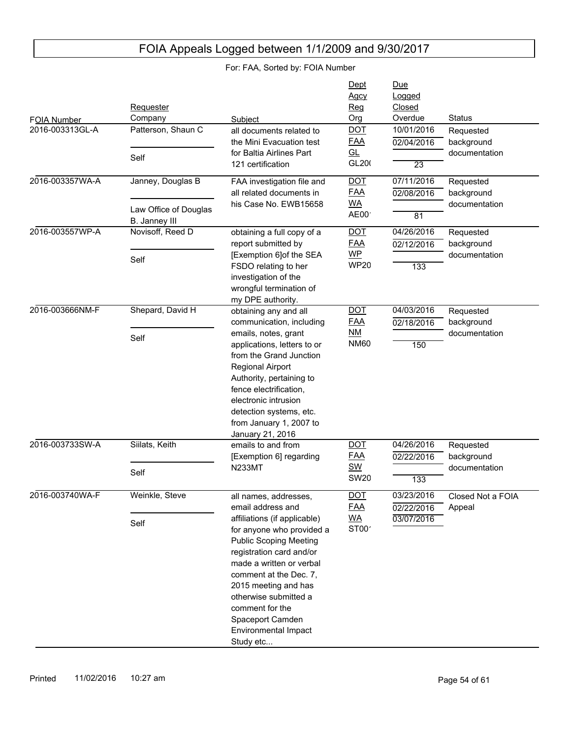| FOIA Number<br>2016-003313GL-A | <b>Requester</b><br>Company<br>Patterson, Shaun C | Subject<br>all documents related to<br>the Mini Evacuation test                                                                                                                                                                                                                                                                                         | Dept<br><b>Agcy</b><br>Req<br>Org<br><b>DOT</b><br><b>FAA</b>    | Due<br>Logged<br>Closed<br>Overdue<br>10/01/2016   | <b>Status</b><br>Requested               |
|--------------------------------|---------------------------------------------------|---------------------------------------------------------------------------------------------------------------------------------------------------------------------------------------------------------------------------------------------------------------------------------------------------------------------------------------------------------|------------------------------------------------------------------|----------------------------------------------------|------------------------------------------|
|                                | Self                                              | for Baltia Airlines Part<br>121 certification                                                                                                                                                                                                                                                                                                           | GL<br>GL200                                                      | 02/04/2016<br>$\overline{23}$                      | background<br>documentation              |
| 2016-003357WA-A                | Janney, Douglas B<br>Law Office of Douglas        | FAA investigation file and<br>all related documents in<br>his Case No. EWB15658                                                                                                                                                                                                                                                                         | <b>DOT</b><br><b>FAA</b><br><u>WA</u><br>AE00                    | 07/11/2016<br>02/08/2016                           | Requested<br>background<br>documentation |
| 2016-003557WP-A                | B. Janney III<br>Novisoff, Reed D<br>Self         | obtaining a full copy of a<br>report submitted by<br>[Exemption 6]of the SEA<br>FSDO relating to her<br>investigation of the                                                                                                                                                                                                                            | <b>DOT</b><br><u>FAA</u><br>$WP$<br><b>WP20</b>                  | $\overline{81}$<br>04/26/2016<br>02/12/2016<br>133 | Requested<br>background<br>documentation |
| 2016-003666NM-F                | Shepard, David H                                  | wrongful termination of<br>my DPE authority.<br>obtaining any and all<br>communication, including                                                                                                                                                                                                                                                       | <b>DOT</b><br><u>FAA</u>                                         | 04/03/2016<br>02/18/2016                           | Requested<br>background                  |
|                                | Self                                              | emails, notes, grant<br>applications, letters to or<br>from the Grand Junction<br>Regional Airport<br>Authority, pertaining to<br>fence electrification,<br>electronic intrusion<br>detection systems, etc.<br>from January 1, 2007 to<br>January 21, 2016                                                                                              | <u>NM</u><br><b>NM60</b>                                         | 150                                                | documentation                            |
| 2016-003733SW-A                | Siilats, Keith<br>Self                            | emails to and from<br>[Exemption 6] regarding<br><b>N233MT</b>                                                                                                                                                                                                                                                                                          | <b>DOT</b><br><b>FAA</b><br><b>SW</b><br><b>SW20</b>             | 04/26/2016<br>02/22/2016<br>133                    | Requested<br>background<br>documentation |
| 2016-003740WA-F                | Weinkle, Steve<br>Self                            | all names, addresses,<br>email address and<br>affiliations (if applicable)<br>for anyone who provided a<br><b>Public Scoping Meeting</b><br>registration card and/or<br>made a written or verbal<br>comment at the Dec. 7,<br>2015 meeting and has<br>otherwise submitted a<br>comment for the<br>Spaceport Camden<br>Environmental Impact<br>Study etc | $\overline{$ DOT<br><b>FAA</b><br><u>WA</u><br>ST00 <sup>-</sup> | 03/23/2016<br>02/22/2016<br>03/07/2016             | Closed Not a FOIA<br>Appeal              |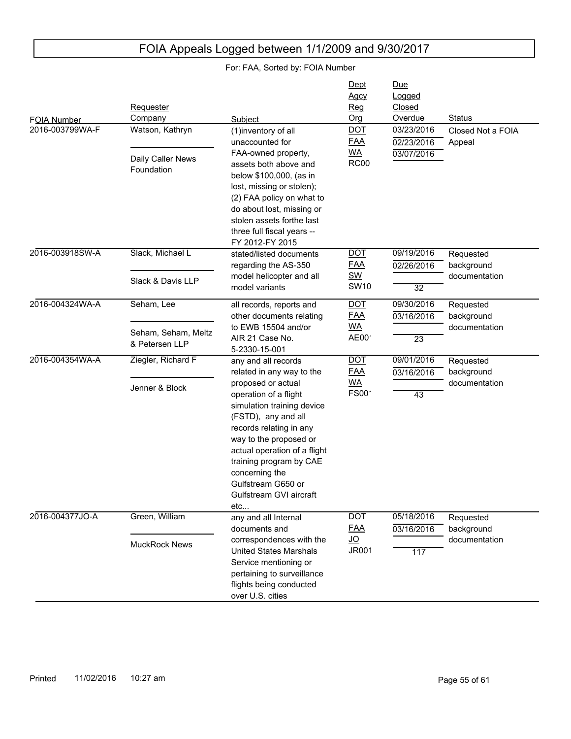| FOIA Number<br>2016-003799WA-F | Requester<br>Company<br>Watson, Kathryn<br>Daily Caller News<br>Foundation | Subject<br>(1)inventory of all<br>unaccounted for<br>FAA-owned property,<br>assets both above and<br>below \$100,000, (as in<br>lost, missing or stolen);                                                                                                                                                                                      | Dept<br><b>Agcy</b><br>Req<br>Org<br><b>DOT</b><br><b>FAA</b><br><u>WA</u><br><b>RC00</b> | Due<br>Logged<br>Closed<br>Overdue<br>03/23/2016<br>02/23/2016<br>03/07/2016 | <b>Status</b><br>Closed Not a FOIA<br>Appeal |
|--------------------------------|----------------------------------------------------------------------------|------------------------------------------------------------------------------------------------------------------------------------------------------------------------------------------------------------------------------------------------------------------------------------------------------------------------------------------------|-------------------------------------------------------------------------------------------|------------------------------------------------------------------------------|----------------------------------------------|
| 2016-003918SW-A                | Slack, Michael L<br>Slack & Davis LLP                                      | (2) FAA policy on what to<br>do about lost, missing or<br>stolen assets forthe last<br>three full fiscal years --<br>FY 2012-FY 2015<br>stated/listed documents<br>regarding the AS-350<br>model helicopter and all<br>model variants                                                                                                          | <b>DOT</b><br><b>FAA</b><br><b>SW</b><br><b>SW10</b>                                      | 09/19/2016<br>02/26/2016<br>$\overline{32}$                                  | Requested<br>background<br>documentation     |
| 2016-004324WA-A                | Seham, Lee<br>Seham, Seham, Meltz<br>& Petersen LLP                        | all records, reports and<br>other documents relating<br>to EWB 15504 and/or<br>AIR 21 Case No.<br>5-2330-15-001                                                                                                                                                                                                                                | <b>DOT</b><br><b>FAA</b><br><b>WA</b><br>AE00                                             | 09/30/2016<br>03/16/2016<br>$\overline{23}$                                  | Requested<br>background<br>documentation     |
| 2016-004354WA-A                | Ziegler, Richard F<br>Jenner & Block                                       | any and all records<br>related in any way to the<br>proposed or actual<br>operation of a flight<br>simulation training device<br>(FSTD), any and all<br>records relating in any<br>way to the proposed or<br>actual operation of a flight<br>training program by CAE<br>concerning the<br>Gulfstream G650 or<br>Gulfstream GVI aircraft<br>etc | <b>DOT</b><br><b>FAA</b><br><b>WA</b><br>FS00                                             | 09/01/2016<br>03/16/2016<br>43                                               | Requested<br>background<br>documentation     |
| 2016-004377JO-A                | Green, William<br><b>MuckRock News</b>                                     | any and all Internal<br>documents and<br>correspondences with the<br><b>United States Marshals</b><br>Service mentioning or<br>pertaining to surveillance<br>flights being conducted<br>over U.S. cities                                                                                                                                       | <b>DOT</b><br><b>FAA</b><br><u>JO</u><br><b>JR001</b>                                     | 05/18/2016<br>03/16/2016<br>117                                              | Requested<br>background<br>documentation     |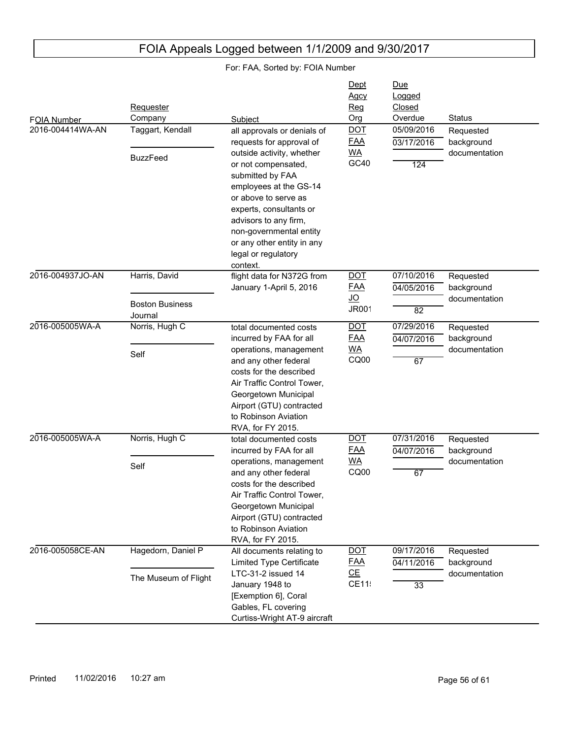#### FOIA Number Due Logged Closed Subject **Contact Contact Contact Contact Contact Contact Contact Contact Contact Contact Contact Contact Contact Contact Contact Contact Contact Contact Contact Contact Contact Contact Contact Contact Contact Contact Conta Requester** Company **Dept** Agcy Reg Org 2016-004414WA-AN 124 03/17/2016 05/09/2016 Requested background documentation all approvals or denials of requests for approval of outside activity, whether or not compensated, submitted by FAA employees at the GS-14 or above to serve as experts, consultants or advisors to any firm, non-governmental entity or any other entity in any legal or regulatory context. Taggart, Kendall BuzzFeed DOT FAA WA  $GC40$ 2016-004937JO-AN 82 04/05/2016 07/10/2016 Requested background documentation flight data for N372G from January 1-April 5, 2016 Harris, David Boston Business Journal DOT FAA JO JR001 2016-005005WA-A 67 04/07/2016 07/29/2016 Requested background documentation total documented costs incurred by FAA for all operations, management and any other federal costs for the described Air Traffic Control Tower, Georgetown Municipal Airport (GTU) contracted to Robinson Aviation RVA, for FY 2015. Norris, Hugh C Self DOT FAA WA CQ00 2016-005005WA-A 67 04/07/2016 07/31/2016 Requested background documentation total documented costs incurred by FAA for all operations, management and any other federal costs for the described Air Traffic Control Tower, Georgetown Municipal Airport (GTU) contracted to Robinson Aviation RVA, for FY 2015. Norris, Hugh C Self DOT FAA WA CQ00 2016-005058CE-AN 33 04/11/2016 09/17/2016 Requested background documentation All documents relating to Limited Type Certificate LTC-31-2 issued 14 January 1948 to [Exemption 6], Coral Gables, FL covering Curtiss-Wright AT-9 aircraft Hagedorn, Daniel P The Museum of Flight DOT FAA CE CE115

## FOIA Appeals Logged between 1/1/2009 and 9/30/2017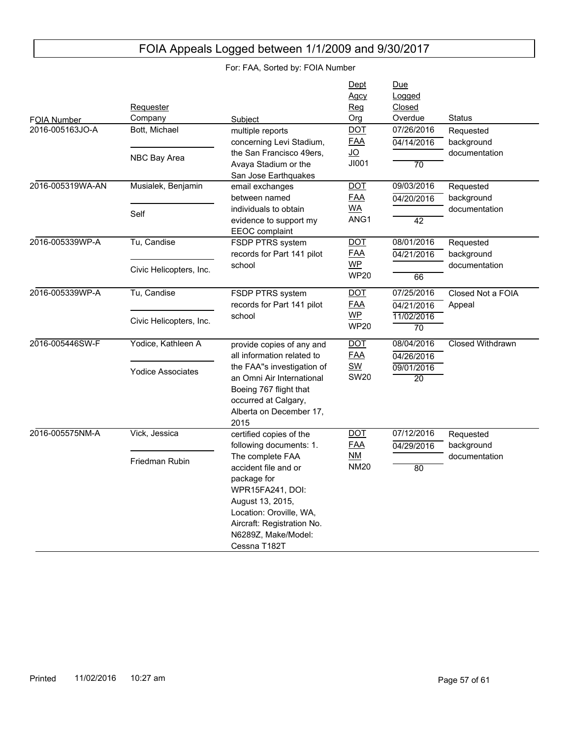| FOIA Number      | Requester<br>Company     | Subject                                                                                                                                                                                         | Dept<br>Agcy<br>Reg<br>Org     | <b>Due</b><br>Logged<br>Closed<br>Overdue | <b>Status</b>               |
|------------------|--------------------------|-------------------------------------------------------------------------------------------------------------------------------------------------------------------------------------------------|--------------------------------|-------------------------------------------|-----------------------------|
| 2016-005163JO-A  | Bott, Michael            | multiple reports<br>concerning Levi Stadium,                                                                                                                                                    | <b>DOT</b><br><b>FAA</b>       | 07/26/2016<br>04/14/2016                  | Requested<br>background     |
|                  | NBC Bay Area             | the San Francisco 49ers,<br>Avaya Stadium or the<br>San Jose Earthquakes                                                                                                                        | <u>JO</u><br>JI001             | $\overline{70}$                           | documentation               |
| 2016-005319WA-AN | Musialek, Benjamin       | email exchanges<br>between named                                                                                                                                                                | <b>DOT</b><br><b>FAA</b>       | 09/03/2016<br>04/20/2016                  | Requested<br>background     |
|                  | Self                     | individuals to obtain<br>evidence to support my<br><b>EEOC</b> complaint                                                                                                                        | <b>WA</b><br>ANG <sub>1</sub>  | $\overline{42}$                           | documentation               |
| 2016-005339WP-A  | Tu, Candise              | FSDP PTRS system<br>records for Part 141 pilot                                                                                                                                                  | $\overline{$ DOT<br><b>FAA</b> | 08/01/2016<br>04/21/2016                  | Requested<br>background     |
|                  | Civic Helicopters, Inc.  | school                                                                                                                                                                                          | $WP$<br><b>WP20</b>            | 66                                        | documentation               |
| 2016-005339WP-A  | Tu, Candise              | FSDP PTRS system<br>records for Part 141 pilot                                                                                                                                                  | $\overline{DOT}$<br><b>FAA</b> | 07/25/2016<br>04/21/2016                  | Closed Not a FOIA<br>Appeal |
|                  | Civic Helicopters, Inc.  | school                                                                                                                                                                                          | <b>WP</b><br><b>WP20</b>       | 11/02/2016<br>$\overline{70}$             |                             |
| 2016-005446SW-F  | Yodice, Kathleen A       | provide copies of any and<br>all information related to                                                                                                                                         | <b>DOT</b><br><b>FAA</b>       | 08/04/2016<br>04/26/2016                  | <b>Closed Withdrawn</b>     |
|                  | <b>Yodice Associates</b> | the FAA"s investigation of<br>an Omni Air International<br>Boeing 767 flight that<br>occurred at Calgary,<br>Alberta on December 17,<br>2015                                                    | <b>SW</b><br><b>SW20</b>       | 09/01/2016<br>$\overline{20}$             |                             |
| 2016-005575NM-A  | Vick, Jessica            | certified copies of the<br>following documents: 1.                                                                                                                                              | <b>DOT</b><br><b>FAA</b>       | 07/12/2016<br>04/29/2016                  | Requested<br>background     |
|                  | Friedman Rubin           | The complete FAA<br>accident file and or<br>package for<br>WPR15FA241, DOI:<br>August 13, 2015,<br>Location: Oroville, WA,<br>Aircraft: Registration No.<br>N6289Z, Make/Model:<br>Cessna T182T | $M$<br><b>NM20</b>             | $\overline{80}$                           | documentation               |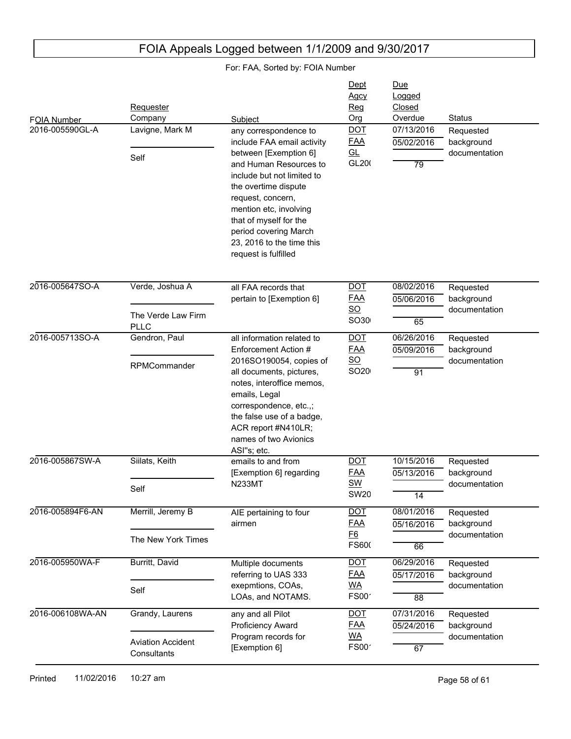| FOIA Number<br>2016-005590GL-A | Requester<br>Company<br>Lavigne, Mark M<br>Self            | Subject<br>any correspondence to<br>include FAA email activity<br>between [Exemption 6]<br>and Human Resources to<br>include but not limited to<br>the overtime dispute<br>request, concern,<br>mention etc, involving                                                        | Dept<br><b>Agcy</b><br>Reg<br>Org<br><b>DOT</b><br><b>FAA</b><br><u>GL</u><br>GL200 | Due<br>Logged<br>Closed<br>Overdue<br>07/13/2016<br>05/02/2016<br>79 | <b>Status</b><br>Requested<br>background<br>documentation |
|--------------------------------|------------------------------------------------------------|-------------------------------------------------------------------------------------------------------------------------------------------------------------------------------------------------------------------------------------------------------------------------------|-------------------------------------------------------------------------------------|----------------------------------------------------------------------|-----------------------------------------------------------|
|                                |                                                            | that of myself for the<br>period covering March<br>23, 2016 to the time this<br>request is fulfilled                                                                                                                                                                          |                                                                                     |                                                                      |                                                           |
| 2016-005647SO-A                | Verde, Joshua A<br>The Verde Law Firm<br><b>PLLC</b>       | all FAA records that<br>pertain to [Exemption 6]                                                                                                                                                                                                                              | <b>DOT</b><br><b>FAA</b><br>$\underline{SO}$<br>SO30                                | 08/02/2016<br>05/06/2016<br>65                                       | Requested<br>background<br>documentation                  |
| 2016-005713SO-A                | Gendron, Paul<br>RPMCommander                              | all information related to<br>Enforcement Action #<br>2016SO190054, copies of<br>all documents, pictures,<br>notes, interoffice memos,<br>emails, Legal<br>correspondence, etc.,;<br>the false use of a badge,<br>ACR report #N410LR;<br>names of two Avionics<br>ASI"s; etc. | <b>DOT</b><br><b>FAA</b><br>$\underline{SO}$<br>SO20                                | 06/26/2016<br>05/09/2016<br>$\overline{91}$                          | Requested<br>background<br>documentation                  |
| 2016-005867SW-A                | Siilats, Keith<br>Self                                     | emails to and from<br>[Exemption 6] regarding<br><b>N233MT</b>                                                                                                                                                                                                                | <b>DOT</b><br><b>FAA</b><br>SW<br><b>SW20</b>                                       | 10/15/2016<br>05/13/2016<br>$\overline{14}$                          | Requested<br>background<br>documentation                  |
| 2016-005894F6-AN               | Merrill, Jeremy B<br>The New York Times                    | AIE pertaining to four<br>airmen                                                                                                                                                                                                                                              | <b>DOT</b><br><b>FAA</b><br><u>F6</u><br><b>FS600</b>                               | 08/01/2016<br>05/16/2016<br>66                                       | Requested<br>background<br>documentation                  |
| 2016-005950WA-F                | Burritt, David<br>Self                                     | Multiple documents<br>referring to UAS 333<br>exepmtions, COAs,<br>LOAs, and NOTAMS.                                                                                                                                                                                          | <b>DOT</b><br><b>FAA</b><br><u>WA</u><br>FS00 <sup>-</sup>                          | 06/29/2016<br>05/17/2016<br>88                                       | Requested<br>background<br>documentation                  |
| 2016-006108WA-AN               | Grandy, Laurens<br><b>Aviation Accident</b><br>Consultants | any and all Pilot<br>Proficiency Award<br>Program records for<br>[Exemption 6]                                                                                                                                                                                                | <b>DOT</b><br><b>FAA</b><br><b>WA</b><br>FS00 <sup>-</sup>                          | 07/31/2016<br>05/24/2016<br>67                                       | Requested<br>background<br>documentation                  |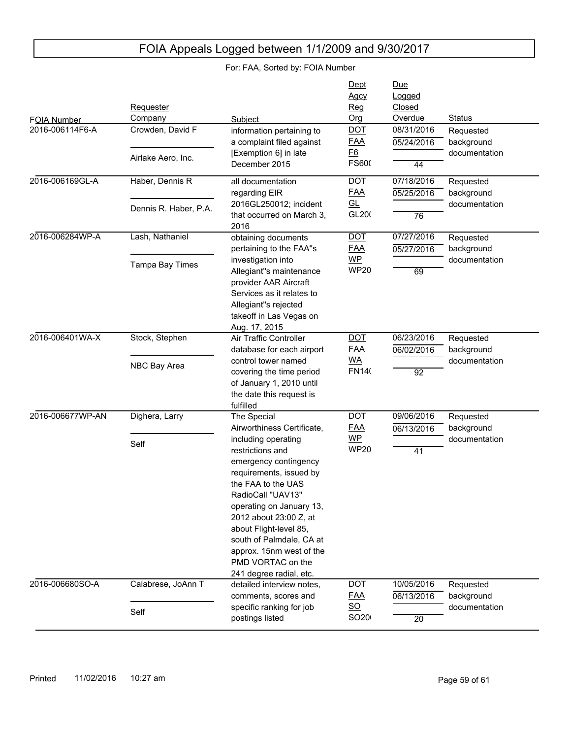| FOIA Number<br>2016-006114F6-A<br>2016-006169GL-A | Requester<br>Company<br>Crowden, David F<br>Airlake Aero, Inc.<br>Haber, Dennis R<br>Dennis R. Haber, P.A. | Subject<br>information pertaining to<br>a complaint filed against<br>[Exemption 6] in late<br>December 2015<br>all documentation<br>regarding EIR<br>2016GL250012; incident                                                                                                                                                                                                 | Dept<br>Agcy<br>Reg<br>Org<br><b>DOT</b><br><b>FAA</b><br>E6<br>FS600<br><b>DOT</b><br><b>FAA</b><br>GL<br>GL200 | Due<br>Logged<br>Closed<br>Overdue<br>08/31/2016<br>05/24/2016<br>44<br>07/18/2016<br>05/25/2016 | <b>Status</b><br>Requested<br>background<br>documentation<br>Requested<br>background<br>documentation |
|---------------------------------------------------|------------------------------------------------------------------------------------------------------------|-----------------------------------------------------------------------------------------------------------------------------------------------------------------------------------------------------------------------------------------------------------------------------------------------------------------------------------------------------------------------------|------------------------------------------------------------------------------------------------------------------|--------------------------------------------------------------------------------------------------|-------------------------------------------------------------------------------------------------------|
| 2016-006284WP-A                                   | Lash, Nathaniel                                                                                            | that occurred on March 3,<br>2016<br>obtaining documents<br>pertaining to the FAA"s                                                                                                                                                                                                                                                                                         | <b>DOT</b><br><b>FAA</b>                                                                                         | 76<br>07/27/2016<br>05/27/2016                                                                   | Requested<br>background                                                                               |
|                                                   | Tampa Bay Times                                                                                            | investigation into<br>Allegiant"s maintenance<br>provider AAR Aircraft<br>Services as it relates to<br>Allegiant"s rejected<br>takeoff in Las Vegas on<br>Aug. 17, 2015                                                                                                                                                                                                     | WP<br><b>WP20</b>                                                                                                | 69                                                                                               | documentation                                                                                         |
| 2016-006401WA-X                                   | Stock, Stephen<br>NBC Bay Area                                                                             | Air Traffic Controller<br>database for each airport<br>control tower named<br>covering the time period<br>of January 1, 2010 until<br>the date this request is<br>fulfilled                                                                                                                                                                                                 | <b>DOT</b><br><b>FAA</b><br><b>WA</b><br><b>FN140</b>                                                            | 06/23/2016<br>06/02/2016<br>$\overline{92}$                                                      | Requested<br>background<br>documentation                                                              |
| 2016-006677WP-AN                                  | Dighera, Larry<br>Self                                                                                     | The Special<br>Airworthiness Certificate,<br>including operating<br>restrictions and<br>emergency contingency<br>requirements, issued by<br>the FAA to the UAS<br>RadioCall "UAV13"<br>operating on January 13,<br>2012 about 23:00 Z, at<br>about Flight-level 85,<br>south of Palmdale, CA at<br>approx. 15nm west of the<br>PMD VORTAC on the<br>241 degree radial, etc. | <b>DOT</b><br><b>FAA</b><br>WP<br><b>WP20</b>                                                                    | 09/06/2016<br>06/13/2016<br>41                                                                   | Requested<br>background<br>documentation                                                              |
| 2016-006680SO-A                                   | Calabrese, JoAnn T<br>Self                                                                                 | detailed interview notes,<br>comments, scores and<br>specific ranking for job                                                                                                                                                                                                                                                                                               | $\underline{DOT}$<br><u>FAA</u><br>$\underline{\mathsf{SO}}$                                                     | 10/05/2016<br>06/13/2016                                                                         | Requested<br>background<br>documentation                                                              |
|                                                   |                                                                                                            | postings listed                                                                                                                                                                                                                                                                                                                                                             | SO20                                                                                                             | $\overline{20}$                                                                                  |                                                                                                       |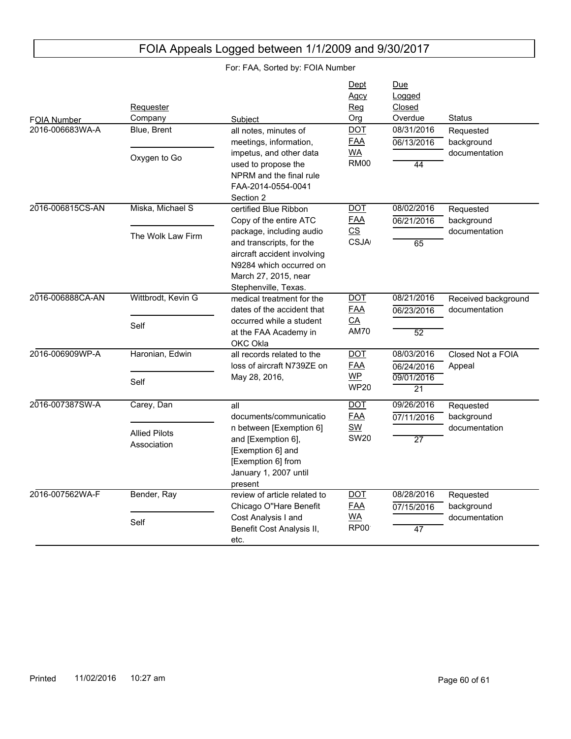| FOIA Number      | Requester<br>Company                | Subject                                                                                                                                                        | Dept<br>Agcy<br>Reg<br>Org                                  | Due<br>Logged<br>Closed<br>Overdue          | <b>Status</b>                        |
|------------------|-------------------------------------|----------------------------------------------------------------------------------------------------------------------------------------------------------------|-------------------------------------------------------------|---------------------------------------------|--------------------------------------|
| 2016-006683WA-A  | Blue, Brent                         | all notes, minutes of                                                                                                                                          | $DOT$                                                       | 08/31/2016                                  | Requested                            |
|                  | Oxygen to Go                        | meetings, information,<br>impetus, and other data<br>used to propose the<br>NPRM and the final rule<br>FAA-2014-0554-0041                                      | <b>FAA</b><br><b>WA</b><br><b>RM00</b>                      | 06/13/2016<br>44                            | background<br>documentation          |
| 2016-006815CS-AN | Miska, Michael S                    | Section 2<br>certified Blue Ribbon<br>Copy of the entire ATC                                                                                                   | $\overline{$ DOT<br><b>FAA</b>                              | 08/02/2016<br>06/21/2016                    | Requested<br>background              |
|                  | The Wolk Law Firm                   | package, including audio<br>and transcripts, for the<br>aircraft accident involving<br>N9284 which occurred on<br>March 27, 2015, near<br>Stephenville, Texas. | $\overline{\text{CS}}$<br><b>CSJA</b>                       | $\overline{65}$                             | documentation                        |
| 2016-006888CA-AN | Wittbrodt, Kevin G<br>Self          | medical treatment for the<br>dates of the accident that<br>occurred while a student<br>at the FAA Academy in<br>OKC Okla                                       | <b>DOT</b><br><b>FAA</b><br>$\underline{CA}$<br><b>AM70</b> | 08/21/2016<br>06/23/2016<br>$\overline{52}$ | Received background<br>documentation |
| 2016-006909WP-A  | Haronian, Edwin                     | all records related to the<br>loss of aircraft N739ZE on<br>May 28, 2016,                                                                                      | <b>DOT</b><br><b>FAA</b><br><b>WP</b>                       | 08/03/2016<br>06/24/2016<br>09/01/2016      | Closed Not a FOIA<br>Appeal          |
|                  | Self                                |                                                                                                                                                                | <b>WP20</b>                                                 | $\overline{21}$                             |                                      |
| 2016-007387SW-A  | Carey, Dan                          | all<br>documents/communicatio                                                                                                                                  | <b>DOT</b><br><b>FAA</b>                                    | 09/26/2016<br>07/11/2016                    | Requested<br>background              |
|                  | <b>Allied Pilots</b><br>Association | n between [Exemption 6]<br>and [Exemption 6],<br>[Exemption 6] and<br>[Exemption 6] from<br>January 1, 2007 until<br>present                                   | <b>SW</b><br><b>SW20</b>                                    | $\overline{27}$                             | documentation                        |
| 2016-007562WA-F  | Bender, Ray                         | review of article related to<br>Chicago O"Hare Benefit                                                                                                         | <b>DOT</b><br><b>FAA</b>                                    | 08/28/2016<br>07/15/2016                    | Requested<br>background              |
|                  | Self                                | Cost Analysis I and<br>Benefit Cost Analysis II,<br>etc.                                                                                                       | <b>WA</b><br><b>RP00</b>                                    | $\overline{47}$                             | documentation                        |